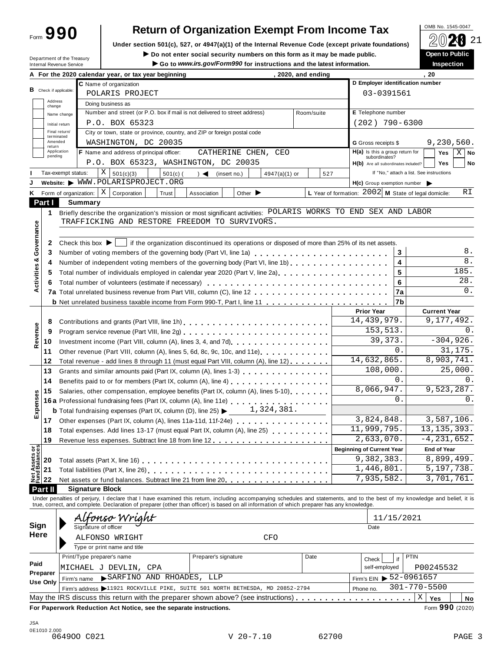Form **990**

# **Return of Organization Exempt From Income Tax**

Under section 501(c), 527, or 4947(a)(1) of the Internal Revenue Code (except private foundations)  $\Box$  △**∪** △

**I Department of the Treasury Depart on the Treasury Depart on the Department of the Treasury Depart on the Department of the Treasury Department of the Treasury Department of the Universe on the Service and the** 

21

| Go to www.irs.gov/Form990 for instructions and the latest information.<br>Internal Revenue Service<br>A For the 2020 calendar year, or tax year beginning<br>, 2020, and ending<br>C Name of organization<br><b>B</b> Check if applicable:<br>POLARIS PROJECT<br>Doing business as<br>Number and street (or P.O. box if mail is not delivered to street address)<br>Room/suite<br>Name change<br>P.O. BOX 65323<br>Initial return<br>Final return/<br>City or town, state or province, country, and ZIP or foreign postal code<br>terminated<br>Amended<br>WASHINGTON, DC 20035<br>Application<br>F Name and address of principal officer:<br>CATHERINE CHEN, CEO<br>P.O. BOX 65323, WASHINGTON, DC 20035 | D Employer identification number<br>03-0391561<br>E Telephone number<br>$(202)$ 790-6300<br>G Gross receipts \$<br>$H(a)$ is this a group return for                                                                                                                                                                                                                                                                                                                                                                                                                                                                                                                                                                                                                                               | <b>Inspection</b><br>.20                                                                                                                                                                                                                                                                                                                                                                                                                                                                                                                                                                                                                                                                                                                                                                                                                                                                                                                                                                                                                                                            |
|-----------------------------------------------------------------------------------------------------------------------------------------------------------------------------------------------------------------------------------------------------------------------------------------------------------------------------------------------------------------------------------------------------------------------------------------------------------------------------------------------------------------------------------------------------------------------------------------------------------------------------------------------------------------------------------------------------------|----------------------------------------------------------------------------------------------------------------------------------------------------------------------------------------------------------------------------------------------------------------------------------------------------------------------------------------------------------------------------------------------------------------------------------------------------------------------------------------------------------------------------------------------------------------------------------------------------------------------------------------------------------------------------------------------------------------------------------------------------------------------------------------------------|-------------------------------------------------------------------------------------------------------------------------------------------------------------------------------------------------------------------------------------------------------------------------------------------------------------------------------------------------------------------------------------------------------------------------------------------------------------------------------------------------------------------------------------------------------------------------------------------------------------------------------------------------------------------------------------------------------------------------------------------------------------------------------------------------------------------------------------------------------------------------------------------------------------------------------------------------------------------------------------------------------------------------------------------------------------------------------------|
|                                                                                                                                                                                                                                                                                                                                                                                                                                                                                                                                                                                                                                                                                                           |                                                                                                                                                                                                                                                                                                                                                                                                                                                                                                                                                                                                                                                                                                                                                                                                    |                                                                                                                                                                                                                                                                                                                                                                                                                                                                                                                                                                                                                                                                                                                                                                                                                                                                                                                                                                                                                                                                                     |
|                                                                                                                                                                                                                                                                                                                                                                                                                                                                                                                                                                                                                                                                                                           |                                                                                                                                                                                                                                                                                                                                                                                                                                                                                                                                                                                                                                                                                                                                                                                                    |                                                                                                                                                                                                                                                                                                                                                                                                                                                                                                                                                                                                                                                                                                                                                                                                                                                                                                                                                                                                                                                                                     |
|                                                                                                                                                                                                                                                                                                                                                                                                                                                                                                                                                                                                                                                                                                           |                                                                                                                                                                                                                                                                                                                                                                                                                                                                                                                                                                                                                                                                                                                                                                                                    |                                                                                                                                                                                                                                                                                                                                                                                                                                                                                                                                                                                                                                                                                                                                                                                                                                                                                                                                                                                                                                                                                     |
|                                                                                                                                                                                                                                                                                                                                                                                                                                                                                                                                                                                                                                                                                                           |                                                                                                                                                                                                                                                                                                                                                                                                                                                                                                                                                                                                                                                                                                                                                                                                    |                                                                                                                                                                                                                                                                                                                                                                                                                                                                                                                                                                                                                                                                                                                                                                                                                                                                                                                                                                                                                                                                                     |
|                                                                                                                                                                                                                                                                                                                                                                                                                                                                                                                                                                                                                                                                                                           |                                                                                                                                                                                                                                                                                                                                                                                                                                                                                                                                                                                                                                                                                                                                                                                                    |                                                                                                                                                                                                                                                                                                                                                                                                                                                                                                                                                                                                                                                                                                                                                                                                                                                                                                                                                                                                                                                                                     |
|                                                                                                                                                                                                                                                                                                                                                                                                                                                                                                                                                                                                                                                                                                           |                                                                                                                                                                                                                                                                                                                                                                                                                                                                                                                                                                                                                                                                                                                                                                                                    |                                                                                                                                                                                                                                                                                                                                                                                                                                                                                                                                                                                                                                                                                                                                                                                                                                                                                                                                                                                                                                                                                     |
|                                                                                                                                                                                                                                                                                                                                                                                                                                                                                                                                                                                                                                                                                                           |                                                                                                                                                                                                                                                                                                                                                                                                                                                                                                                                                                                                                                                                                                                                                                                                    |                                                                                                                                                                                                                                                                                                                                                                                                                                                                                                                                                                                                                                                                                                                                                                                                                                                                                                                                                                                                                                                                                     |
|                                                                                                                                                                                                                                                                                                                                                                                                                                                                                                                                                                                                                                                                                                           |                                                                                                                                                                                                                                                                                                                                                                                                                                                                                                                                                                                                                                                                                                                                                                                                    | 9,230,560.                                                                                                                                                                                                                                                                                                                                                                                                                                                                                                                                                                                                                                                                                                                                                                                                                                                                                                                                                                                                                                                                          |
|                                                                                                                                                                                                                                                                                                                                                                                                                                                                                                                                                                                                                                                                                                           |                                                                                                                                                                                                                                                                                                                                                                                                                                                                                                                                                                                                                                                                                                                                                                                                    | $X \mid$ No<br>Yes                                                                                                                                                                                                                                                                                                                                                                                                                                                                                                                                                                                                                                                                                                                                                                                                                                                                                                                                                                                                                                                                  |
|                                                                                                                                                                                                                                                                                                                                                                                                                                                                                                                                                                                                                                                                                                           | subordinates?                                                                                                                                                                                                                                                                                                                                                                                                                                                                                                                                                                                                                                                                                                                                                                                      | <b>Yes</b><br>No                                                                                                                                                                                                                                                                                                                                                                                                                                                                                                                                                                                                                                                                                                                                                                                                                                                                                                                                                                                                                                                                    |
| $X \mid$<br>Tax-exempt status:                                                                                                                                                                                                                                                                                                                                                                                                                                                                                                                                                                                                                                                                            | H(b) Are all subordinates included?                                                                                                                                                                                                                                                                                                                                                                                                                                                                                                                                                                                                                                                                                                                                                                | If "No," attach a list. See instructions                                                                                                                                                                                                                                                                                                                                                                                                                                                                                                                                                                                                                                                                                                                                                                                                                                                                                                                                                                                                                                            |
| 501(c)(3)<br>527<br>$501(c)$ (<br>$\rightarrow$<br>4947(a)(1) or<br>(insert no.)<br>Website: WWW.POLARISPROJECT.ORG                                                                                                                                                                                                                                                                                                                                                                                                                                                                                                                                                                                       |                                                                                                                                                                                                                                                                                                                                                                                                                                                                                                                                                                                                                                                                                                                                                                                                    |                                                                                                                                                                                                                                                                                                                                                                                                                                                                                                                                                                                                                                                                                                                                                                                                                                                                                                                                                                                                                                                                                     |
|                                                                                                                                                                                                                                                                                                                                                                                                                                                                                                                                                                                                                                                                                                           | H(c) Group exemption number                                                                                                                                                                                                                                                                                                                                                                                                                                                                                                                                                                                                                                                                                                                                                                        |                                                                                                                                                                                                                                                                                                                                                                                                                                                                                                                                                                                                                                                                                                                                                                                                                                                                                                                                                                                                                                                                                     |
| $X \vert$ Corporation<br>Other $\blacktriangleright$<br>Form of organization:<br>Trust<br>Association                                                                                                                                                                                                                                                                                                                                                                                                                                                                                                                                                                                                     | L Year of formation: 2002 M State of legal domicile:                                                                                                                                                                                                                                                                                                                                                                                                                                                                                                                                                                                                                                                                                                                                               | RI                                                                                                                                                                                                                                                                                                                                                                                                                                                                                                                                                                                                                                                                                                                                                                                                                                                                                                                                                                                                                                                                                  |
| <b>Summary</b>                                                                                                                                                                                                                                                                                                                                                                                                                                                                                                                                                                                                                                                                                            |                                                                                                                                                                                                                                                                                                                                                                                                                                                                                                                                                                                                                                                                                                                                                                                                    |                                                                                                                                                                                                                                                                                                                                                                                                                                                                                                                                                                                                                                                                                                                                                                                                                                                                                                                                                                                                                                                                                     |
|                                                                                                                                                                                                                                                                                                                                                                                                                                                                                                                                                                                                                                                                                                           |                                                                                                                                                                                                                                                                                                                                                                                                                                                                                                                                                                                                                                                                                                                                                                                                    |                                                                                                                                                                                                                                                                                                                                                                                                                                                                                                                                                                                                                                                                                                                                                                                                                                                                                                                                                                                                                                                                                     |
|                                                                                                                                                                                                                                                                                                                                                                                                                                                                                                                                                                                                                                                                                                           |                                                                                                                                                                                                                                                                                                                                                                                                                                                                                                                                                                                                                                                                                                                                                                                                    |                                                                                                                                                                                                                                                                                                                                                                                                                                                                                                                                                                                                                                                                                                                                                                                                                                                                                                                                                                                                                                                                                     |
|                                                                                                                                                                                                                                                                                                                                                                                                                                                                                                                                                                                                                                                                                                           |                                                                                                                                                                                                                                                                                                                                                                                                                                                                                                                                                                                                                                                                                                                                                                                                    |                                                                                                                                                                                                                                                                                                                                                                                                                                                                                                                                                                                                                                                                                                                                                                                                                                                                                                                                                                                                                                                                                     |
| Check this box $\blacktriangleright$                                                                                                                                                                                                                                                                                                                                                                                                                                                                                                                                                                                                                                                                      |                                                                                                                                                                                                                                                                                                                                                                                                                                                                                                                                                                                                                                                                                                                                                                                                    |                                                                                                                                                                                                                                                                                                                                                                                                                                                                                                                                                                                                                                                                                                                                                                                                                                                                                                                                                                                                                                                                                     |
|                                                                                                                                                                                                                                                                                                                                                                                                                                                                                                                                                                                                                                                                                                           | 3                                                                                                                                                                                                                                                                                                                                                                                                                                                                                                                                                                                                                                                                                                                                                                                                  | 8.                                                                                                                                                                                                                                                                                                                                                                                                                                                                                                                                                                                                                                                                                                                                                                                                                                                                                                                                                                                                                                                                                  |
|                                                                                                                                                                                                                                                                                                                                                                                                                                                                                                                                                                                                                                                                                                           | 4                                                                                                                                                                                                                                                                                                                                                                                                                                                                                                                                                                                                                                                                                                                                                                                                  | $8$ .                                                                                                                                                                                                                                                                                                                                                                                                                                                                                                                                                                                                                                                                                                                                                                                                                                                                                                                                                                                                                                                                               |
|                                                                                                                                                                                                                                                                                                                                                                                                                                                                                                                                                                                                                                                                                                           | 5                                                                                                                                                                                                                                                                                                                                                                                                                                                                                                                                                                                                                                                                                                                                                                                                  | 185.                                                                                                                                                                                                                                                                                                                                                                                                                                                                                                                                                                                                                                                                                                                                                                                                                                                                                                                                                                                                                                                                                |
|                                                                                                                                                                                                                                                                                                                                                                                                                                                                                                                                                                                                                                                                                                           | 6                                                                                                                                                                                                                                                                                                                                                                                                                                                                                                                                                                                                                                                                                                                                                                                                  | 28.                                                                                                                                                                                                                                                                                                                                                                                                                                                                                                                                                                                                                                                                                                                                                                                                                                                                                                                                                                                                                                                                                 |
|                                                                                                                                                                                                                                                                                                                                                                                                                                                                                                                                                                                                                                                                                                           | 7a                                                                                                                                                                                                                                                                                                                                                                                                                                                                                                                                                                                                                                                                                                                                                                                                 | 0.                                                                                                                                                                                                                                                                                                                                                                                                                                                                                                                                                                                                                                                                                                                                                                                                                                                                                                                                                                                                                                                                                  |
|                                                                                                                                                                                                                                                                                                                                                                                                                                                                                                                                                                                                                                                                                                           | 7b                                                                                                                                                                                                                                                                                                                                                                                                                                                                                                                                                                                                                                                                                                                                                                                                 |                                                                                                                                                                                                                                                                                                                                                                                                                                                                                                                                                                                                                                                                                                                                                                                                                                                                                                                                                                                                                                                                                     |
|                                                                                                                                                                                                                                                                                                                                                                                                                                                                                                                                                                                                                                                                                                           | <b>Prior Year</b>                                                                                                                                                                                                                                                                                                                                                                                                                                                                                                                                                                                                                                                                                                                                                                                  | <b>Current Year</b>                                                                                                                                                                                                                                                                                                                                                                                                                                                                                                                                                                                                                                                                                                                                                                                                                                                                                                                                                                                                                                                                 |
|                                                                                                                                                                                                                                                                                                                                                                                                                                                                                                                                                                                                                                                                                                           | 14,439,979.                                                                                                                                                                                                                                                                                                                                                                                                                                                                                                                                                                                                                                                                                                                                                                                        | 9,177,492.                                                                                                                                                                                                                                                                                                                                                                                                                                                                                                                                                                                                                                                                                                                                                                                                                                                                                                                                                                                                                                                                          |
|                                                                                                                                                                                                                                                                                                                                                                                                                                                                                                                                                                                                                                                                                                           | 153,513.                                                                                                                                                                                                                                                                                                                                                                                                                                                                                                                                                                                                                                                                                                                                                                                           | 0.                                                                                                                                                                                                                                                                                                                                                                                                                                                                                                                                                                                                                                                                                                                                                                                                                                                                                                                                                                                                                                                                                  |
|                                                                                                                                                                                                                                                                                                                                                                                                                                                                                                                                                                                                                                                                                                           | 39, 373.                                                                                                                                                                                                                                                                                                                                                                                                                                                                                                                                                                                                                                                                                                                                                                                           | $-304,926.$                                                                                                                                                                                                                                                                                                                                                                                                                                                                                                                                                                                                                                                                                                                                                                                                                                                                                                                                                                                                                                                                         |
|                                                                                                                                                                                                                                                                                                                                                                                                                                                                                                                                                                                                                                                                                                           | 0.                                                                                                                                                                                                                                                                                                                                                                                                                                                                                                                                                                                                                                                                                                                                                                                                 | 31,175.                                                                                                                                                                                                                                                                                                                                                                                                                                                                                                                                                                                                                                                                                                                                                                                                                                                                                                                                                                                                                                                                             |
|                                                                                                                                                                                                                                                                                                                                                                                                                                                                                                                                                                                                                                                                                                           |                                                                                                                                                                                                                                                                                                                                                                                                                                                                                                                                                                                                                                                                                                                                                                                                    | 8,903,741.                                                                                                                                                                                                                                                                                                                                                                                                                                                                                                                                                                                                                                                                                                                                                                                                                                                                                                                                                                                                                                                                          |
|                                                                                                                                                                                                                                                                                                                                                                                                                                                                                                                                                                                                                                                                                                           |                                                                                                                                                                                                                                                                                                                                                                                                                                                                                                                                                                                                                                                                                                                                                                                                    | 25,000.                                                                                                                                                                                                                                                                                                                                                                                                                                                                                                                                                                                                                                                                                                                                                                                                                                                                                                                                                                                                                                                                             |
|                                                                                                                                                                                                                                                                                                                                                                                                                                                                                                                                                                                                                                                                                                           | 0.                                                                                                                                                                                                                                                                                                                                                                                                                                                                                                                                                                                                                                                                                                                                                                                                 | $0$ .                                                                                                                                                                                                                                                                                                                                                                                                                                                                                                                                                                                                                                                                                                                                                                                                                                                                                                                                                                                                                                                                               |
|                                                                                                                                                                                                                                                                                                                                                                                                                                                                                                                                                                                                                                                                                                           |                                                                                                                                                                                                                                                                                                                                                                                                                                                                                                                                                                                                                                                                                                                                                                                                    | 9,523,287.                                                                                                                                                                                                                                                                                                                                                                                                                                                                                                                                                                                                                                                                                                                                                                                                                                                                                                                                                                                                                                                                          |
|                                                                                                                                                                                                                                                                                                                                                                                                                                                                                                                                                                                                                                                                                                           |                                                                                                                                                                                                                                                                                                                                                                                                                                                                                                                                                                                                                                                                                                                                                                                                    | 0.                                                                                                                                                                                                                                                                                                                                                                                                                                                                                                                                                                                                                                                                                                                                                                                                                                                                                                                                                                                                                                                                                  |
|                                                                                                                                                                                                                                                                                                                                                                                                                                                                                                                                                                                                                                                                                                           |                                                                                                                                                                                                                                                                                                                                                                                                                                                                                                                                                                                                                                                                                                                                                                                                    |                                                                                                                                                                                                                                                                                                                                                                                                                                                                                                                                                                                                                                                                                                                                                                                                                                                                                                                                                                                                                                                                                     |
|                                                                                                                                                                                                                                                                                                                                                                                                                                                                                                                                                                                                                                                                                                           |                                                                                                                                                                                                                                                                                                                                                                                                                                                                                                                                                                                                                                                                                                                                                                                                    | 3,587,106.                                                                                                                                                                                                                                                                                                                                                                                                                                                                                                                                                                                                                                                                                                                                                                                                                                                                                                                                                                                                                                                                          |
|                                                                                                                                                                                                                                                                                                                                                                                                                                                                                                                                                                                                                                                                                                           |                                                                                                                                                                                                                                                                                                                                                                                                                                                                                                                                                                                                                                                                                                                                                                                                    | 13, 135, 393.                                                                                                                                                                                                                                                                                                                                                                                                                                                                                                                                                                                                                                                                                                                                                                                                                                                                                                                                                                                                                                                                       |
|                                                                                                                                                                                                                                                                                                                                                                                                                                                                                                                                                                                                                                                                                                           |                                                                                                                                                                                                                                                                                                                                                                                                                                                                                                                                                                                                                                                                                                                                                                                                    | $-4, 231, 652.$                                                                                                                                                                                                                                                                                                                                                                                                                                                                                                                                                                                                                                                                                                                                                                                                                                                                                                                                                                                                                                                                     |
|                                                                                                                                                                                                                                                                                                                                                                                                                                                                                                                                                                                                                                                                                                           |                                                                                                                                                                                                                                                                                                                                                                                                                                                                                                                                                                                                                                                                                                                                                                                                    | <b>End of Year</b>                                                                                                                                                                                                                                                                                                                                                                                                                                                                                                                                                                                                                                                                                                                                                                                                                                                                                                                                                                                                                                                                  |
|                                                                                                                                                                                                                                                                                                                                                                                                                                                                                                                                                                                                                                                                                                           |                                                                                                                                                                                                                                                                                                                                                                                                                                                                                                                                                                                                                                                                                                                                                                                                    | $\overline{8}$ , 899, 499.                                                                                                                                                                                                                                                                                                                                                                                                                                                                                                                                                                                                                                                                                                                                                                                                                                                                                                                                                                                                                                                          |
|                                                                                                                                                                                                                                                                                                                                                                                                                                                                                                                                                                                                                                                                                                           |                                                                                                                                                                                                                                                                                                                                                                                                                                                                                                                                                                                                                                                                                                                                                                                                    |                                                                                                                                                                                                                                                                                                                                                                                                                                                                                                                                                                                                                                                                                                                                                                                                                                                                                                                                                                                                                                                                                     |
|                                                                                                                                                                                                                                                                                                                                                                                                                                                                                                                                                                                                                                                                                                           |                                                                                                                                                                                                                                                                                                                                                                                                                                                                                                                                                                                                                                                                                                                                                                                                    | $\overline{5}$ , 197, 738.                                                                                                                                                                                                                                                                                                                                                                                                                                                                                                                                                                                                                                                                                                                                                                                                                                                                                                                                                                                                                                                          |
|                                                                                                                                                                                                                                                                                                                                                                                                                                                                                                                                                                                                                                                                                                           |                                                                                                                                                                                                                                                                                                                                                                                                                                                                                                                                                                                                                                                                                                                                                                                                    | 3,701,761.                                                                                                                                                                                                                                                                                                                                                                                                                                                                                                                                                                                                                                                                                                                                                                                                                                                                                                                                                                                                                                                                          |
|                                                                                                                                                                                                                                                                                                                                                                                                                                                                                                                                                                                                                                                                                                           |                                                                                                                                                                                                                                                                                                                                                                                                                                                                                                                                                                                                                                                                                                                                                                                                    |                                                                                                                                                                                                                                                                                                                                                                                                                                                                                                                                                                                                                                                                                                                                                                                                                                                                                                                                                                                                                                                                                     |
|                                                                                                                                                                                                                                                                                                                                                                                                                                                                                                                                                                                                                                                                                                           |                                                                                                                                                                                                                                                                                                                                                                                                                                                                                                                                                                                                                                                                                                                                                                                                    |                                                                                                                                                                                                                                                                                                                                                                                                                                                                                                                                                                                                                                                                                                                                                                                                                                                                                                                                                                                                                                                                                     |
|                                                                                                                                                                                                                                                                                                                                                                                                                                                                                                                                                                                                                                                                                                           |                                                                                                                                                                                                                                                                                                                                                                                                                                                                                                                                                                                                                                                                                                                                                                                                    |                                                                                                                                                                                                                                                                                                                                                                                                                                                                                                                                                                                                                                                                                                                                                                                                                                                                                                                                                                                                                                                                                     |
|                                                                                                                                                                                                                                                                                                                                                                                                                                                                                                                                                                                                                                                                                                           |                                                                                                                                                                                                                                                                                                                                                                                                                                                                                                                                                                                                                                                                                                                                                                                                    |                                                                                                                                                                                                                                                                                                                                                                                                                                                                                                                                                                                                                                                                                                                                                                                                                                                                                                                                                                                                                                                                                     |
|                                                                                                                                                                                                                                                                                                                                                                                                                                                                                                                                                                                                                                                                                                           |                                                                                                                                                                                                                                                                                                                                                                                                                                                                                                                                                                                                                                                                                                                                                                                                    |                                                                                                                                                                                                                                                                                                                                                                                                                                                                                                                                                                                                                                                                                                                                                                                                                                                                                                                                                                                                                                                                                     |
|                                                                                                                                                                                                                                                                                                                                                                                                                                                                                                                                                                                                                                                                                                           |                                                                                                                                                                                                                                                                                                                                                                                                                                                                                                                                                                                                                                                                                                                                                                                                    |                                                                                                                                                                                                                                                                                                                                                                                                                                                                                                                                                                                                                                                                                                                                                                                                                                                                                                                                                                                                                                                                                     |
|                                                                                                                                                                                                                                                                                                                                                                                                                                                                                                                                                                                                                                                                                                           |                                                                                                                                                                                                                                                                                                                                                                                                                                                                                                                                                                                                                                                                                                                                                                                                    |                                                                                                                                                                                                                                                                                                                                                                                                                                                                                                                                                                                                                                                                                                                                                                                                                                                                                                                                                                                                                                                                                     |
| Print/Type preparer's name<br>Preparer's signature<br>Date                                                                                                                                                                                                                                                                                                                                                                                                                                                                                                                                                                                                                                                | if<br>Check                                                                                                                                                                                                                                                                                                                                                                                                                                                                                                                                                                                                                                                                                                                                                                                        | <b>PTIN</b>                                                                                                                                                                                                                                                                                                                                                                                                                                                                                                                                                                                                                                                                                                                                                                                                                                                                                                                                                                                                                                                                         |
| MICHAEL J DEVLIN, CPA                                                                                                                                                                                                                                                                                                                                                                                                                                                                                                                                                                                                                                                                                     | self-employed                                                                                                                                                                                                                                                                                                                                                                                                                                                                                                                                                                                                                                                                                                                                                                                      | P00245532                                                                                                                                                                                                                                                                                                                                                                                                                                                                                                                                                                                                                                                                                                                                                                                                                                                                                                                                                                                                                                                                           |
| SARFINO AND RHOADES, LLP<br>Firm's name                                                                                                                                                                                                                                                                                                                                                                                                                                                                                                                                                                                                                                                                   |                                                                                                                                                                                                                                                                                                                                                                                                                                                                                                                                                                                                                                                                                                                                                                                                    |                                                                                                                                                                                                                                                                                                                                                                                                                                                                                                                                                                                                                                                                                                                                                                                                                                                                                                                                                                                                                                                                                     |
| Firm's address 11921 ROCKVILLE PIKE, SUITE 501 NORTH BETHESDA, MD 20852-2794                                                                                                                                                                                                                                                                                                                                                                                                                                                                                                                                                                                                                              | Phone no.                                                                                                                                                                                                                                                                                                                                                                                                                                                                                                                                                                                                                                                                                                                                                                                          | 301-770-5500                                                                                                                                                                                                                                                                                                                                                                                                                                                                                                                                                                                                                                                                                                                                                                                                                                                                                                                                                                                                                                                                        |
|                                                                                                                                                                                                                                                                                                                                                                                                                                                                                                                                                                                                                                                                                                           |                                                                                                                                                                                                                                                                                                                                                                                                                                                                                                                                                                                                                                                                                                                                                                                                    | $\mathbf X$<br>Yes<br>No                                                                                                                                                                                                                                                                                                                                                                                                                                                                                                                                                                                                                                                                                                                                                                                                                                                                                                                                                                                                                                                            |
|                                                                                                                                                                                                                                                                                                                                                                                                                                                                                                                                                                                                                                                                                                           | TRAFFICKING AND RESTORE FREEDOM TO SURVIVORS.<br>Contributions and grants (Part VIII, line 1h)<br>Total revenue - add lines 8 through 11 (must equal Part VIII, column (A), line 12)<br>Grants and similar amounts paid (Part IX, column (A), lines 1-3)<br>Salaries, other compensation, employee benefits (Part IX, column (A), lines 5-10)<br>1,324,381.<br><b>b</b> Total fundraising expenses (Part IX, column (D), line 25) $\blacktriangleright$<br>Other expenses (Part IX, column (A), lines 11a-11d, 11f-24e)<br>Total expenses. Add lines 13-17 (must equal Part IX, column (A), line 25)<br>Net assets or fund balances. Subtract line 21 from line 20.<br><b>Signature Block</b><br>fonso Wright<br>nature of officer<br>ALFONSO WRIGHT<br><b>CFO</b><br>Type or print name and title | Briefly describe the organization's mission or most significant activities: POLARIS WORKS TO END SEX AND LABOR<br>if the organization discontinued its operations or disposed of more than 25% of its net assets.<br>Number of voting members of the governing body (Part VI, line 1a)<br>Number of independent voting members of the governing body (Part VI, line 1b)<br>Total number of individuals employed in calendar year 2020 (Part V, line 2a)<br>Other revenue (Part VIII, column (A), lines 5, 6d, 8c, 9c, 10c, and 11e)<br>14,632,865.<br>108,000.<br>8,066,947.<br>0.<br>3,824,848.<br>11,999,795.<br>2,633,070.<br><b>Beginning of Current Year</b><br>9,382,383.<br>1,446,801.<br>7,935,582.<br>Under penalties of perjury, I declare that I have examined this return, including accompanying schedules and statements, and to the best of my knowledge and belief, it is true, correct, and complete. Declaration of prepare<br>11/15/2021<br>Date<br>Firm's EIN ▶ 52-0961657<br>May the IRS discuss this return with the preparer shown above? (see instructions) |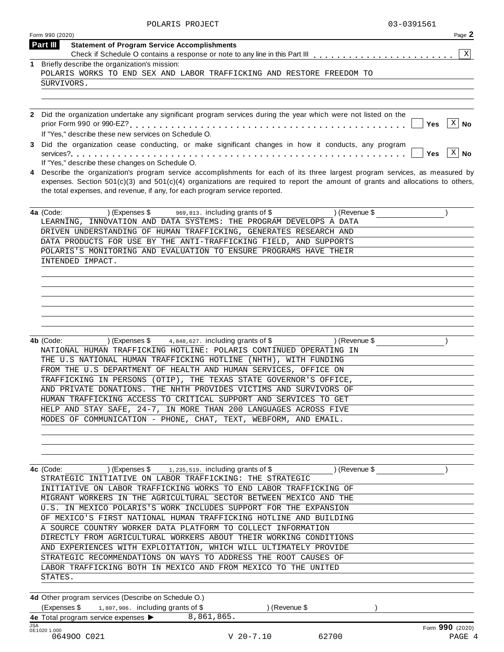| POLARIS PROJECT                                                                                                                       | 03-0391561 |              |
|---------------------------------------------------------------------------------------------------------------------------------------|------------|--------------|
| Form 990 (2020)                                                                                                                       |            | Page 2       |
| Part III<br><b>Statement of Program Service Accomplishments</b>                                                                       |            |              |
|                                                                                                                                       |            | $\mathbf{x}$ |
| 1 Briefly describe the organization's mission:                                                                                        |            |              |
| POLARIS WORKS TO END SEX AND LABOR TRAFFICKING AND RESTORE FREEDOM TO                                                                 |            |              |
| SURVIVORS.                                                                                                                            |            |              |
|                                                                                                                                       |            |              |
|                                                                                                                                       |            |              |
| 2 Did the organization undertake any significant program services during the year which were not listed on the                        |            |              |
|                                                                                                                                       | Yes        | $X \mid No$  |
| If "Yes," describe these new services on Schedule O.                                                                                  |            |              |
| Did the organization cease conducting, or make significant changes in how it conducts, any program                                    |            |              |
|                                                                                                                                       | <b>Yes</b> | $ X $ No     |
| If "Yes," describe these changes on Schedule O.                                                                                       |            |              |
| 4 Describe the organization's program service accomplishments for each of its three largest program services, as measured by          |            |              |
| expenses. Section $501(c)(3)$ and $501(c)(4)$ organizations are required to report the amount of grants and allocations to others,    |            |              |
| the total expenses, and revenue, if any, for each program service reported.                                                           |            |              |
|                                                                                                                                       |            |              |
| ) (Expenses $$$ 969,813. including grants of $$$<br>$($ Revenue \$<br>4a (Code:                                                       |            |              |
| LEARNING, INNOVATION AND DATA SYSTEMS: THE PROGRAM DEVELOPS A DATA                                                                    |            |              |
| DRIVEN UNDERSTANDING OF HUMAN TRAFFICKING, GENERATES RESEARCH AND                                                                     |            |              |
| DATA PRODUCTS FOR USE BY THE ANTI-TRAFFICKING FIELD, AND SUPPORTS                                                                     |            |              |
| POLARIS'S MONITORING AND EVALUATION TO ENSURE PROGRAMS HAVE THEIR                                                                     |            |              |
| INTENDED IMPACT.                                                                                                                      |            |              |
|                                                                                                                                       |            |              |
|                                                                                                                                       |            |              |
|                                                                                                                                       |            |              |
|                                                                                                                                       |            |              |
|                                                                                                                                       |            |              |
| 4b (Code:                                                                                                                             |            |              |
| (Expenses \$ $4,848,627$ . including grants of \$ ) (Revenue \$<br>NATIONAL HUMAN TRAFFICKING HOTLINE: POLARIS CONTINUED OPERATING IN |            |              |
| THE U.S NATIONAL HUMAN TRAFFICKING HOTLINE (NHTH), WITH FUNDING                                                                       |            |              |
| FROM THE U.S DEPARTMENT OF HEALTH AND HUMAN SERVICES, OFFICE ON                                                                       |            |              |
| TRAFFICKING IN PERSONS (OTIP), THE TEXAS STATE GOVERNOR'S OFFICE,                                                                     |            |              |
| AND PRIVATE DONATIONS. THE NHTH PROVIDES VICTIMS AND SURVIVORS OF                                                                     |            |              |
| HUMAN TRAFFICKING ACCESS TO CRITICAL SUPPORT AND SERVICES TO GET                                                                      |            |              |
| HELP AND STAY SAFE, 24-7, IN MORE THAN 200 LANGUAGES ACROSS FIVE                                                                      |            |              |
| MODES OF COMMUNICATION - PHONE, CHAT, TEXT, WEBFORM, AND EMAIL.                                                                       |            |              |
|                                                                                                                                       |            |              |
|                                                                                                                                       |            |              |
|                                                                                                                                       |            |              |
| $(Express $ 1, 235, 519. including grants of $$<br>4c (Code:                                                                          |            |              |
| ) (Revenue \$<br>STRATEGIC INITIATIVE ON LABOR TRAFFICKING: THE STRATEGIC                                                             |            |              |
| INITIATIVE ON LABOR TRAFFICKING WORKS TO END LABOR TRAFFICKING OF                                                                     |            |              |
| MIGRANT WORKERS IN THE AGRICULTURAL SECTOR BETWEEN MEXICO AND THE                                                                     |            |              |
| U.S. IN MEXICO POLARIS'S WORK INCLUDES SUPPORT FOR THE EXPANSION                                                                      |            |              |
| OF MEXICO'S FIRST NATIONAL HUMAN TRAFFICKING HOTLINE AND BUILDING                                                                     |            |              |
| A SOURCE COUNTRY WORKER DATA PLATFORM TO COLLECT INFORMATION                                                                          |            |              |
|                                                                                                                                       |            |              |
| DIRECTLY FROM AGRICULTURAL WORKERS ABOUT THEIR WORKING CONDITIONS                                                                     |            |              |
| AND EXPERIENCES WITH EXPLOITATION, WHICH WILL ULTIMATELY PROVIDE                                                                      |            |              |
| STRATEGIC RECOMMENDATIONS ON WAYS TO ADDRESS THE ROOT CAUSES OF<br>LABOR TRAFFICKING BOTH IN MEXICO AND FROM MEXICO TO THE UNITED     |            |              |

**4d** Other program services (Describe on Schedule O.) (Expenses \$1,807,906. including grants of \$ ) (Revenue \$ ) )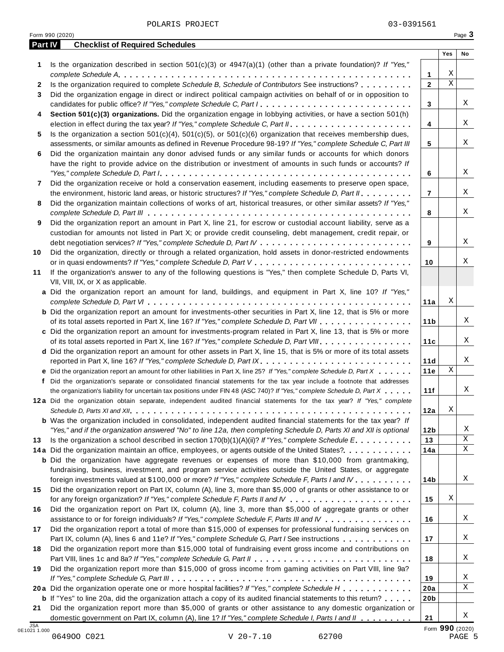| 1          | Is the organization described in section $501(c)(3)$ or $4947(a)(1)$ (other than a private foundation)? If "Yes,"                                                                           |                 |                 |  |
|------------|---------------------------------------------------------------------------------------------------------------------------------------------------------------------------------------------|-----------------|-----------------|--|
|            |                                                                                                                                                                                             | $\mathbf{1}$    | Χ               |  |
| 2          | Is the organization required to complete Schedule B, Schedule of Contributors See instructions?                                                                                             | $\overline{2}$  | $\mathbf X$     |  |
| 3          | Did the organization engage in direct or indirect political campaign activities on behalf of or in opposition to                                                                            |                 |                 |  |
|            |                                                                                                                                                                                             | 3               |                 |  |
| 4          | Section 501(c)(3) organizations. Did the organization engage in lobbying activities, or have a section 501(h)                                                                               |                 |                 |  |
|            |                                                                                                                                                                                             | 4               |                 |  |
| 5          | Is the organization a section $501(c)(4)$ , $501(c)(5)$ , or $501(c)(6)$ organization that receives membership dues,                                                                        |                 |                 |  |
|            | assessments, or similar amounts as defined in Revenue Procedure 98-19? If "Yes," complete Schedule C, Part III                                                                              | 5               |                 |  |
| 6          | Did the organization maintain any donor advised funds or any similar funds or accounts for which donors                                                                                     |                 |                 |  |
|            | have the right to provide advice on the distribution or investment of amounts in such funds or accounts? If                                                                                 |                 |                 |  |
|            |                                                                                                                                                                                             | 6               |                 |  |
| 7          | Did the organization receive or hold a conservation easement, including easements to preserve open space,                                                                                   |                 |                 |  |
|            | the environment, historic land areas, or historic structures? If "Yes," complete Schedule D, Part II.                                                                                       | $\overline{7}$  |                 |  |
| 8          | Did the organization maintain collections of works of art, historical treasures, or other similar assets? If "Yes,"                                                                         |                 |                 |  |
|            |                                                                                                                                                                                             | 8               |                 |  |
| 9          | Did the organization report an amount in Part X, line 21, for escrow or custodial account liability, serve as a                                                                             |                 |                 |  |
|            | custodian for amounts not listed in Part X; or provide credit counseling, debt management, credit repair, or                                                                                |                 |                 |  |
|            |                                                                                                                                                                                             | 9               |                 |  |
| 10         | Did the organization, directly or through a related organization, hold assets in donor-restricted endowments                                                                                |                 |                 |  |
|            |                                                                                                                                                                                             | 10              |                 |  |
| 11         | If the organization's answer to any of the following questions is "Yes," then complete Schedule D, Parts VI,                                                                                |                 |                 |  |
|            | VII, VIII, IX, or X as applicable.                                                                                                                                                          |                 |                 |  |
|            | a Did the organization report an amount for land, buildings, and equipment in Part X, line 10? If "Yes,"                                                                                    |                 |                 |  |
|            |                                                                                                                                                                                             | 11a             | Χ               |  |
|            | <b>b</b> Did the organization report an amount for investments-other securities in Part X, line 12, that is 5% or more                                                                      |                 |                 |  |
|            | of its total assets reported in Part X, line 16? If "Yes," complete Schedule D, Part VII                                                                                                    | 11 <sub>b</sub> |                 |  |
|            | c Did the organization report an amount for investments-program related in Part X, line 13, that is 5% or more                                                                              |                 |                 |  |
|            | of its total assets reported in Part X, line 16? If "Yes," complete Schedule D, Part VIII.                                                                                                  | 11c             |                 |  |
|            | d Did the organization report an amount for other assets in Part X, line 15, that is 5% or more of its total assets<br>reported in Part X, line 16? If "Yes," complete Schedule D, Part IX. |                 |                 |  |
|            | e Did the organization report an amount for other liabilities in Part X, line 25? If "Yes," complete Schedule D, Part X                                                                     | 11d<br>11e      | $\mathbf X$     |  |
|            | f Did the organization's separate or consolidated financial statements for the tax year include a footnote that addresses                                                                   |                 |                 |  |
|            | the organization's liability for uncertain tax positions under FIN 48 (ASC 740)? If "Yes," complete Schedule D, Part X                                                                      | 11f             |                 |  |
|            | 12a Did the organization obtain separate, independent audited financial statements for the tax year? If "Yes," complete                                                                     |                 |                 |  |
|            |                                                                                                                                                                                             | 12a             | Χ               |  |
|            | <b>b</b> Was the organization included in consolidated, independent audited financial statements for the tax year? If                                                                       |                 |                 |  |
|            | "Yes," and if the organization answered "No" to line 12a, then completing Schedule D, Parts XI and XII is optional                                                                          | 12 <sub>b</sub> |                 |  |
| 13         | Is the organization a school described in section $170(b)(1)(A)(ii)$ ? If "Yes," complete Schedule E.                                                                                       | 13              |                 |  |
|            | 14a Did the organization maintain an office, employees, or agents outside of the United States?.                                                                                            | 14a             |                 |  |
|            | <b>b</b> Did the organization have aggregate revenues or expenses of more than \$10,000 from grantmaking,                                                                                   |                 |                 |  |
|            | fundraising, business, investment, and program service activities outside the United States, or aggregate                                                                                   |                 |                 |  |
|            | foreign investments valued at \$100,000 or more? If "Yes," complete Schedule F, Parts I and IV                                                                                              | 14b             |                 |  |
| 15         | Did the organization report on Part IX, column (A), line 3, more than \$5,000 of grants or other assistance to or                                                                           |                 |                 |  |
|            |                                                                                                                                                                                             | 15              | Χ               |  |
| 16         | Did the organization report on Part IX, column (A), line 3, more than \$5,000 of aggregate grants or other                                                                                  |                 |                 |  |
|            | assistance to or for foreign individuals? If "Yes," complete Schedule F, Parts III and IV                                                                                                   | 16              |                 |  |
| 17         | Did the organization report a total of more than \$15,000 of expenses for professional fundraising services on                                                                              |                 |                 |  |
|            | Part IX, column (A), lines 6 and 11e? If "Yes," complete Schedule G, Part I See instructions                                                                                                | 17              |                 |  |
| 18         | Did the organization report more than \$15,000 total of fundraising event gross income and contributions on                                                                                 |                 |                 |  |
|            |                                                                                                                                                                                             | 18              |                 |  |
| 19         | Did the organization report more than \$15,000 of gross income from gaming activities on Part VIII, line 9a?                                                                                |                 |                 |  |
|            |                                                                                                                                                                                             | 19              |                 |  |
|            | 20a Did the organization operate one or more hospital facilities? If "Yes," complete Schedule H                                                                                             | 20a             |                 |  |
|            | <b>b</b> If "Yes" to line 20a, did the organization attach a copy of its audited financial statements to this return?                                                                       | 20 <sub>b</sub> |                 |  |
| 21         | Did the organization report more than \$5,000 of grants or other assistance to any domestic organization or                                                                                 |                 |                 |  |
|            | domestic government on Part IX, column (A), line 1? If "Yes," complete Schedule I, Parts I and II                                                                                           | 21              |                 |  |
| <b>JSA</b> |                                                                                                                                                                                             |                 | Form 990 (2020) |  |

Form <sup>990</sup> (2020) Page **3**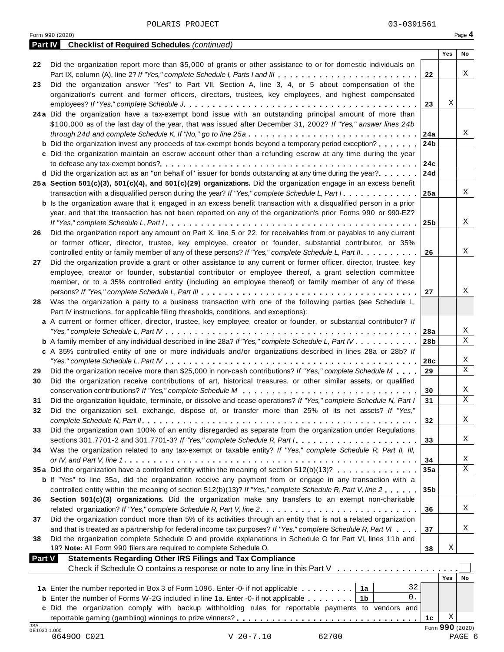|               | <b>Part IV</b><br><b>Checklist of Required Schedules (continued)</b>                                                                                                                                           |                 |     |                 |
|---------------|----------------------------------------------------------------------------------------------------------------------------------------------------------------------------------------------------------------|-----------------|-----|-----------------|
|               |                                                                                                                                                                                                                |                 | Yes | No              |
| 22            | Did the organization report more than \$5,000 of grants or other assistance to or for domestic individuals on                                                                                                  |                 |     | X               |
|               | Part IX, column (A), line 2? If "Yes," complete Schedule I, Parts I and III                                                                                                                                    | 22              |     |                 |
| 23            | Did the organization answer "Yes" to Part VII, Section A, line 3, 4, or 5 about compensation of the<br>organization's current and former officers, directors, trustees, key employees, and highest compensated |                 |     |                 |
|               |                                                                                                                                                                                                                | 23              | Χ   |                 |
|               | 24a Did the organization have a tax-exempt bond issue with an outstanding principal amount of more than                                                                                                        |                 |     |                 |
|               | \$100,000 as of the last day of the year, that was issued after December 31, 2002? If "Yes," answer lines 24b                                                                                                  |                 |     |                 |
|               | through 24d and complete Schedule K. If "No," go to line 25a                                                                                                                                                   | 24a             |     | Χ               |
|               | <b>b</b> Did the organization invest any proceeds of tax-exempt bonds beyond a temporary period exception?                                                                                                     | 24b             |     |                 |
|               | c Did the organization maintain an escrow account other than a refunding escrow at any time during the year                                                                                                    |                 |     |                 |
|               |                                                                                                                                                                                                                | 24c             |     |                 |
|               | d Did the organization act as an "on behalf of" issuer for bonds outstanding at any time during the year?                                                                                                      | 24d             |     |                 |
|               | 25a Section 501(c)(3), 501(c)(4), and 501(c)(29) organizations. Did the organization engage in an excess benefit                                                                                               |                 |     |                 |
|               | transaction with a disqualified person during the year? If "Yes," complete Schedule L, Part I                                                                                                                  | 25a             |     | X               |
|               | <b>b</b> Is the organization aware that it engaged in an excess benefit transaction with a disqualified person in a prior                                                                                      |                 |     |                 |
|               | year, and that the transaction has not been reported on any of the organization's prior Forms 990 or 990-EZ?                                                                                                   |                 |     |                 |
|               |                                                                                                                                                                                                                | 25 <sub>b</sub> |     | X               |
| 26            | Did the organization report any amount on Part X, line 5 or 22, for receivables from or payables to any current                                                                                                |                 |     |                 |
|               | or former officer, director, trustee, key employee, creator or founder, substantial contributor, or 35%                                                                                                        |                 |     |                 |
|               | controlled entity or family member of any of these persons? If "Yes," complete Schedule L, Part II.                                                                                                            | 26              |     | X               |
| 27            | Did the organization provide a grant or other assistance to any current or former officer, director, trustee, key                                                                                              |                 |     |                 |
|               | employee, creator or founder, substantial contributor or employee thereof, a grant selection committee                                                                                                         |                 |     |                 |
|               | member, or to a 35% controlled entity (including an employee thereof) or family member of any of these                                                                                                         |                 |     |                 |
|               |                                                                                                                                                                                                                | 27              |     | Χ               |
| 28            | Was the organization a party to a business transaction with one of the following parties (see Schedule L,                                                                                                      |                 |     |                 |
|               | Part IV instructions, for applicable filing thresholds, conditions, and exceptions):                                                                                                                           |                 |     |                 |
|               | a A current or former officer, director, trustee, key employee, creator or founder, or substantial contributor? If                                                                                             |                 |     |                 |
|               |                                                                                                                                                                                                                | 28a             |     | X               |
|               | <b>b</b> A family member of any individual described in line 28a? If "Yes," complete Schedule L, Part IV.                                                                                                      | 28 <sub>b</sub> |     | X               |
|               | c A 35% controlled entity of one or more individuals and/or organizations described in lines 28a or 28b? If                                                                                                    |                 |     |                 |
|               |                                                                                                                                                                                                                | 28c             |     | Χ               |
| 29            | Did the organization receive more than \$25,000 in non-cash contributions? If "Yes," complete Schedule M                                                                                                       | 29              |     | X               |
| 30            | Did the organization receive contributions of art, historical treasures, or other similar assets, or qualified                                                                                                 |                 |     |                 |
|               |                                                                                                                                                                                                                | 30              |     | Χ               |
| 31            | Did the organization liquidate, terminate, or dissolve and cease operations? If "Yes," complete Schedule N, Part I                                                                                             | 31              |     | X               |
|               | Did the organization sell, exchange, dispose of, or transfer more than 25% of its net assets? If "Yes,"                                                                                                        |                 |     |                 |
|               |                                                                                                                                                                                                                | 32              |     | Χ               |
| 33            | Did the organization own 100% of an entity disregarded as separate from the organization under Regulations                                                                                                     |                 |     |                 |
|               |                                                                                                                                                                                                                | 33              |     | Χ               |
| 34            | Was the organization related to any tax-exempt or taxable entity? If "Yes," complete Schedule R, Part II, III,                                                                                                 |                 |     |                 |
|               |                                                                                                                                                                                                                | 34              |     | Χ               |
|               | 35a Did the organization have a controlled entity within the meaning of section 512(b)(13)?                                                                                                                    | 35a             |     | X               |
|               | <b>b</b> If "Yes" to line 35a, did the organization receive any payment from or engage in any transaction with a                                                                                               |                 |     |                 |
|               | controlled entity within the meaning of section 512(b)(13)? If "Yes," complete Schedule R, Part V, line 2                                                                                                      | 35 <sub>b</sub> |     |                 |
| 36            | Section 501(c)(3) organizations. Did the organization make any transfers to an exempt non-charitable                                                                                                           |                 |     |                 |
|               | related organization? If "Yes," complete Schedule R, Part V, line 2.                                                                                                                                           | 36              |     | Χ               |
| 37            | Did the organization conduct more than 5% of its activities through an entity that is not a related organization                                                                                               |                 |     |                 |
|               | and that is treated as a partnership for federal income tax purposes? If "Yes," complete Schedule R, Part VI                                                                                                   | 37              |     | Χ               |
| 38            | Did the organization complete Schedule O and provide explanations in Schedule O for Part VI, lines 11b and                                                                                                     |                 |     |                 |
|               | 19? Note: All Form 990 filers are required to complete Schedule O.                                                                                                                                             | 38              | Χ   |                 |
| <b>Part V</b> | <b>Statements Regarding Other IRS Filings and Tax Compliance</b>                                                                                                                                               |                 |     |                 |
|               | Check if Schedule O contains a response or note to any line in this Part V                                                                                                                                     |                 |     |                 |
|               |                                                                                                                                                                                                                |                 | Yes | No              |
|               | 32<br>1a Enter the number reported in Box 3 of Form 1096. Enter -0- if not applicable<br>1a                                                                                                                    |                 |     |                 |
|               | $0$ .<br><b>b</b> Enter the number of Forms W-2G included in line 1a. Enter -0- if not applicable<br>1b                                                                                                        |                 |     |                 |
|               | c Did the organization comply with backup withholding rules for reportable payments to vendors and                                                                                                             |                 |     |                 |
| JSA           |                                                                                                                                                                                                                | 1c              | Χ   |                 |
| 0E1030 1.000  | 064900 C021                                                                                                                                                                                                    |                 |     | Form 990 (2020) |
|               | $V$ 20-7.10<br>62700                                                                                                                                                                                           |                 |     | PAGE 6          |

Form <sup>990</sup> (2020) Page **4**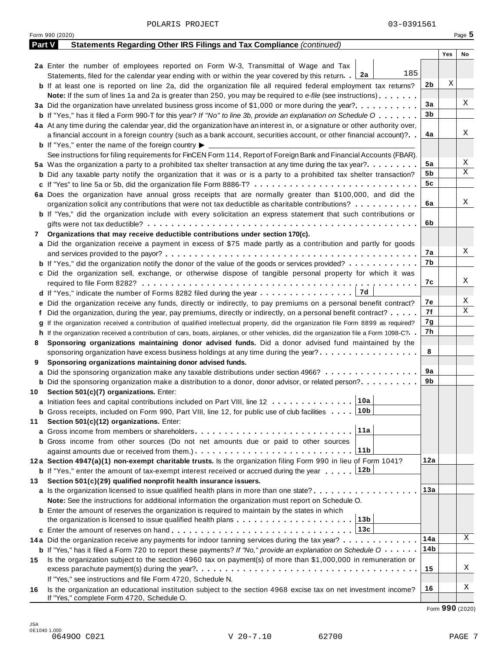|        | Form 990 (2020)                                                                                                                              |     |     | Page 5 |
|--------|----------------------------------------------------------------------------------------------------------------------------------------------|-----|-----|--------|
| Part V | Statements Regarding Other IRS Filings and Tax Compliance (continued)                                                                        |     |     |        |
|        |                                                                                                                                              |     | Yes | No     |
|        | 2a Enter the number of employees reported on Form W-3, Transmittal of Wage and Tax                                                           |     |     |        |
|        | 185<br>Statements, filed for the calendar year ending with or within the year covered by this return. 2a                                     |     |     |        |
|        | <b>b</b> If at least one is reported on line 2a, did the organization file all required federal employment tax returns?                      | 2b  | X   |        |
|        | <b>Note:</b> If the sum of lines 1a and 2a is greater than 250, you may be required to e-file (see instructions).                            |     |     |        |
|        | 3a Did the organization have unrelated business gross income of \$1,000 or more during the year?                                             | 3a  |     | Χ      |
|        | <b>b</b> If "Yes," has it filed a Form 990-T for this year? If "No" to line 3b, provide an explanation on Schedule O                         | 3b  |     |        |
|        | 4a At any time during the calendar year, did the organization have an interest in, or a signature or other authority over,                   |     |     |        |
|        | a financial account in a foreign country (such as a bank account, securities account, or other financial account)?                           | 4a  |     | Χ      |
|        | <b>b</b> If "Yes," enter the name of the foreign country $\blacktriangleright$                                                               |     |     |        |
|        | See instructions for filing requirements for FinCEN Form 114, Report of Foreign Bank and Financial Accounts (FBAR).                          |     |     |        |
|        | 5a Was the organization a party to a prohibited tax shelter transaction at any time during the tax year?                                     | 5a  |     | Χ      |
|        | <b>b</b> Did any taxable party notify the organization that it was or is a party to a prohibited tax shelter transaction?                    | 5b  |     | Χ      |
|        | c If "Yes" to line 5a or 5b, did the organization file Form 8886-T?                                                                          | 5c  |     |        |
|        | 6a Does the organization have annual gross receipts that are normally greater than \$100,000, and did the                                    |     |     |        |
|        | organization solicit any contributions that were not tax deductible as charitable contributions?                                             | 6a  |     | Χ      |
|        | <b>b</b> If "Yes," did the organization include with every solicitation an express statement that such contributions or                      |     |     |        |
|        |                                                                                                                                              | 6b  |     |        |
| 7      | Organizations that may receive deductible contributions under section 170(c).                                                                |     |     |        |
|        | a Did the organization receive a payment in excess of \$75 made partly as a contribution and partly for goods                                |     |     |        |
|        |                                                                                                                                              | 7а  |     | Χ      |
|        | <b>b</b> If "Yes," did the organization notify the donor of the value of the goods or services provided?                                     | 7b  |     |        |
|        | c Did the organization sell, exchange, or otherwise dispose of tangible personal property for which it was                                   |     |     |        |
|        |                                                                                                                                              | 7с  |     | Χ      |
|        | 7d<br>d If "Yes," indicate the number of Forms 8282 filed during the year                                                                    |     |     |        |
|        | e Did the organization receive any funds, directly or indirectly, to pay premiums on a personal benefit contract?                            | 7е  |     | Χ      |
|        | f Did the organization, during the year, pay premiums, directly or indirectly, on a personal benefit contract?                               | 7f  |     | Χ      |
|        | g If the organization received a contribution of qualified intellectual property, did the organization file Form 8899 as required?           | 7g  |     |        |
|        | h If the organization received a contribution of cars, boats, airplanes, or other vehicles, did the organization file a Form 1098-C?         | 7h  |     |        |
| 8      | Sponsoring organizations maintaining donor advised funds. Did a donor advised fund maintained by the                                         |     |     |        |
|        | sponsoring organization have excess business holdings at any time during the year?                                                           | 8   |     |        |
| 9      | Sponsoring organizations maintaining donor advised funds.                                                                                    |     |     |        |
|        | a Did the sponsoring organization make any taxable distributions under section 4966?                                                         | 9а  |     |        |
|        | <b>b</b> Did the sponsoring organization make a distribution to a donor, donor advisor, or related person?                                   | 9b  |     |        |
|        | 10 Section 501(c)(7) organizations. Enter:                                                                                                   |     |     |        |
|        | 10a <br>a Initiation fees and capital contributions included on Part VIII, line 12                                                           |     |     |        |
|        | 10b<br><b>b</b> Gross receipts, included on Form 990, Part VIII, line 12, for public use of club facilities $\ldots$ .                       |     |     |        |
| 11     | Section 501(c)(12) organizations. Enter:                                                                                                     |     |     |        |
|        | 11a                                                                                                                                          |     |     |        |
|        | b Gross income from other sources (Do not net amounts due or paid to other sources                                                           |     |     |        |
|        | 11b                                                                                                                                          |     |     |        |
|        | 12a Section 4947(a)(1) non-exempt charitable trusts. Is the organization filing Form 990 in lieu of Form 1041?                               | 12a |     |        |
|        | 12b<br><b>b</b> If "Yes," enter the amount of tax-exempt interest received or accrued during the year                                        |     |     |        |
| 13.    | Section 501(c)(29) qualified nonprofit health insurance issuers.                                                                             |     |     |        |
|        | a Is the organization licensed to issue qualified health plans in more than one state?                                                       | 13а |     |        |
|        | Note: See the instructions for additional information the organization must report on Schedule O.                                            |     |     |        |
|        | <b>b</b> Enter the amount of reserves the organization is required to maintain by the states in which                                        |     |     |        |
|        | 13b<br>the organization is licensed to issue qualified health plans $\ldots \ldots \ldots \ldots \ldots \ldots \ldots$                       |     |     |        |
|        | 13c                                                                                                                                          |     |     |        |
|        | 14a Did the organization receive any payments for indoor tanning services during the tax year?                                               | 14a |     | Χ      |
|        | <b>b</b> If "Yes," has it filed a Form 720 to report these payments? If "No," provide an explanation on Schedule $0 \cdot \cdot \cdot \cdot$ | 14b |     |        |
| 15     | Is the organization subject to the section 4960 tax on payment(s) of more than \$1,000,000 in remuneration or                                |     |     |        |
|        |                                                                                                                                              | 15  |     | Χ      |
|        | If "Yes," see instructions and file Form 4720, Schedule N.                                                                                   |     |     |        |
| 16     | Is the organization an educational institution subject to the section 4968 excise tax on net investment income?                              | 16  |     | Χ      |
|        | If "Yes," complete Form 4720, Schedule O.                                                                                                    |     |     |        |

Form **990** (2020)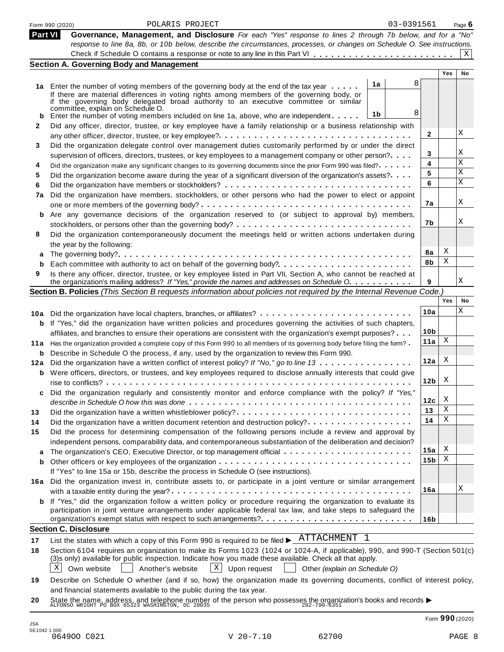|         | 03-0391561<br>POLARIS PROJECT<br>Form 990 (2020)                                                                                                                                         |              |            | Page $6$     |
|---------|------------------------------------------------------------------------------------------------------------------------------------------------------------------------------------------|--------------|------------|--------------|
| Part VI | Governance, Management, and Disclosure For each "Yes" response to lines 2 through 7b below, and for a "No"                                                                               |              |            |              |
|         | response to line 8a, 8b, or 10b below, describe the circumstances, processes, or changes on Schedule O. See instructions.                                                                |              |            |              |
|         |                                                                                                                                                                                          |              |            | $\mathbf{x}$ |
|         | <b>Section A. Governing Body and Management</b>                                                                                                                                          |              |            |              |
|         |                                                                                                                                                                                          |              | <b>Yes</b> | No           |
|         | 8<br>1a<br>1a Enter the number of voting members of the governing body at the end of the tax year                                                                                        |              |            |              |
|         | If there are material differences in voting rights among members of the governing body, or                                                                                               |              |            |              |
|         | if the governing body delegated broad authority to an executive committee or similar<br>committée, explain on Schedule O.                                                                |              |            |              |
|         | 8<br>1b<br><b>b</b> Enter the number of voting members included on line 1a, above, who are independent                                                                                   |              |            |              |
| 2       | Did any officer, director, trustee, or key employee have a family relationship or a business relationship with                                                                           |              |            |              |
|         |                                                                                                                                                                                          | $\mathbf{2}$ |            | Χ            |
| 3       | Did the organization delegate control over management duties customarily performed by or under the direct                                                                                |              |            |              |
|         | supervision of officers, directors, trustees, or key employees to a management company or other person?                                                                                  | 3            |            | Χ            |
| 4       | Did the organization make any significant changes to its governing documents since the prior Form 990 was filed?                                                                         | 4            |            | X            |
| 5       | Did the organization become aware during the year of a significant diversion of the organization's assets?                                                                               | 5            |            | X            |
| 6       |                                                                                                                                                                                          | 6            |            | $\mathbf x$  |
| 7a      | Did the organization have members, stockholders, or other persons who had the power to elect or appoint                                                                                  |              |            |              |
|         |                                                                                                                                                                                          | 7a           |            | Χ            |
| b       | Are any governance decisions of the organization reserved to (or subject to approval by) members,                                                                                        |              |            |              |
|         |                                                                                                                                                                                          | 7b           |            | Χ            |
| 8       | Did the organization contemporaneously document the meetings held or written actions undertaken during                                                                                   |              |            |              |
|         | the year by the following:                                                                                                                                                               |              |            |              |
| a       |                                                                                                                                                                                          | 8a           | X          |              |
| b       | Each committee with authority to act on behalf of the governing body?                                                                                                                    | 8b           | Χ          |              |
| 9       | Is there any officer, director, trustee, or key employee listed in Part VII, Section A, who cannot be reached at                                                                         |              |            |              |
|         | the organization's mailing address? If "Yes," provide the names and addresses on Schedule O.                                                                                             | 9            |            | X            |
|         | Section B. Policies (This Section B requests information about policies not required by the Internal Revenue Code.)                                                                      |              |            |              |
|         |                                                                                                                                                                                          |              | Yes        | No           |
|         | 10a Did the organization have local chapters, branches, or affiliates?                                                                                                                   | 10a          |            | X            |
|         | <b>b</b> If "Yes," did the organization have written policies and procedures governing the activities of such chapters,                                                                  |              |            |              |
|         | affiliates, and branches to ensure their operations are consistent with the organization's exempt purposes?                                                                              | 10b          |            |              |
| 11a     | Has the organization provided a complete copy of this Form 990 to all members of its governing body before filing the form?                                                              | 11a          | X          |              |
| b       | Describe in Schedule O the process, if any, used by the organization to review this Form 990.                                                                                            |              |            |              |
|         | 12a Did the organization have a written conflict of interest policy? If "No," go to line 13                                                                                              | 12a          | Χ          |              |
|         | <b>b</b> Were officers, directors, or trustees, and key employees required to disclose annually interests that could give                                                                |              |            |              |
|         |                                                                                                                                                                                          | 12b          | X          |              |
| c       | Did the organization regularly and consistently monitor and enforce compliance with the policy? If "Yes,"                                                                                |              |            |              |
|         |                                                                                                                                                                                          | 12c          | X          |              |
| 13      |                                                                                                                                                                                          | 13           | Χ          |              |
| 14      | Did the organization have a written document retention and destruction policy?                                                                                                           | 14           | Χ          |              |
| 15      | Did the process for determining compensation of the following persons include a review and approval by                                                                                   |              |            |              |
|         | independent persons, comparability data, and contemporaneous substantiation of the deliberation and decision?                                                                            |              |            |              |
| a       |                                                                                                                                                                                          | 15a          | X<br>Χ     |              |
| b       |                                                                                                                                                                                          | 15b          |            |              |
|         | If "Yes" to line 15a or 15b, describe the process in Schedule O (see instructions).                                                                                                      |              |            |              |
|         | 16a Did the organization invest in, contribute assets to, or participate in a joint venture or similar arrangement                                                                       | 16a          |            | Χ            |
|         |                                                                                                                                                                                          |              |            |              |
| b       | If "Yes," did the organization follow a written policy or procedure requiring the organization to evaluate its                                                                           |              |            |              |
|         | participation in joint venture arrangements under applicable federal tax law, and take steps to safeguard the                                                                            |              |            |              |
|         | <b>Section C. Disclosure</b>                                                                                                                                                             | 16b          |            |              |
|         |                                                                                                                                                                                          |              |            |              |
| 17      | List the states with which a copy of this Form 990 is required to be filed $\blacktriangleright$ $\frac{\text{ATTACHMENT}}{\text{HENT}}$ 1                                               |              |            |              |
| 18      | Section 6104 requires an organization to make its Forms 1023 (1024 or 1024-A, if applicable), 990, and 990-T (Section 501(c)                                                             |              |            |              |
|         | (3)s only) available for public inspection. Indicate how you made these available. Check all that apply.<br>Χ<br>$\mathbf{X}$                                                            |              |            |              |
|         | Own website<br>Another's website<br>Upon request<br>Other (explain on Schedule O)                                                                                                        |              |            |              |
| 19      | Describe on Schedule O whether (and if so, how) the organization made its governing documents, conflict of interest policy,                                                              |              |            |              |
|         | and financial statements available to the public during the tax year.                                                                                                                    |              |            |              |
| 20      | State the name, address, and telephone number of the person who possesses the organization's books and records $\blacktriangleright$<br>ALFONSO WRIGHT PO BOX 65323 WASHINGTON, DC 20035 |              |            |              |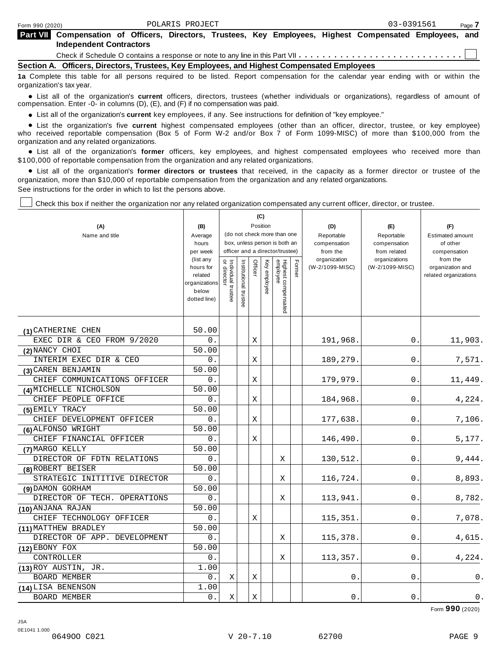**Compensation of Officers, Directors, Trustees, Key Employees, Highest Compensated Employees, and Part VII Independent Contractors**

Check if Schedule O contains a response or note to any line in this Part VII  $\ldots \ldots \ldots \ldots \ldots \ldots \ldots \ldots$ 

**Section A. Officers, Directors, Trustees, Key Employees, and Highest Compensated Employees**

**1a** Complete this table for all persons required to be listed. Report compensation for the calendar year ending with or within the organization's tax year.

anization's lax year.<br>● List all of the organization's **current** officers, directors, trustees (whether individuals or organizations), regardless of amount of<br>nnensation Enter -0- in columns (D) (E) and (E) if no compensa compensation. Enter -0- in columns (D), (E), and (F) if no compensation was paid.

• List all of the organization's current key employees, if any. See instructions for definition of "key employee."

■ List all of the organization's current key employees, if any. See instructions for definition of "key employee."<br>■ List the organization's five current highest compensated employees (other than an officer, director, tru who received reportable compensation (Box 5 of Form W-2 and/or Box 7 of Form 1099-MISC) of more than \$100,000 from the

organization and any related organizations.<br>• List all of the organization's **former** officers, key employees, and highest compensated employees who received more than<br>\$1.00.000 of reportable componention from the erganiza \$100,000 of reportable compensation from the organization and any related organizations.

% List all of the organization's **former directors or trustees** that received, in the capacity as a former director or trustee of the organization, more than \$10,000 of reportable compensation from the organization and any related organizations. See instructions for the order in which to list the persons above.

Check this box if neither the organization nor any related organization compensated any current officer, director, or trustee.

|                              |                                        |                                   |                                                                  |             | (C)          |                                 |        |                          |                               |                                           |
|------------------------------|----------------------------------------|-----------------------------------|------------------------------------------------------------------|-------------|--------------|---------------------------------|--------|--------------------------|-------------------------------|-------------------------------------------|
| (A)                          | (B)                                    | Position                          |                                                                  |             |              |                                 |        | (D)                      | (E)                           | (F)                                       |
| Name and title               | Average                                | (do not check more than one       |                                                                  |             |              |                                 |        | Reportable               | Reportable                    | <b>Estimated amount</b>                   |
|                              | hours                                  |                                   | box, unless person is both an<br>officer and a director/trustee) |             |              |                                 |        | compensation<br>from the | compensation                  | of other                                  |
|                              | per week<br>(list any                  |                                   |                                                                  |             |              |                                 |        | organization             | from related<br>organizations | compensation<br>from the                  |
|                              | hours for<br>related                   |                                   |                                                                  | Officer     | Key employee |                                 | Former | (W-2/1099-MISC)          | (W-2/1099-MISC)               | organization and<br>related organizations |
|                              | organizations<br>below<br>dotted line) | Individual trustee<br>or director | Institutional trustee                                            |             |              | Highest compensated<br>employee |        |                          |                               |                                           |
| (1) CATHERINE CHEN           | 50.00                                  |                                   |                                                                  |             |              |                                 |        |                          |                               |                                           |
| EXEC DIR & CEO FROM 9/2020   | 0.                                     |                                   |                                                                  | Χ           |              |                                 |        | 191,968                  | 0.                            | 11,903.                                   |
| (2) NANCY CHOI               | 50.00                                  |                                   |                                                                  |             |              |                                 |        |                          |                               |                                           |
| INTERIM EXEC DIR & CEO       | 0.                                     |                                   |                                                                  | Χ           |              |                                 |        | 189,279.                 | 0.                            | 7,571.                                    |
| (3) CAREN BENJAMIN           | 50.00                                  |                                   |                                                                  |             |              |                                 |        |                          |                               |                                           |
| CHIEF COMMUNICATIONS OFFICER | 0.                                     |                                   |                                                                  | X           |              |                                 |        | 179,979                  | $0$ .                         | 11,449.                                   |
| (4) MICHELLE NICHOLSON       | 50.00                                  |                                   |                                                                  |             |              |                                 |        |                          |                               |                                           |
| CHIEF PEOPLE OFFICE          | 0.                                     |                                   |                                                                  | Χ           |              |                                 |        | 184,968                  | 0.                            | 4,224.                                    |
| (5) EMILY TRACY              | 50.00                                  |                                   |                                                                  |             |              |                                 |        |                          |                               |                                           |
| CHIEF DEVELOPMENT OFFICER    | 0.                                     |                                   |                                                                  | Χ           |              |                                 |        | 177,638.                 | 0.                            | 7,106.                                    |
| (6) ALFONSO WRIGHT           | 50.00                                  |                                   |                                                                  |             |              |                                 |        |                          |                               |                                           |
| CHIEF FINANCIAL OFFICER      | 0.                                     |                                   |                                                                  | Χ           |              |                                 |        | 146,490.                 | 0.                            | 5,177.                                    |
| (7) MARGO KELLY              | 50.00                                  |                                   |                                                                  |             |              |                                 |        |                          |                               |                                           |
| DIRECTOR OF FDTN RELATIONS   | 0.                                     |                                   |                                                                  |             |              | Χ                               |        | 130,512.                 | 0.                            | 9,444.                                    |
| (8) ROBERT BEISER            | 50.00                                  |                                   |                                                                  |             |              |                                 |        |                          |                               |                                           |
| STRATEGIC INITITIVE DIRECTOR | 0.                                     |                                   |                                                                  |             |              | Χ                               |        | 116,724.                 | 0                             | 8,893.                                    |
| (9) DAMON GORHAM             | 50.00                                  |                                   |                                                                  |             |              |                                 |        |                          |                               |                                           |
| DIRECTOR OF TECH. OPERATIONS | 0.                                     |                                   |                                                                  |             |              | Χ                               |        | 113,941.                 | 0.                            | 8,782.                                    |
| (10) ANJANA RAJAN            | 50.00                                  |                                   |                                                                  |             |              |                                 |        |                          |                               |                                           |
| CHIEF TECHNOLOGY OFFICER     | 0.                                     |                                   |                                                                  | Χ           |              |                                 |        | 115,351.                 | 0.                            | 7,078.                                    |
| (11) MATTHEW BRADLEY         | 50.00                                  |                                   |                                                                  |             |              |                                 |        |                          |                               |                                           |
| DIRECTOR OF APP. DEVELOPMENT | 0.                                     |                                   |                                                                  |             |              | Χ                               |        | 115,378.                 | 0.                            | 4,615.                                    |
| (12) EBONY FOX               | 50.00                                  |                                   |                                                                  |             |              |                                 |        |                          |                               |                                           |
| CONTROLLER                   | 0.                                     |                                   |                                                                  |             |              | Χ                               |        | 113,357.                 | 0.                            | 4,224.                                    |
| (13) ROY AUSTIN, JR.         | 1.00                                   |                                   |                                                                  |             |              |                                 |        |                          |                               |                                           |
| <b>BOARD MEMBER</b>          | 0.                                     | X                                 |                                                                  | X           |              |                                 |        | 0                        | 0                             | 0.                                        |
| (14) LISA BENENSON           | 1.00                                   |                                   |                                                                  |             |              |                                 |        |                          |                               |                                           |
| <b>BOARD MEMBER</b>          | 0.                                     | $\mathbf X$                       |                                                                  | $\mathbf X$ |              |                                 |        | $0$ .                    | 0                             | $0$ .                                     |

Form **990** (2020)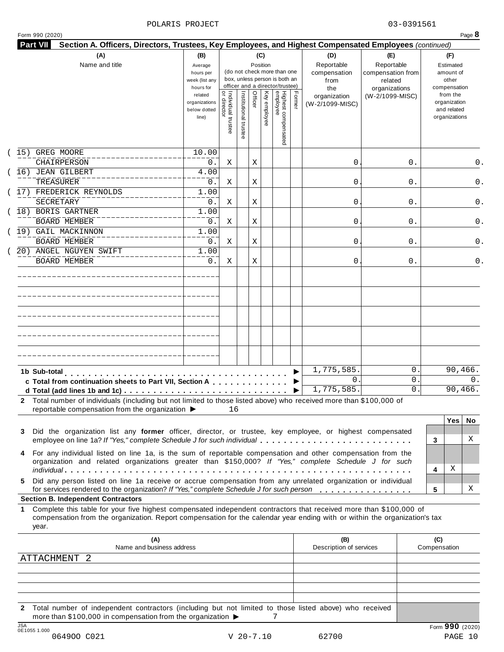| Name and title | Average<br>hours per<br>week (list any<br>hours for                                                                                                                                                                                                                                                                                      |                                                                                                                           |                                                                                                             |         |                                                                        |                                 |        | Reportable                      | Reportable                                             | Estimated<br>amount of                                                                                                                                                                                                                                                                                                                                                                                                                                                                                                                                                                                                                                                                                                                                                                                                                                                                                                                                                                                                                                    |
|----------------|------------------------------------------------------------------------------------------------------------------------------------------------------------------------------------------------------------------------------------------------------------------------------------------------------------------------------------------|---------------------------------------------------------------------------------------------------------------------------|-------------------------------------------------------------------------------------------------------------|---------|------------------------------------------------------------------------|---------------------------------|--------|---------------------------------|--------------------------------------------------------|-----------------------------------------------------------------------------------------------------------------------------------------------------------------------------------------------------------------------------------------------------------------------------------------------------------------------------------------------------------------------------------------------------------------------------------------------------------------------------------------------------------------------------------------------------------------------------------------------------------------------------------------------------------------------------------------------------------------------------------------------------------------------------------------------------------------------------------------------------------------------------------------------------------------------------------------------------------------------------------------------------------------------------------------------------------|
|                |                                                                                                                                                                                                                                                                                                                                          |                                                                                                                           | Position<br>(do not check more than one<br>box, unless person is both an<br>officer and a director/trustee) |         |                                                                        |                                 |        | compensation<br>from<br>the     | compensation from<br>related<br>organizations          | other<br>compensation                                                                                                                                                                                                                                                                                                                                                                                                                                                                                                                                                                                                                                                                                                                                                                                                                                                                                                                                                                                                                                     |
|                | related<br>organizations<br>below dotted<br>line)                                                                                                                                                                                                                                                                                        | Individual trustee<br>  or director                                                                                       | Institutional trustee                                                                                       | Officer | Key employee                                                           | Highest compensated<br>employee | Former | organization<br>(W-2/1099-MISC) | (W-2/1099-MISC)                                        | from the<br>organization<br>and related<br>organizations                                                                                                                                                                                                                                                                                                                                                                                                                                                                                                                                                                                                                                                                                                                                                                                                                                                                                                                                                                                                  |
|                | 10.00                                                                                                                                                                                                                                                                                                                                    |                                                                                                                           |                                                                                                             |         |                                                                        |                                 |        |                                 |                                                        |                                                                                                                                                                                                                                                                                                                                                                                                                                                                                                                                                                                                                                                                                                                                                                                                                                                                                                                                                                                                                                                           |
|                |                                                                                                                                                                                                                                                                                                                                          |                                                                                                                           |                                                                                                             |         |                                                                        |                                 |        |                                 |                                                        |                                                                                                                                                                                                                                                                                                                                                                                                                                                                                                                                                                                                                                                                                                                                                                                                                                                                                                                                                                                                                                                           |
|                |                                                                                                                                                                                                                                                                                                                                          |                                                                                                                           |                                                                                                             |         |                                                                        |                                 |        |                                 |                                                        |                                                                                                                                                                                                                                                                                                                                                                                                                                                                                                                                                                                                                                                                                                                                                                                                                                                                                                                                                                                                                                                           |
|                |                                                                                                                                                                                                                                                                                                                                          |                                                                                                                           |                                                                                                             |         |                                                                        |                                 |        |                                 |                                                        |                                                                                                                                                                                                                                                                                                                                                                                                                                                                                                                                                                                                                                                                                                                                                                                                                                                                                                                                                                                                                                                           |
|                |                                                                                                                                                                                                                                                                                                                                          |                                                                                                                           |                                                                                                             |         |                                                                        |                                 |        |                                 |                                                        |                                                                                                                                                                                                                                                                                                                                                                                                                                                                                                                                                                                                                                                                                                                                                                                                                                                                                                                                                                                                                                                           |
|                |                                                                                                                                                                                                                                                                                                                                          |                                                                                                                           |                                                                                                             |         |                                                                        |                                 |        |                                 |                                                        |                                                                                                                                                                                                                                                                                                                                                                                                                                                                                                                                                                                                                                                                                                                                                                                                                                                                                                                                                                                                                                                           |
|                | 0.                                                                                                                                                                                                                                                                                                                                       | Χ                                                                                                                         |                                                                                                             | Χ       |                                                                        |                                 |        | 0                               | 0.                                                     |                                                                                                                                                                                                                                                                                                                                                                                                                                                                                                                                                                                                                                                                                                                                                                                                                                                                                                                                                                                                                                                           |
|                | 1.00                                                                                                                                                                                                                                                                                                                                     |                                                                                                                           |                                                                                                             |         |                                                                        |                                 |        |                                 |                                                        |                                                                                                                                                                                                                                                                                                                                                                                                                                                                                                                                                                                                                                                                                                                                                                                                                                                                                                                                                                                                                                                           |
|                | 0.                                                                                                                                                                                                                                                                                                                                       | Χ                                                                                                                         |                                                                                                             | Χ       |                                                                        |                                 |        | 0                               | 0.                                                     |                                                                                                                                                                                                                                                                                                                                                                                                                                                                                                                                                                                                                                                                                                                                                                                                                                                                                                                                                                                                                                                           |
|                | 1.00                                                                                                                                                                                                                                                                                                                                     |                                                                                                                           |                                                                                                             |         |                                                                        |                                 |        |                                 |                                                        |                                                                                                                                                                                                                                                                                                                                                                                                                                                                                                                                                                                                                                                                                                                                                                                                                                                                                                                                                                                                                                                           |
|                | 0.                                                                                                                                                                                                                                                                                                                                       | Χ                                                                                                                         |                                                                                                             | Χ       |                                                                        |                                 |        | 0                               | 0.                                                     |                                                                                                                                                                                                                                                                                                                                                                                                                                                                                                                                                                                                                                                                                                                                                                                                                                                                                                                                                                                                                                                           |
|                |                                                                                                                                                                                                                                                                                                                                          |                                                                                                                           |                                                                                                             |         |                                                                        |                                 |        |                                 |                                                        |                                                                                                                                                                                                                                                                                                                                                                                                                                                                                                                                                                                                                                                                                                                                                                                                                                                                                                                                                                                                                                                           |
|                |                                                                                                                                                                                                                                                                                                                                          |                                                                                                                           |                                                                                                             |         |                                                                        |                                 |        |                                 |                                                        |                                                                                                                                                                                                                                                                                                                                                                                                                                                                                                                                                                                                                                                                                                                                                                                                                                                                                                                                                                                                                                                           |
|                |                                                                                                                                                                                                                                                                                                                                          |                                                                                                                           |                                                                                                             |         |                                                                        |                                 |        |                                 |                                                        |                                                                                                                                                                                                                                                                                                                                                                                                                                                                                                                                                                                                                                                                                                                                                                                                                                                                                                                                                                                                                                                           |
|                |                                                                                                                                                                                                                                                                                                                                          |                                                                                                                           |                                                                                                             |         |                                                                        |                                 |        |                                 |                                                        |                                                                                                                                                                                                                                                                                                                                                                                                                                                                                                                                                                                                                                                                                                                                                                                                                                                                                                                                                                                                                                                           |
|                |                                                                                                                                                                                                                                                                                                                                          |                                                                                                                           |                                                                                                             |         |                                                                        |                                 |        |                                 |                                                        |                                                                                                                                                                                                                                                                                                                                                                                                                                                                                                                                                                                                                                                                                                                                                                                                                                                                                                                                                                                                                                                           |
|                |                                                                                                                                                                                                                                                                                                                                          |                                                                                                                           |                                                                                                             |         |                                                                        |                                 |        |                                 |                                                        |                                                                                                                                                                                                                                                                                                                                                                                                                                                                                                                                                                                                                                                                                                                                                                                                                                                                                                                                                                                                                                                           |
|                |                                                                                                                                                                                                                                                                                                                                          |                                                                                                                           |                                                                                                             |         |                                                                        |                                 |        |                                 |                                                        |                                                                                                                                                                                                                                                                                                                                                                                                                                                                                                                                                                                                                                                                                                                                                                                                                                                                                                                                                                                                                                                           |
|                |                                                                                                                                                                                                                                                                                                                                          |                                                                                                                           |                                                                                                             |         |                                                                        |                                 |        |                                 |                                                        |                                                                                                                                                                                                                                                                                                                                                                                                                                                                                                                                                                                                                                                                                                                                                                                                                                                                                                                                                                                                                                                           |
|                |                                                                                                                                                                                                                                                                                                                                          |                                                                                                                           |                                                                                                             |         |                                                                        |                                 |        |                                 |                                                        |                                                                                                                                                                                                                                                                                                                                                                                                                                                                                                                                                                                                                                                                                                                                                                                                                                                                                                                                                                                                                                                           |
|                |                                                                                                                                                                                                                                                                                                                                          |                                                                                                                           |                                                                                                             |         |                                                                        |                                 |        |                                 | 0                                                      | 90,466.                                                                                                                                                                                                                                                                                                                                                                                                                                                                                                                                                                                                                                                                                                                                                                                                                                                                                                                                                                                                                                                   |
|                |                                                                                                                                                                                                                                                                                                                                          |                                                                                                                           |                                                                                                             |         |                                                                        |                                 |        |                                 |                                                        | 0.                                                                                                                                                                                                                                                                                                                                                                                                                                                                                                                                                                                                                                                                                                                                                                                                                                                                                                                                                                                                                                                        |
|                |                                                                                                                                                                                                                                                                                                                                          |                                                                                                                           |                                                                                                             |         |                                                                        |                                 |        |                                 |                                                        | 90,466.                                                                                                                                                                                                                                                                                                                                                                                                                                                                                                                                                                                                                                                                                                                                                                                                                                                                                                                                                                                                                                                   |
|                |                                                                                                                                                                                                                                                                                                                                          |                                                                                                                           |                                                                                                             |         |                                                                        |                                 |        |                                 |                                                        |                                                                                                                                                                                                                                                                                                                                                                                                                                                                                                                                                                                                                                                                                                                                                                                                                                                                                                                                                                                                                                                           |
|                |                                                                                                                                                                                                                                                                                                                                          |                                                                                                                           |                                                                                                             |         |                                                                        |                                 |        |                                 |                                                        | <b>Yes</b><br>No.                                                                                                                                                                                                                                                                                                                                                                                                                                                                                                                                                                                                                                                                                                                                                                                                                                                                                                                                                                                                                                         |
|                |                                                                                                                                                                                                                                                                                                                                          |                                                                                                                           |                                                                                                             |         |                                                                        |                                 |        |                                 |                                                        |                                                                                                                                                                                                                                                                                                                                                                                                                                                                                                                                                                                                                                                                                                                                                                                                                                                                                                                                                                                                                                                           |
|                |                                                                                                                                                                                                                                                                                                                                          |                                                                                                                           |                                                                                                             |         |                                                                        |                                 |        |                                 |                                                        | X<br>3                                                                                                                                                                                                                                                                                                                                                                                                                                                                                                                                                                                                                                                                                                                                                                                                                                                                                                                                                                                                                                                    |
|                |                                                                                                                                                                                                                                                                                                                                          |                                                                                                                           |                                                                                                             |         |                                                                        |                                 |        |                                 |                                                        |                                                                                                                                                                                                                                                                                                                                                                                                                                                                                                                                                                                                                                                                                                                                                                                                                                                                                                                                                                                                                                                           |
|                |                                                                                                                                                                                                                                                                                                                                          |                                                                                                                           |                                                                                                             |         |                                                                        |                                 |        |                                 |                                                        |                                                                                                                                                                                                                                                                                                                                                                                                                                                                                                                                                                                                                                                                                                                                                                                                                                                                                                                                                                                                                                                           |
|                |                                                                                                                                                                                                                                                                                                                                          |                                                                                                                           |                                                                                                             |         |                                                                        |                                 |        |                                 |                                                        | Χ<br>4                                                                                                                                                                                                                                                                                                                                                                                                                                                                                                                                                                                                                                                                                                                                                                                                                                                                                                                                                                                                                                                    |
|                |                                                                                                                                                                                                                                                                                                                                          |                                                                                                                           |                                                                                                             |         |                                                                        |                                 |        |                                 |                                                        |                                                                                                                                                                                                                                                                                                                                                                                                                                                                                                                                                                                                                                                                                                                                                                                                                                                                                                                                                                                                                                                           |
|                |                                                                                                                                                                                                                                                                                                                                          |                                                                                                                           |                                                                                                             |         |                                                                        |                                 |        |                                 |                                                        | X<br>5                                                                                                                                                                                                                                                                                                                                                                                                                                                                                                                                                                                                                                                                                                                                                                                                                                                                                                                                                                                                                                                    |
|                |                                                                                                                                                                                                                                                                                                                                          |                                                                                                                           |                                                                                                             |         |                                                                        |                                 |        |                                 |                                                        |                                                                                                                                                                                                                                                                                                                                                                                                                                                                                                                                                                                                                                                                                                                                                                                                                                                                                                                                                                                                                                                           |
|                |                                                                                                                                                                                                                                                                                                                                          |                                                                                                                           |                                                                                                             |         |                                                                        |                                 |        |                                 |                                                        |                                                                                                                                                                                                                                                                                                                                                                                                                                                                                                                                                                                                                                                                                                                                                                                                                                                                                                                                                                                                                                                           |
| (A)            |                                                                                                                                                                                                                                                                                                                                          |                                                                                                                           |                                                                                                             |         |                                                                        |                                 |        | (B)                             |                                                        | (C)                                                                                                                                                                                                                                                                                                                                                                                                                                                                                                                                                                                                                                                                                                                                                                                                                                                                                                                                                                                                                                                       |
|                |                                                                                                                                                                                                                                                                                                                                          |                                                                                                                           |                                                                                                             |         |                                                                        |                                 |        |                                 |                                                        | Compensation                                                                                                                                                                                                                                                                                                                                                                                                                                                                                                                                                                                                                                                                                                                                                                                                                                                                                                                                                                                                                                              |
|                |                                                                                                                                                                                                                                                                                                                                          |                                                                                                                           |                                                                                                             |         |                                                                        |                                 |        |                                 |                                                        |                                                                                                                                                                                                                                                                                                                                                                                                                                                                                                                                                                                                                                                                                                                                                                                                                                                                                                                                                                                                                                                           |
|                |                                                                                                                                                                                                                                                                                                                                          |                                                                                                                           |                                                                                                             |         |                                                                        |                                 |        |                                 |                                                        |                                                                                                                                                                                                                                                                                                                                                                                                                                                                                                                                                                                                                                                                                                                                                                                                                                                                                                                                                                                                                                                           |
|                | GREG MOORE<br>CHAIRPERSON<br>16) JEAN GILBERT<br>TREASURER<br>17) FREDERICK REYNOLDS<br><b>SECRETARY</b><br>18) BORIS GARTNER<br><b>BOARD MEMBER</b><br>19) GAIL MACKINNON<br><b>BOARD MEMBER</b><br>20) ANGEL NGUYEN SWIFT<br><b>BOARD MEMBER</b><br>1b Sub-total<br><b>Section B. Independent Contractors</b><br>year.<br>ATTACHMENT 2 | $0$ .<br>4.00<br>0.<br>1.00<br>0.<br>1.00<br>reportable compensation from the organization ▶<br>Name and business address | Χ<br>Χ<br>Χ                                                                                                 | 16      | Χ<br>Χ<br>Χ<br>c Total from continuation sheets to Part VII, Section A |                                 |        |                                 | 0<br>0<br>0<br>1,775,585<br>$\mathbf{0}$<br>1,775,585. | 0.<br>0.<br>0.<br>0<br>0<br>2 Total number of individuals (including but not limited to those listed above) who received more than \$100,000 of<br>Did the organization list any former officer, director, or trustee, key employee, or highest compensated<br>employee on line 1a? If "Yes," complete Schedule J for such individual<br>For any individual listed on line 1a, is the sum of reportable compensation and other compensation from the<br>organization and related organizations greater than \$150,000? If "Yes," complete Schedule J for such<br>Did any person listed on line 1a receive or accrue compensation from any unrelated organization or individual<br>for services rendered to the organization? If "Yes," complete Schedule J for such person<br>Complete this table for your five highest compensated independent contractors that received more than \$100,000 of<br>compensation from the organization. Report compensation for the calendar year ending with or within the organization's tax<br>Description of services |

**2** Total number of independent contractors (including but not limited to those listed above) who received more than \$100,000 in compensation from the organization  $\triangleright$  7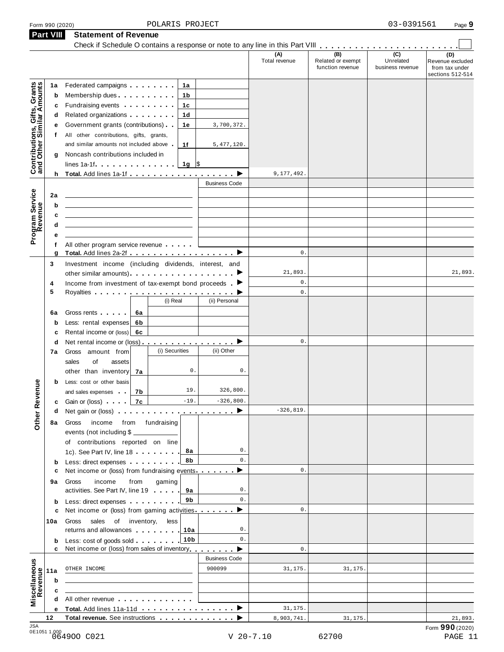|  | Form 990 (2020) |  |
|--|-----------------|--|
|  |                 |  |

Statement of Revenue<br>Check if Schedule O contains a response or note to any line in this Part VIII **manual Check if Schedule O contains** 

|                                                           |     |                                                                                                                                                                                                                                      |                 |                      | (A)            | (B)                                   | (C)                           | (D)                                                    |
|-----------------------------------------------------------|-----|--------------------------------------------------------------------------------------------------------------------------------------------------------------------------------------------------------------------------------------|-----------------|----------------------|----------------|---------------------------------------|-------------------------------|--------------------------------------------------------|
|                                                           |     |                                                                                                                                                                                                                                      |                 |                      | Total revenue  | Related or exempt<br>function revenue | Unrelated<br>business revenue | Revenue excluded<br>from tax under<br>sections 512-514 |
|                                                           | 1a  | Federated campaigns <b>Federated</b>                                                                                                                                                                                                 | 1a              |                      |                |                                       |                               |                                                        |
|                                                           | b   | Membership dues                                                                                                                                                                                                                      | 1b              |                      |                |                                       |                               |                                                        |
|                                                           | c   | Fundraising events <b>Fundraising</b>                                                                                                                                                                                                | 1c              |                      |                |                                       |                               |                                                        |
|                                                           | d   | Related organizations <b>and the set of the set of the set of the set of the set of the set of the set of the set of the set of the set of the set of the set of the set of the set of the set of the set of the set of the set </b> | 1d              |                      |                |                                       |                               |                                                        |
|                                                           |     | Government grants (contributions)                                                                                                                                                                                                    | 1e              | 3,700,372.           |                |                                       |                               |                                                        |
|                                                           | е   |                                                                                                                                                                                                                                      |                 |                      |                |                                       |                               |                                                        |
| Contributions, Gifts, Grants<br>and Other Similar Amounts | f   | All other contributions, gifts, grants,<br>and similar amounts not included above                                                                                                                                                    |                 |                      |                |                                       |                               |                                                        |
|                                                           |     |                                                                                                                                                                                                                                      | 1f              | 5, 477, 120.         |                |                                       |                               |                                                        |
|                                                           | g   | Noncash contributions included in                                                                                                                                                                                                    |                 |                      |                |                                       |                               |                                                        |
|                                                           |     | lines $1a-1f$ and $\cdots$ and $\cdots$ are $\cdots$                                                                                                                                                                                 | $1g$ \$         |                      |                |                                       |                               |                                                        |
|                                                           | h   | Total. Add lines 1a-1f                                                                                                                                                                                                               |                 | <b>Business Code</b> | 9,177,492.     |                                       |                               |                                                        |
|                                                           |     |                                                                                                                                                                                                                                      |                 |                      |                |                                       |                               |                                                        |
|                                                           | 2a  |                                                                                                                                                                                                                                      |                 |                      |                |                                       |                               |                                                        |
|                                                           | b   |                                                                                                                                                                                                                                      |                 |                      |                |                                       |                               |                                                        |
|                                                           | c   |                                                                                                                                                                                                                                      |                 |                      |                |                                       |                               |                                                        |
|                                                           | d   |                                                                                                                                                                                                                                      |                 |                      |                |                                       |                               |                                                        |
| Program Service<br>Revenue                                | е   |                                                                                                                                                                                                                                      |                 |                      |                |                                       |                               |                                                        |
|                                                           | f   | All other program service revenue                                                                                                                                                                                                    |                 |                      |                |                                       |                               |                                                        |
|                                                           | g   |                                                                                                                                                                                                                                      |                 |                      | $\mathbb O$ .  |                                       |                               |                                                        |
|                                                           | 3   | Investment income (including dividends, interest, and                                                                                                                                                                                |                 |                      |                |                                       |                               |                                                        |
|                                                           |     |                                                                                                                                                                                                                                      |                 |                      | 21,893.        |                                       |                               | 21,893.                                                |
|                                                           | 4   | Income from investment of tax-exempt bond proceeds $\blacksquare$                                                                                                                                                                    |                 |                      | $0$ .          |                                       |                               |                                                        |
|                                                           | 5   |                                                                                                                                                                                                                                      |                 |                      | $\mathsf{0}$ . |                                       |                               |                                                        |
|                                                           |     |                                                                                                                                                                                                                                      | (i) Real        | (ii) Personal        |                |                                       |                               |                                                        |
|                                                           | 6a  | Gross rents<br>6a                                                                                                                                                                                                                    |                 |                      |                |                                       |                               |                                                        |
|                                                           | b   | Less: rental expenses<br>6b                                                                                                                                                                                                          |                 |                      |                |                                       |                               |                                                        |
|                                                           | c   | Rental income or (loss)<br>6c                                                                                                                                                                                                        |                 |                      |                |                                       |                               |                                                        |
|                                                           | d   | Net rental income or (loss) ▶                                                                                                                                                                                                        |                 |                      | 0.             |                                       |                               |                                                        |
|                                                           | 7a  | Gross amount from                                                                                                                                                                                                                    | (i) Securities  | (ii) Other           |                |                                       |                               |                                                        |
|                                                           |     | sales<br>of<br>assets                                                                                                                                                                                                                |                 |                      |                |                                       |                               |                                                        |
|                                                           |     | other than inventory<br>7a                                                                                                                                                                                                           | $0$ .           | 0.                   |                |                                       |                               |                                                        |
|                                                           | b   | Less: cost or other basis                                                                                                                                                                                                            |                 |                      |                |                                       |                               |                                                        |
|                                                           |     | and sales expenses<br>7b                                                                                                                                                                                                             | 19.             | 326,800.             |                |                                       |                               |                                                        |
| Revenue                                                   | c   | 7c<br>Gain or (loss)                                                                                                                                                                                                                 | $-19.$          | $-326,800.$          |                |                                       |                               |                                                        |
| ă                                                         | d   |                                                                                                                                                                                                                                      |                 |                      | $-326, 819.$   |                                       |                               |                                                        |
| $\frac{1}{2}$                                             | 8а  | income from<br>Gross                                                                                                                                                                                                                 | fundraising     |                      |                |                                       |                               |                                                        |
|                                                           |     | events (not including $$$ $\_$                                                                                                                                                                                                       |                 |                      |                |                                       |                               |                                                        |
|                                                           |     | of contributions reported on line                                                                                                                                                                                                    |                 |                      |                |                                       |                               |                                                        |
|                                                           |     | 1c). See Part IV, line 18                                                                                                                                                                                                            | 8а              | 0.                   |                |                                       |                               |                                                        |
|                                                           | b   | Less: direct expenses                                                                                                                                                                                                                | 8b              | 0.                   |                |                                       |                               |                                                        |
|                                                           | c   | Net income or (loss) from fundraising events.                                                                                                                                                                                        |                 |                      | 0.             |                                       |                               |                                                        |
|                                                           | 9а  | income<br>from<br>Gross                                                                                                                                                                                                              | gaming          |                      |                |                                       |                               |                                                        |
|                                                           |     | activities. See Part IV, line 19                                                                                                                                                                                                     | 9а              | 0.                   |                |                                       |                               |                                                        |
|                                                           | b   | Less: direct expenses                                                                                                                                                                                                                | 9b              | $\mathbf{0}$ .       |                |                                       |                               |                                                        |
|                                                           | c   | Net income or (loss) from gaming activities.                                                                                                                                                                                         |                 |                      | 0.             |                                       |                               |                                                        |
|                                                           | 10a | sales<br>of inventory,<br>Gross                                                                                                                                                                                                      | less            |                      |                |                                       |                               |                                                        |
|                                                           |     | returns and allowances                                                                                                                                                                                                               | 10a             | 0.                   |                |                                       |                               |                                                        |
|                                                           | b   | Less: cost of goods sold                                                                                                                                                                                                             | 10 <sub>b</sub> | 0.                   |                |                                       |                               |                                                        |
|                                                           | c   | Net income or (loss) from sales of inventory                                                                                                                                                                                         |                 |                      | 0.             |                                       |                               |                                                        |
|                                                           |     |                                                                                                                                                                                                                                      |                 | <b>Business Code</b> |                |                                       |                               |                                                        |
| Miscellaneous<br>Revenue                                  | 11a | OTHER INCOME                                                                                                                                                                                                                         |                 | 900099               | 31,175.        | 31, 175.                              |                               |                                                        |
|                                                           | b   |                                                                                                                                                                                                                                      |                 |                      |                |                                       |                               |                                                        |
|                                                           | c   |                                                                                                                                                                                                                                      |                 |                      |                |                                       |                               |                                                        |
|                                                           | d   | All other revenue                                                                                                                                                                                                                    |                 |                      |                |                                       |                               |                                                        |
|                                                           | е   | Total. Add lines 11a-11d ▶                                                                                                                                                                                                           |                 |                      | 31,175.        |                                       |                               |                                                        |
|                                                           | 12  | Total revenue. See instructions                                                                                                                                                                                                      |                 |                      | 8,903,741.     | 31,175.                               |                               | 21,893.                                                |
| <b>JSA</b>                                                |     |                                                                                                                                                                                                                                      |                 |                      |                |                                       |                               | Form 990 (2020)                                        |
|                                                           |     | 0E1051 1.000<br>064900 C021                                                                                                                                                                                                          |                 | $V$ 20-7.10          |                | 62700                                 |                               | PAGE 11                                                |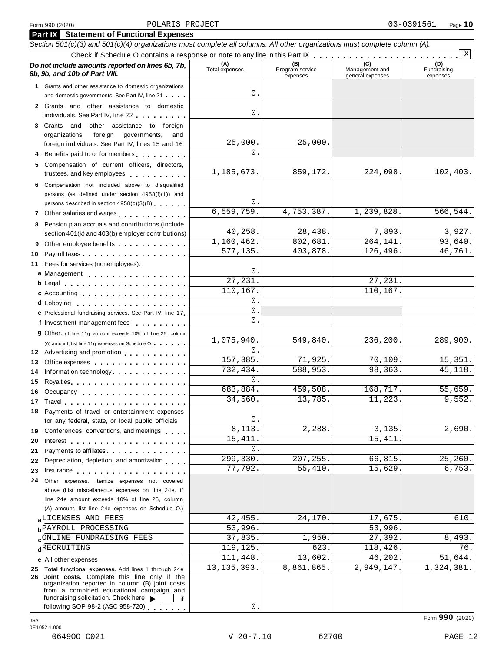**Part IX Statement of Functional Expenses**

|    | Section 501(c)(3) and 501(c)(4) organizations must complete all columns. All other organizations must complete column (A).                                                                                                          |                       |                                    |                                    | $\mathbf{x}$            |
|----|-------------------------------------------------------------------------------------------------------------------------------------------------------------------------------------------------------------------------------------|-----------------------|------------------------------------|------------------------------------|-------------------------|
|    | Do not include amounts reported on lines 6b, 7b,                                                                                                                                                                                    |                       |                                    | (C)                                | (D)                     |
|    | 8b, 9b, and 10b of Part VIII.                                                                                                                                                                                                       | (A)<br>Total expenses | (B)<br>Program service<br>expenses | Management and<br>general expenses | Fundraising<br>expenses |
|    | 1 Grants and other assistance to domestic organizations                                                                                                                                                                             | 0                     |                                    |                                    |                         |
|    | and domestic governments. See Part IV, line 21                                                                                                                                                                                      |                       |                                    |                                    |                         |
|    | 2 Grants and other assistance to domestic<br>individuals. See Part IV, line 22                                                                                                                                                      | 0                     |                                    |                                    |                         |
|    | 3 Grants and other assistance to foreign                                                                                                                                                                                            |                       |                                    |                                    |                         |
|    | organizations,<br>foreign<br>governments,<br>and                                                                                                                                                                                    |                       |                                    |                                    |                         |
|    | foreign individuals. See Part IV, lines 15 and 16                                                                                                                                                                                   | 25,000.               | 25,000.                            |                                    |                         |
|    | Benefits paid to or for members                                                                                                                                                                                                     | $\Omega$              |                                    |                                    |                         |
| 5. | Compensation of current officers, directors,<br>trustees, and key employees                                                                                                                                                         | 1,185,673.            | 859,172.                           | 224,098.                           | 102,403.                |
|    | 6 Compensation not included above to disqualified                                                                                                                                                                                   |                       |                                    |                                    |                         |
|    | persons (as defined under section 4958(f)(1)) and                                                                                                                                                                                   |                       |                                    |                                    |                         |
|    | persons described in section 4958(c)(3)(B)                                                                                                                                                                                          | 0                     |                                    |                                    |                         |
|    | 7 Other salaries and wages                                                                                                                                                                                                          | 6,559,759.            | 4,753,387.                         | 1,239,828.                         | 566, 544.               |
| 8  | Pension plan accruals and contributions (include                                                                                                                                                                                    |                       |                                    |                                    |                         |
|    | section 401(k) and 403(b) employer contributions)                                                                                                                                                                                   | 40,258.               | 28,438.                            | 7,893.                             | 3,927.                  |
| 9  | Other employee benefits                                                                                                                                                                                                             | 1,160,462.            | 802,681.                           | 264,141.                           | 93,640.                 |
| 10 | Payroll taxes                                                                                                                                                                                                                       | 577,135.              | 403,878.                           | 126,496.                           | 46,761.                 |
| 11 | Fees for services (nonemployees):                                                                                                                                                                                                   | 0                     |                                    |                                    |                         |
|    | a Management                                                                                                                                                                                                                        | 27,231                |                                    | 27, 231.                           |                         |
|    | b Legal entering the service of the service of the service of the service of the service of the service of the                                                                                                                      | 110,167.              |                                    | 110,167.                           |                         |
|    | c Accounting                                                                                                                                                                                                                        | $\Omega$              |                                    |                                    |                         |
|    |                                                                                                                                                                                                                                     | $\Omega$              |                                    |                                    |                         |
|    | e Professional fundraising services. See Part IV, line 17                                                                                                                                                                           | $\Omega$              |                                    |                                    |                         |
|    | f Investment management fees                                                                                                                                                                                                        |                       |                                    |                                    |                         |
|    | <b>g</b> Other. (If line 11g amount exceeds 10% of line 25, column                                                                                                                                                                  | 1,075,940.            | 549,840.                           | 236,200.                           | 289,900.                |
|    | (A) amount, list line 11g expenses on Schedule O.)<br>12 Advertising and promotion                                                                                                                                                  | $\Omega$              |                                    |                                    |                         |
| 13 | Office expenses extensive and the set of the set of the set of the set of the set of the set of the set of the                                                                                                                      | 157,385.              | 71,925.                            | 70,109.                            | 15,351.                 |
| 14 |                                                                                                                                                                                                                                     | 732,434.              | 588,953.                           | 98,363.                            | 45,118.                 |
| 15 |                                                                                                                                                                                                                                     | $\Omega$              |                                    |                                    |                         |
| 16 | Occupancy experience and the control of the set of the set of the set of the set of the set of the set of the                                                                                                                       | 683,884.              | 459,508.                           | 168,717.                           | 55,659.                 |
|    | 17 Travel                                                                                                                                                                                                                           | 34,560.               | 13,785.                            | 11,223.                            | 9,552.                  |
|    | Payments of travel or entertainment expenses                                                                                                                                                                                        |                       |                                    |                                    |                         |
|    | for any federal, state, or local public officials                                                                                                                                                                                   | 0                     |                                    |                                    |                         |
| 19 | Conferences, conventions, and meetings                                                                                                                                                                                              | 8,113.                | 2,288.                             | 3,135.                             | 2,690.                  |
| 20 | Interest entering the set of the set of the set of the set of the set of the set of the set of the set of the                                                                                                                       | 15,411                |                                    | 15,411                             |                         |
| 21 | Payments to affiliates <b>Exercise Services</b>                                                                                                                                                                                     | 0                     |                                    |                                    |                         |
| 22 | Depreciation, depletion, and amortization                                                                                                                                                                                           | 299,330.              | 207,255.                           | 66,815.                            | 25,260.                 |
| 23 | Insurance <b>All Accounts</b> in the set of the set of the set of the set of the set of the set of the set of the set of the set of the set of the set of the set of the set of the set of the set of the set of the set of the set | 77,792.               | 55,410.                            | 15,629.                            | 6,753.                  |
| 24 | Other expenses. Itemize expenses not covered                                                                                                                                                                                        |                       |                                    |                                    |                         |
|    | above (List miscellaneous expenses on line 24e. If                                                                                                                                                                                  |                       |                                    |                                    |                         |
|    | line 24e amount exceeds 10% of line 25, column<br>(A) amount, list line 24e expenses on Schedule O.)                                                                                                                                |                       |                                    |                                    |                         |
|    | <b>ALICENSES AND FEES</b>                                                                                                                                                                                                           | 42,455                | 24,170.                            | 17,675.                            | 610.                    |
|    | <b>b</b> PAYROLL PROCESSING                                                                                                                                                                                                         | 53,996.               |                                    | 53,996.                            |                         |
|    | CONLINE FUNDRAISING FEES                                                                                                                                                                                                            | 37,835                | 1,950.                             | 27,392.                            | 8,493.                  |
|    | dRECRUITING                                                                                                                                                                                                                         | 119,125.              | 623.                               | 118,426.                           | 76.                     |
|    | <b>e</b> All other expenses                                                                                                                                                                                                         | 111,448.              | 13,602.                            | 46,202.                            | 51,644.                 |
|    | 25 Total functional expenses. Add lines 1 through 24e                                                                                                                                                                               | 13, 135, 393.         | 8,861,865.                         | 2,949,147.                         | 1,324,381.              |
| 26 | Joint costs. Complete this line only if the<br>organization reported in column (B) joint costs<br>from a combined educational campaign and                                                                                          |                       |                                    |                                    |                         |
|    | fundraising solicitation. Check here<br>if<br>following SOP 98-2 (ASC 958-720)                                                                                                                                                      | 0                     |                                    |                                    |                         |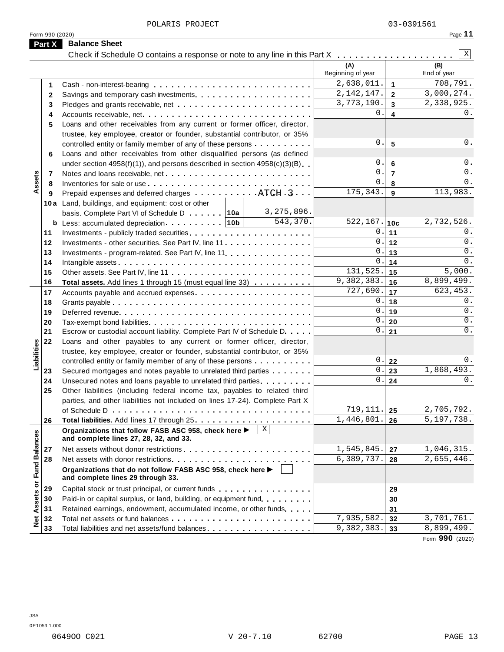|                            | Check if Schedule O contains a response or note to any line in this Part X                       |                                         |                         |                    |
|----------------------------|--------------------------------------------------------------------------------------------------|-----------------------------------------|-------------------------|--------------------|
|                            |                                                                                                  | (A)<br>Beginning of year                |                         | (B)<br>End of year |
| 1                          |                                                                                                  | 2,638,011.                              | $\overline{1}$          | 708, 791.          |
| 2                          |                                                                                                  | 2, 142, 147.                            | $\overline{\mathbf{2}}$ | 3,000,274.         |
| 3                          |                                                                                                  | 3,773,190.                              | $\overline{\mathbf{3}}$ | 2,338,925.         |
| 4                          |                                                                                                  | 0.                                      | $\overline{\mathbf{4}}$ | 0.                 |
| 5                          | Loans and other receivables from any current or former officer, director,                        |                                         |                         |                    |
|                            | trustee, key employee, creator or founder, substantial contributor, or 35%                       |                                         |                         |                    |
|                            | controlled entity or family member of any of these persons                                       | 0.                                      | 5                       | 0.                 |
| 6                          | Loans and other receivables from other disqualified persons (as defined                          |                                         |                         |                    |
|                            | under section $4958(f)(1)$ , and persons described in section $4958(c)(3)(B)$                    | 0.                                      | $6\phantom{1}6$         | 0.                 |
| 7                          |                                                                                                  | 0.                                      | $\overline{7}$          | $0$ .              |
| 8                          |                                                                                                  | $0$ .                                   | 8                       | $0$ .              |
| 9                          | Prepaid expenses and deferred charges ATCH 3                                                     | 175, 343.                               | 9                       | 113,983.           |
|                            | 10a Land, buildings, and equipment: cost or other                                                |                                         |                         |                    |
|                            | 3, 275, 896.<br>basis. Complete Part VI of Schedule D 10a                                        |                                         |                         |                    |
|                            | 543,370.                                                                                         | $522, 167.$ 10c                         |                         | 2,732,526.         |
| 11                         |                                                                                                  | 0.1                                     | 11                      | 0.                 |
| 12                         | Investments - other securities. See Part IV, line 11.                                            | 0.                                      | 12                      | 0.                 |
| 13                         | Investments - program-related. See Part IV, line 11.                                             | 0.                                      | 13                      | 0.                 |
| 14                         |                                                                                                  | 0.                                      | 14                      | $0$ .              |
| 15                         |                                                                                                  | 131,525.                                | 15                      | 5,000.             |
| 16                         | Total assets. Add lines 1 through 15 (must equal line 33)                                        | 9,382,383.                              | 16                      | 8,899,499.         |
| 17                         |                                                                                                  | 727,690.                                | 17                      | 623, 453.          |
| 18                         |                                                                                                  | 0.                                      | 18                      | 0.                 |
| 19                         |                                                                                                  | 0.                                      | 19                      | 0.                 |
| 20                         |                                                                                                  | 0.                                      | 20                      | 0.                 |
| 21                         | Escrow or custodial account liability. Complete Part IV of Schedule D.                           | $\begin{bmatrix} 0 \\ -1 \end{bmatrix}$ | 21                      | 0.                 |
| 22                         | Loans and other payables to any current or former officer, director,                             |                                         |                         |                    |
|                            | trustee, key employee, creator or founder, substantial contributor, or 35%                       |                                         |                         |                    |
|                            |                                                                                                  | 0.                                      | 22                      | 0.                 |
|                            | controlled entity or family member of any of these persons                                       | 0.                                      | 23                      | 1,868,493.         |
| 23                         | Secured mortgages and notes payable to unrelated third parties                                   | 0.                                      |                         | 0.                 |
| 24<br>25                   | Unsecured notes and loans payable to unrelated third parties                                     |                                         | 24                      |                    |
|                            | Other liabilities (including federal income tax, payables to related third                       |                                         |                         |                    |
|                            | parties, and other liabilities not included on lines 17-24). Complete Part X                     | 719, 111.                               |                         | 2,705,792.         |
|                            |                                                                                                  | 1,446,801.                              | 25                      | 5,197,738.         |
| 26<br><b>Fund Balances</b> | X                                                                                                |                                         | 26                      |                    |
|                            | Organizations that follow FASB ASC 958, check here ▶<br>and complete lines 27, 28, 32, and 33.   |                                         |                         |                    |
| 27                         |                                                                                                  | 1,545,845.                              | 27                      | 1,046,315.         |
| 28                         |                                                                                                  | 6,389,737.                              | 28                      | 2,655,446.         |
|                            | Organizations that do not follow FASB ASC 958, check here ▶<br>and complete lines 29 through 33. |                                         |                         |                    |
| 29                         | Capital stock or trust principal, or current funds                                               |                                         | 29                      |                    |
| 30                         | Paid-in or capital surplus, or land, building, or equipment fund.                                |                                         | 30                      |                    |
| 31                         | Retained earnings, endowment, accumulated income, or other funds                                 |                                         | 31                      |                    |
| 32                         |                                                                                                  | 7,935,582.                              | 32                      | 3,701,761.         |
| 33                         | Total liabilities and net assets/fund balances                                                   | 9,382,383.                              | 33                      | 8,899,499.         |

Form **990** (2020)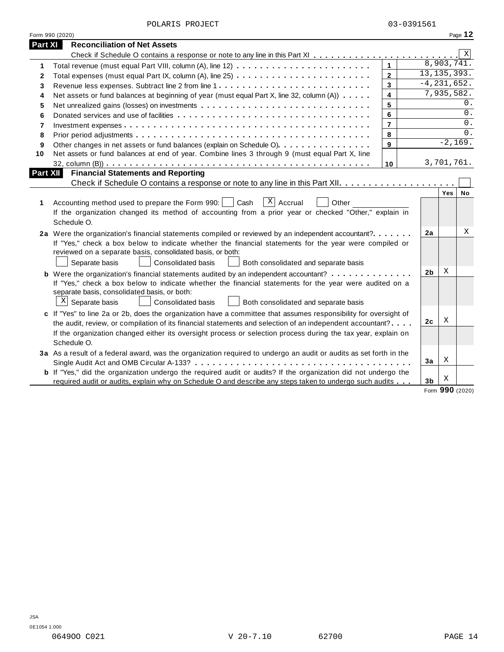|          | Form 990 (2020)                                                                                                       |                |                |                 | Page 12     |
|----------|-----------------------------------------------------------------------------------------------------------------------|----------------|----------------|-----------------|-------------|
| Part XI  | <b>Reconciliation of Net Assets</b>                                                                                   |                |                |                 |             |
|          |                                                                                                                       |                |                |                 | $\mathbf X$ |
| 1        |                                                                                                                       | $\mathbf{1}$   |                | 8,903,741.      |             |
| 2        |                                                                                                                       | $\mathbf{2}$   |                | 13, 135, 393.   |             |
| 3        |                                                                                                                       | 3              |                | $-4, 231, 652.$ |             |
| 4        | Net assets or fund balances at beginning of year (must equal Part X, line 32, column (A))                             | 4              |                | 7,935,582.      |             |
| 5        |                                                                                                                       | 5              |                |                 | $0$ .       |
| 6        |                                                                                                                       | 6              |                |                 | 0.          |
| 7        |                                                                                                                       | $\overline{7}$ |                |                 | 0.          |
| 8        |                                                                                                                       | 8              |                |                 | 0.          |
| 9        | Other changes in net assets or fund balances (explain on Schedule O)                                                  | 9              |                | $-2,169.$       |             |
| 10       | Net assets or fund balances at end of year. Combine lines 3 through 9 (must equal Part X, line                        |                |                |                 |             |
|          |                                                                                                                       | 10             |                | 3,701,761.      |             |
| Part XII | <b>Financial Statements and Reporting</b>                                                                             |                |                |                 |             |
|          |                                                                                                                       |                |                |                 |             |
| 1        | $\overline{X}$ Accrual<br>Accounting method used to prepare the Form 990:     Cash<br>Other                           |                |                | Yes             | No          |
|          | If the organization changed its method of accounting from a prior year or checked "Other," explain in                 |                |                |                 |             |
|          | Schedule O.                                                                                                           |                |                |                 |             |
|          | 2a Were the organization's financial statements compiled or reviewed by an independent accountant?                    |                | 2a             |                 | х           |
|          | If "Yes," check a box below to indicate whether the financial statements for the year were compiled or                |                |                |                 |             |
|          | reviewed on a separate basis, consolidated basis, or both:                                                            |                |                |                 |             |
|          | Separate basis<br><b>Consolidated basis</b><br>Both consolidated and separate basis                                   |                |                |                 |             |
|          | <b>b</b> Were the organization's financial statements audited by an independent accountant?                           |                | 2 <sub>b</sub> | X               |             |
|          | If "Yes," check a box below to indicate whether the financial statements for the year were audited on a               |                |                |                 |             |
|          | separate basis, consolidated basis, or both:                                                                          |                |                |                 |             |
|          | $\mathbf{x}$<br>Separate basis<br><b>Consolidated basis</b><br>Both consolidated and separate basis                   |                |                |                 |             |
|          | c If "Yes" to line 2a or 2b, does the organization have a committee that assumes responsibility for oversight of      |                |                |                 |             |
|          | the audit, review, or compilation of its financial statements and selection of an independent accountant?             |                | 2c             | Χ               |             |
|          | If the organization changed either its oversight process or selection process during the tax year, explain on         |                |                |                 |             |
|          | Schedule O.                                                                                                           |                |                |                 |             |
|          | 3a As a result of a federal award, was the organization required to undergo an audit or audits as set forth in the    |                |                |                 |             |
|          |                                                                                                                       |                | 3a             | X               |             |
|          | <b>b</b> If "Yes," did the organization undergo the required audit or audits? If the organization did not undergo the |                |                |                 |             |
|          | required audit or audits, explain why on Schedule O and describe any steps taken to undergo such audits               |                | 3 <sub>b</sub> | Χ               |             |

Form **990** (2020)

 $\overline{\phantom{a}}$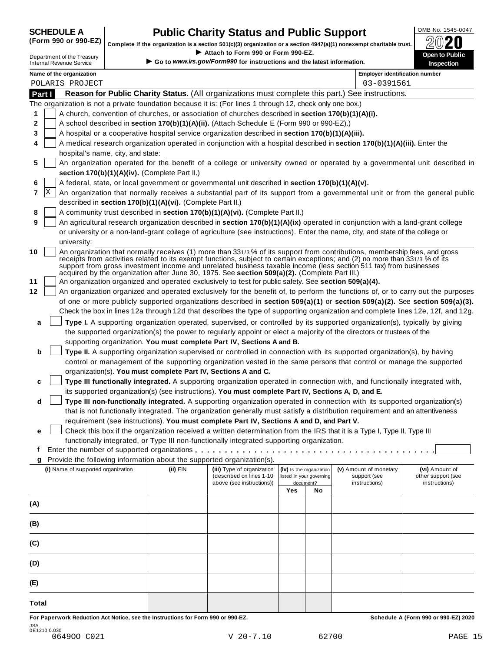| <b>SCHEDULE A</b>                                                                                                                                                                                                                                                                                                  |  |  |
|--------------------------------------------------------------------------------------------------------------------------------------------------------------------------------------------------------------------------------------------------------------------------------------------------------------------|--|--|
| $\sqrt{2}$ $\sqrt{2}$ $\sqrt{2}$ $\sqrt{2}$ $\sqrt{2}$ $\sqrt{2}$ $\sqrt{2}$ $\sqrt{2}$ $\sqrt{2}$ $\sqrt{2}$ $\sqrt{2}$ $\sqrt{2}$ $\sqrt{2}$ $\sqrt{2}$ $\sqrt{2}$ $\sqrt{2}$ $\sqrt{2}$ $\sqrt{2}$ $\sqrt{2}$ $\sqrt{2}$ $\sqrt{2}$ $\sqrt{2}$ $\sqrt{2}$ $\sqrt{2}$ $\sqrt{2}$ $\sqrt{2}$ $\sqrt{2}$ $\sqrt{2$ |  |  |

# **CHEDULE A Public Charity Status and Public Support**  $\frac{100\text{dB No. }1545-0047}{000\text{dB No.}}$

(Form 990 or 990-EZ) complete if the organization is a section 501(c)(3) organization or a section 4947(a)(1) nonexempt charitable trust.  $2020$ 

|                                                               |                                   |                                                            | Complete if the organization is a section 501(c)(3) organization or a section $4947(a)(1)$ nonexempt charitable trust.<br>Attach to Form 990 or Form 990-EZ. |     |                                                      |                                                                                                                                                                                                                                                                                                                                                                                                                                                                                                        | BWŁU                                                                                                                             |
|---------------------------------------------------------------|-----------------------------------|------------------------------------------------------------|--------------------------------------------------------------------------------------------------------------------------------------------------------------|-----|------------------------------------------------------|--------------------------------------------------------------------------------------------------------------------------------------------------------------------------------------------------------------------------------------------------------------------------------------------------------------------------------------------------------------------------------------------------------------------------------------------------------------------------------------------------------|----------------------------------------------------------------------------------------------------------------------------------|
| Department of the Treasury<br><b>Internal Revenue Service</b> |                                   |                                                            | Go to www.irs.gov/Form990 for instructions and the latest information.                                                                                       |     |                                                      |                                                                                                                                                                                                                                                                                                                                                                                                                                                                                                        | Open to Public<br>Inspection                                                                                                     |
| Name of the organization                                      |                                   |                                                            |                                                                                                                                                              |     |                                                      | <b>Employer identification number</b>                                                                                                                                                                                                                                                                                                                                                                                                                                                                  |                                                                                                                                  |
| POLARIS PROJECT                                               |                                   |                                                            |                                                                                                                                                              |     |                                                      | 03-0391561                                                                                                                                                                                                                                                                                                                                                                                                                                                                                             |                                                                                                                                  |
| Part I                                                        |                                   |                                                            |                                                                                                                                                              |     |                                                      | Reason for Public Charity Status. (All organizations must complete this part.) See instructions.                                                                                                                                                                                                                                                                                                                                                                                                       |                                                                                                                                  |
|                                                               |                                   |                                                            | The organization is not a private foundation because it is: (For lines 1 through 12, check only one box.)                                                    |     |                                                      |                                                                                                                                                                                                                                                                                                                                                                                                                                                                                                        |                                                                                                                                  |
| 1                                                             |                                   |                                                            | A church, convention of churches, or association of churches described in section 170(b)(1)(A)(i).                                                           |     |                                                      |                                                                                                                                                                                                                                                                                                                                                                                                                                                                                                        |                                                                                                                                  |
| 2                                                             |                                   |                                                            | A school described in section 170(b)(1)(A)(ii). (Attach Schedule E (Form 990 or 990-EZ).)                                                                    |     |                                                      |                                                                                                                                                                                                                                                                                                                                                                                                                                                                                                        |                                                                                                                                  |
| 3                                                             |                                   |                                                            | A hospital or a cooperative hospital service organization described in section 170(b)(1)(A)(iii).                                                            |     |                                                      |                                                                                                                                                                                                                                                                                                                                                                                                                                                                                                        |                                                                                                                                  |
| 4                                                             | hospital's name, city, and state: |                                                            |                                                                                                                                                              |     |                                                      | A medical research organization operated in conjunction with a hospital described in section 170(b)(1)(A)(iii). Enter the                                                                                                                                                                                                                                                                                                                                                                              |                                                                                                                                  |
| 5                                                             |                                   |                                                            |                                                                                                                                                              |     |                                                      |                                                                                                                                                                                                                                                                                                                                                                                                                                                                                                        | An organization operated for the benefit of a college or university owned or operated by a governmental unit described in        |
|                                                               |                                   | section 170(b)(1)(A)(iv). (Complete Part II.)              |                                                                                                                                                              |     |                                                      |                                                                                                                                                                                                                                                                                                                                                                                                                                                                                                        |                                                                                                                                  |
| 6                                                             |                                   |                                                            | A federal, state, or local government or governmental unit described in section 170(b)(1)(A)(v).                                                             |     |                                                      |                                                                                                                                                                                                                                                                                                                                                                                                                                                                                                        |                                                                                                                                  |
| X<br>7                                                        |                                   |                                                            |                                                                                                                                                              |     |                                                      |                                                                                                                                                                                                                                                                                                                                                                                                                                                                                                        | An organization that normally receives a substantial part of its support from a governmental unit or from the general public     |
|                                                               |                                   | described in section 170(b)(1)(A)(vi). (Complete Part II.) |                                                                                                                                                              |     |                                                      |                                                                                                                                                                                                                                                                                                                                                                                                                                                                                                        |                                                                                                                                  |
| 8                                                             |                                   |                                                            | A community trust described in section 170(b)(1)(A)(vi). (Complete Part II.)                                                                                 |     |                                                      |                                                                                                                                                                                                                                                                                                                                                                                                                                                                                                        |                                                                                                                                  |
| 9                                                             |                                   |                                                            |                                                                                                                                                              |     |                                                      | An agricultural research organization described in section 170(b)(1)(A)(ix) operated in conjunction with a land-grant college                                                                                                                                                                                                                                                                                                                                                                          |                                                                                                                                  |
|                                                               |                                   |                                                            |                                                                                                                                                              |     |                                                      | or university or a non-land-grant college of agriculture (see instructions). Enter the name, city, and state of the college or                                                                                                                                                                                                                                                                                                                                                                         |                                                                                                                                  |
| university:                                                   |                                   |                                                            |                                                                                                                                                              |     |                                                      |                                                                                                                                                                                                                                                                                                                                                                                                                                                                                                        |                                                                                                                                  |
| 10                                                            |                                   |                                                            | acquired by the organization after June 30, 1975. See section 509(a)(2). (Complete Part III.)                                                                |     |                                                      | An organization that normally receives (1) more than 331/3% of its support from contributions, membership fees, and gross<br>receipts from activities related to its exempt functions, subject to certain exceptions; and (2) no more than 331/3 % of its<br>support from gross investment income and unrelated business taxable income (less section 511 tax) from businesses                                                                                                                         |                                                                                                                                  |
| 11                                                            |                                   |                                                            | An organization organized and operated exclusively to test for public safety. See section 509(a)(4).                                                         |     |                                                      |                                                                                                                                                                                                                                                                                                                                                                                                                                                                                                        |                                                                                                                                  |
| 12                                                            |                                   |                                                            |                                                                                                                                                              |     |                                                      |                                                                                                                                                                                                                                                                                                                                                                                                                                                                                                        | An organization organized and operated exclusively for the benefit of, to perform the functions of, or to carry out the purposes |
|                                                               |                                   |                                                            |                                                                                                                                                              |     |                                                      |                                                                                                                                                                                                                                                                                                                                                                                                                                                                                                        | of one or more publicly supported organizations described in section 509(a)(1) or section 509(a)(2). See section 509(a)(3).      |
|                                                               |                                   |                                                            |                                                                                                                                                              |     |                                                      |                                                                                                                                                                                                                                                                                                                                                                                                                                                                                                        | Check the box in lines 12a through 12d that describes the type of supporting organization and complete lines 12e, 12f, and 12g.  |
| a<br>b                                                        |                                   |                                                            | supporting organization. You must complete Part IV, Sections A and B.                                                                                        |     |                                                      | Type I. A supporting organization operated, supervised, or controlled by its supported organization(s), typically by giving<br>the supported organization(s) the power to regularly appoint or elect a majority of the directors or trustees of the<br>Type II. A supporting organization supervised or controlled in connection with its supported organization(s), by having<br>control or management of the supporting organization vested in the same persons that control or manage the supported |                                                                                                                                  |
|                                                               |                                   |                                                            | organization(s). You must complete Part IV, Sections A and C.                                                                                                |     |                                                      |                                                                                                                                                                                                                                                                                                                                                                                                                                                                                                        |                                                                                                                                  |
| c                                                             |                                   |                                                            |                                                                                                                                                              |     |                                                      | Type III functionally integrated. A supporting organization operated in connection with, and functionally integrated with,                                                                                                                                                                                                                                                                                                                                                                             |                                                                                                                                  |
|                                                               |                                   |                                                            | its supported organization(s) (see instructions). You must complete Part IV, Sections A, D, and E.                                                           |     |                                                      |                                                                                                                                                                                                                                                                                                                                                                                                                                                                                                        |                                                                                                                                  |
| d                                                             |                                   |                                                            |                                                                                                                                                              |     |                                                      | Type III non-functionally integrated. A supporting organization operated in connection with its supported organization(s)                                                                                                                                                                                                                                                                                                                                                                              |                                                                                                                                  |
|                                                               |                                   |                                                            |                                                                                                                                                              |     |                                                      | that is not functionally integrated. The organization generally must satisfy a distribution requirement and an attentiveness                                                                                                                                                                                                                                                                                                                                                                           |                                                                                                                                  |
|                                                               |                                   |                                                            | requirement (see instructions). You must complete Part IV, Sections A and D, and Part V.                                                                     |     |                                                      |                                                                                                                                                                                                                                                                                                                                                                                                                                                                                                        |                                                                                                                                  |
| е                                                             |                                   |                                                            |                                                                                                                                                              |     |                                                      | Check this box if the organization received a written determination from the IRS that it is a Type I, Type II, Type III                                                                                                                                                                                                                                                                                                                                                                                |                                                                                                                                  |
|                                                               |                                   |                                                            | functionally integrated, or Type III non-functionally integrated supporting organization.                                                                    |     |                                                      |                                                                                                                                                                                                                                                                                                                                                                                                                                                                                                        |                                                                                                                                  |
| t                                                             |                                   |                                                            |                                                                                                                                                              |     |                                                      |                                                                                                                                                                                                                                                                                                                                                                                                                                                                                                        |                                                                                                                                  |
| g                                                             |                                   |                                                            | Provide the following information about the supported organization(s).                                                                                       |     |                                                      |                                                                                                                                                                                                                                                                                                                                                                                                                                                                                                        |                                                                                                                                  |
| (i) Name of supported organization                            |                                   | $(ii)$ EIN                                                 | (iii) Type of organization<br>(described on lines 1-10                                                                                                       |     | (iv) Is the organization<br>listed in your governing | (v) Amount of monetary<br>support (see                                                                                                                                                                                                                                                                                                                                                                                                                                                                 | (vi) Amount of<br>other support (see                                                                                             |
|                                                               |                                   |                                                            | above (see instructions))                                                                                                                                    |     | document?                                            | instructions)                                                                                                                                                                                                                                                                                                                                                                                                                                                                                          | instructions)                                                                                                                    |
|                                                               |                                   |                                                            |                                                                                                                                                              | Yes | No                                                   |                                                                                                                                                                                                                                                                                                                                                                                                                                                                                                        |                                                                                                                                  |
| (A)                                                           |                                   |                                                            |                                                                                                                                                              |     |                                                      |                                                                                                                                                                                                                                                                                                                                                                                                                                                                                                        |                                                                                                                                  |
| (B)                                                           |                                   |                                                            |                                                                                                                                                              |     |                                                      |                                                                                                                                                                                                                                                                                                                                                                                                                                                                                                        |                                                                                                                                  |
| (C)                                                           |                                   |                                                            |                                                                                                                                                              |     |                                                      |                                                                                                                                                                                                                                                                                                                                                                                                                                                                                                        |                                                                                                                                  |
| (D)                                                           |                                   |                                                            |                                                                                                                                                              |     |                                                      |                                                                                                                                                                                                                                                                                                                                                                                                                                                                                                        |                                                                                                                                  |
|                                                               |                                   |                                                            |                                                                                                                                                              |     |                                                      |                                                                                                                                                                                                                                                                                                                                                                                                                                                                                                        |                                                                                                                                  |
| (E)                                                           |                                   |                                                            |                                                                                                                                                              |     |                                                      |                                                                                                                                                                                                                                                                                                                                                                                                                                                                                                        |                                                                                                                                  |
| Total                                                         |                                   |                                                            |                                                                                                                                                              |     |                                                      |                                                                                                                                                                                                                                                                                                                                                                                                                                                                                                        |                                                                                                                                  |
|                                                               |                                   |                                                            |                                                                                                                                                              |     |                                                      |                                                                                                                                                                                                                                                                                                                                                                                                                                                                                                        |                                                                                                                                  |

For Paperwork Reduction Act Notice, see the Instructions for Form 990 or 990-EZ. Schedule A (Form 990 or 990-EZ) 2020 JSA 0E1210 0.030 0649OO C021 V 20-7.10 62700 PAGE 15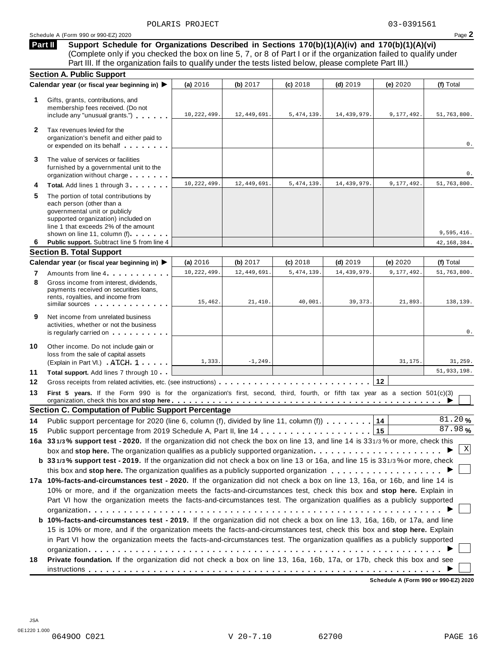Schedule <sup>A</sup> (Form <sup>990</sup> or 990-EZ) <sup>2020</sup> Page **2**

**Support Schedule for Organizations Described in Sections 170(b)(1)(A)(iv) and 170(b)(1)(A)(vi)** Complete only if you checked the box on line 5, 7, or 8 of Part I or if the organization failed to qualify under Part III. If the organization fails to qualify under the tests listed below, please complete Part III.) **Part II**

|              | <b>Section A. Public Support</b>                                                                                                                                                                                   |               |             |              |              |                                      |               |
|--------------|--------------------------------------------------------------------------------------------------------------------------------------------------------------------------------------------------------------------|---------------|-------------|--------------|--------------|--------------------------------------|---------------|
|              | Calendar year (or fiscal year beginning in) ▶                                                                                                                                                                      | (a) 2016      | (b) 2017    | (c) 2018     | $(d)$ 2019   | (e) 2020                             | (f) Total     |
| 1.           | Gifts, grants, contributions, and<br>membership fees received. (Do not<br>include any "unusual grants.")                                                                                                           | 10,222,499.   | 12,449,691. | 5, 474, 139. | 14,439,979.  | 9,177,492.                           | 51,763,800.   |
| $\mathbf{2}$ | Tax revenues levied for the<br>organization's benefit and either paid to<br>or expended on its behalf                                                                                                              |               |             |              |              |                                      | 0.            |
| 3            | The value of services or facilities<br>furnished by a governmental unit to the<br>organization without charge                                                                                                      |               |             |              |              |                                      | 0.            |
| 4            | Total. Add lines 1 through 3                                                                                                                                                                                       | 10,222,499    | 12,449,691. | 5, 474, 139. | 14,439,979   | 9,177,492.                           | 51,763,800.   |
| 5            | The portion of total contributions by<br>each person (other than a<br>governmental unit or publicly<br>supported organization) included on<br>line 1 that exceeds 2% of the amount<br>shown on line 11, column (f) |               |             |              |              |                                      | 9,595,416.    |
| 6            | Public support. Subtract line 5 from line 4                                                                                                                                                                        |               |             |              |              |                                      | 42, 168, 384. |
|              | <b>Section B. Total Support</b>                                                                                                                                                                                    |               |             |              |              |                                      |               |
|              | Calendar year (or fiscal year beginning in) ▶                                                                                                                                                                      | (a) 2016      | (b) 2017    | $(c)$ 2018   | $(d)$ 2019   | (e) 2020                             | (f) Total     |
| 7            | Amounts from line 4                                                                                                                                                                                                | 10, 222, 499. | 12,449,691. | 5, 474, 139  | 14, 439, 979 | 9,177,492.                           | 51,763,800.   |
| 8            | Gross income from interest, dividends,<br>payments received on securities loans,<br>rents, royalties, and income from<br>similar sources experiences                                                               | 15.462.       | 21,410.     | 40,001.      | 39, 373.     | 21,893.                              | 138,139.      |
| 9            | Net income from unrelated business<br>activities, whether or not the business<br>is regularly carried on the control of the set of the set of the set of the set of the set of the set of the s                    |               |             |              |              |                                      | 0.            |
| 10           | Other income. Do not include gain or<br>loss from the sale of capital assets<br>(Explain in Part VI.) ATCH 1                                                                                                       | 1,333.        | $-1, 249.$  |              |              | 31,175.                              | 31,259.       |
| 11           | Total support. Add lines 7 through 10                                                                                                                                                                              |               |             |              |              |                                      | 51,933,198.   |
| 12           |                                                                                                                                                                                                                    |               |             |              |              |                                      |               |
| 13           | First 5 years. If the Form 990 is for the organization's first, second, third, fourth, or fifth tax year as a section 501(c)(3)                                                                                    |               |             |              |              |                                      |               |
|              | <b>Section C. Computation of Public Support Percentage</b>                                                                                                                                                         |               |             |              |              |                                      |               |
| 14           | Public support percentage for 2020 (line 6, column (f), divided by line 11, column (f) $\ldots \ldots$                                                                                                             |               |             |              |              | 14                                   | 81.20%        |
| 15           |                                                                                                                                                                                                                    |               |             |              |              |                                      | 87.98%        |
|              | 16a 331/3% support test - 2020. If the organization did not check the box on line 13, and line 14 is 331/3% or more, check this                                                                                    |               |             |              |              |                                      |               |
|              |                                                                                                                                                                                                                    |               |             |              |              |                                      | Χ             |
|              | b 331/3% support test - 2019. If the organization did not check a box on line 13 or 16a, and line 15 is 331/3% or more, check                                                                                      |               |             |              |              |                                      |               |
|              |                                                                                                                                                                                                                    |               |             |              |              |                                      |               |
|              | 17a 10%-facts-and-circumstances test - 2020. If the organization did not check a box on line 13, 16a, or 16b, and line 14 is                                                                                       |               |             |              |              |                                      |               |
|              | 10% or more, and if the organization meets the facts-and-circumstances test, check this box and stop here. Explain in                                                                                              |               |             |              |              |                                      |               |
|              | Part VI how the organization meets the facts-and-circumstances test. The organization qualifies as a publicly supported                                                                                            |               |             |              |              |                                      |               |
|              |                                                                                                                                                                                                                    |               |             |              |              |                                      |               |
|              | b 10%-facts-and-circumstances test - 2019. If the organization did not check a box on line 13, 16a, 16b, or 17a, and line                                                                                          |               |             |              |              |                                      |               |
|              | 15 is 10% or more, and if the organization meets the facts-and-circumstances test, check this box and stop here. Explain                                                                                           |               |             |              |              |                                      |               |
|              | in Part VI how the organization meets the facts-and-circumstances test. The organization qualifies as a publicly supported                                                                                         |               |             |              |              |                                      |               |
|              |                                                                                                                                                                                                                    |               |             |              |              |                                      |               |
| 18           | Private foundation. If the organization did not check a box on line 13, 16a, 16b, 17a, or 17b, check this box and see                                                                                              |               |             |              |              |                                      |               |
|              |                                                                                                                                                                                                                    |               |             |              |              | Cahadule A (Farm 000 at 000 F7) 2001 |               |

**Schedule A (Form 990 or 990-EZ) 2020**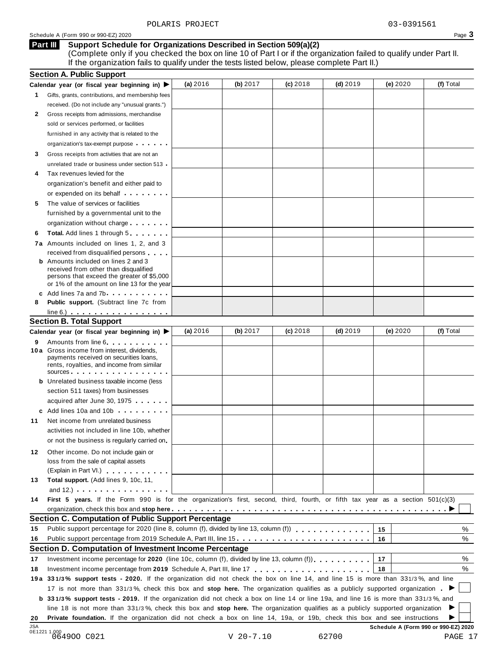#### **Support Schedule for Organizations Described in Section 509(a)(2) Part III**

(Complete only if you checked the box on line 10 of Part I or if the organization failed to qualify under Part II. If the organization fails to qualify under the tests listed below, please complete Part II.)

| Calendar year (or fiscal year beginning in) $\blacktriangleright$<br>Gifts, grants, contributions, and membership fees<br>received. (Do not include any "unusual grants.")                                                                                 | (a) 2016                                                                                                                                                                                                                                                                                                                                                                                                                                                                                                                                                                                                                                                                                                                                                                                                                                                                                                                                                                                                                                               | (b) 2017 | $(c)$ 2018                                                                                                                       | $(d)$ 2019 | (e) 2020                                                                                                                                                                         | (f) Total                                                                                                                                                                                                                                                                                                                                                                                                                                                                                                                                                               |
|------------------------------------------------------------------------------------------------------------------------------------------------------------------------------------------------------------------------------------------------------------|--------------------------------------------------------------------------------------------------------------------------------------------------------------------------------------------------------------------------------------------------------------------------------------------------------------------------------------------------------------------------------------------------------------------------------------------------------------------------------------------------------------------------------------------------------------------------------------------------------------------------------------------------------------------------------------------------------------------------------------------------------------------------------------------------------------------------------------------------------------------------------------------------------------------------------------------------------------------------------------------------------------------------------------------------------|----------|----------------------------------------------------------------------------------------------------------------------------------|------------|----------------------------------------------------------------------------------------------------------------------------------------------------------------------------------|-------------------------------------------------------------------------------------------------------------------------------------------------------------------------------------------------------------------------------------------------------------------------------------------------------------------------------------------------------------------------------------------------------------------------------------------------------------------------------------------------------------------------------------------------------------------------|
|                                                                                                                                                                                                                                                            |                                                                                                                                                                                                                                                                                                                                                                                                                                                                                                                                                                                                                                                                                                                                                                                                                                                                                                                                                                                                                                                        |          |                                                                                                                                  |            |                                                                                                                                                                                  |                                                                                                                                                                                                                                                                                                                                                                                                                                                                                                                                                                         |
|                                                                                                                                                                                                                                                            |                                                                                                                                                                                                                                                                                                                                                                                                                                                                                                                                                                                                                                                                                                                                                                                                                                                                                                                                                                                                                                                        |          |                                                                                                                                  |            |                                                                                                                                                                                  |                                                                                                                                                                                                                                                                                                                                                                                                                                                                                                                                                                         |
|                                                                                                                                                                                                                                                            |                                                                                                                                                                                                                                                                                                                                                                                                                                                                                                                                                                                                                                                                                                                                                                                                                                                                                                                                                                                                                                                        |          |                                                                                                                                  |            |                                                                                                                                                                                  |                                                                                                                                                                                                                                                                                                                                                                                                                                                                                                                                                                         |
| Gross receipts from admissions, merchandise                                                                                                                                                                                                                |                                                                                                                                                                                                                                                                                                                                                                                                                                                                                                                                                                                                                                                                                                                                                                                                                                                                                                                                                                                                                                                        |          |                                                                                                                                  |            |                                                                                                                                                                                  |                                                                                                                                                                                                                                                                                                                                                                                                                                                                                                                                                                         |
| sold or services performed, or facilities                                                                                                                                                                                                                  |                                                                                                                                                                                                                                                                                                                                                                                                                                                                                                                                                                                                                                                                                                                                                                                                                                                                                                                                                                                                                                                        |          |                                                                                                                                  |            |                                                                                                                                                                                  |                                                                                                                                                                                                                                                                                                                                                                                                                                                                                                                                                                         |
| furnished in any activity that is related to the                                                                                                                                                                                                           |                                                                                                                                                                                                                                                                                                                                                                                                                                                                                                                                                                                                                                                                                                                                                                                                                                                                                                                                                                                                                                                        |          |                                                                                                                                  |            |                                                                                                                                                                                  |                                                                                                                                                                                                                                                                                                                                                                                                                                                                                                                                                                         |
| organization's tax-exempt purpose                                                                                                                                                                                                                          |                                                                                                                                                                                                                                                                                                                                                                                                                                                                                                                                                                                                                                                                                                                                                                                                                                                                                                                                                                                                                                                        |          |                                                                                                                                  |            |                                                                                                                                                                                  |                                                                                                                                                                                                                                                                                                                                                                                                                                                                                                                                                                         |
|                                                                                                                                                                                                                                                            |                                                                                                                                                                                                                                                                                                                                                                                                                                                                                                                                                                                                                                                                                                                                                                                                                                                                                                                                                                                                                                                        |          |                                                                                                                                  |            |                                                                                                                                                                                  |                                                                                                                                                                                                                                                                                                                                                                                                                                                                                                                                                                         |
| unrelated trade or business under section 513                                                                                                                                                                                                              |                                                                                                                                                                                                                                                                                                                                                                                                                                                                                                                                                                                                                                                                                                                                                                                                                                                                                                                                                                                                                                                        |          |                                                                                                                                  |            |                                                                                                                                                                                  |                                                                                                                                                                                                                                                                                                                                                                                                                                                                                                                                                                         |
| Tax revenues levied for the                                                                                                                                                                                                                                |                                                                                                                                                                                                                                                                                                                                                                                                                                                                                                                                                                                                                                                                                                                                                                                                                                                                                                                                                                                                                                                        |          |                                                                                                                                  |            |                                                                                                                                                                                  |                                                                                                                                                                                                                                                                                                                                                                                                                                                                                                                                                                         |
|                                                                                                                                                                                                                                                            |                                                                                                                                                                                                                                                                                                                                                                                                                                                                                                                                                                                                                                                                                                                                                                                                                                                                                                                                                                                                                                                        |          |                                                                                                                                  |            |                                                                                                                                                                                  |                                                                                                                                                                                                                                                                                                                                                                                                                                                                                                                                                                         |
|                                                                                                                                                                                                                                                            |                                                                                                                                                                                                                                                                                                                                                                                                                                                                                                                                                                                                                                                                                                                                                                                                                                                                                                                                                                                                                                                        |          |                                                                                                                                  |            |                                                                                                                                                                                  |                                                                                                                                                                                                                                                                                                                                                                                                                                                                                                                                                                         |
|                                                                                                                                                                                                                                                            |                                                                                                                                                                                                                                                                                                                                                                                                                                                                                                                                                                                                                                                                                                                                                                                                                                                                                                                                                                                                                                                        |          |                                                                                                                                  |            |                                                                                                                                                                                  |                                                                                                                                                                                                                                                                                                                                                                                                                                                                                                                                                                         |
|                                                                                                                                                                                                                                                            |                                                                                                                                                                                                                                                                                                                                                                                                                                                                                                                                                                                                                                                                                                                                                                                                                                                                                                                                                                                                                                                        |          |                                                                                                                                  |            |                                                                                                                                                                                  |                                                                                                                                                                                                                                                                                                                                                                                                                                                                                                                                                                         |
|                                                                                                                                                                                                                                                            |                                                                                                                                                                                                                                                                                                                                                                                                                                                                                                                                                                                                                                                                                                                                                                                                                                                                                                                                                                                                                                                        |          |                                                                                                                                  |            |                                                                                                                                                                                  |                                                                                                                                                                                                                                                                                                                                                                                                                                                                                                                                                                         |
|                                                                                                                                                                                                                                                            |                                                                                                                                                                                                                                                                                                                                                                                                                                                                                                                                                                                                                                                                                                                                                                                                                                                                                                                                                                                                                                                        |          |                                                                                                                                  |            |                                                                                                                                                                                  |                                                                                                                                                                                                                                                                                                                                                                                                                                                                                                                                                                         |
|                                                                                                                                                                                                                                                            |                                                                                                                                                                                                                                                                                                                                                                                                                                                                                                                                                                                                                                                                                                                                                                                                                                                                                                                                                                                                                                                        |          |                                                                                                                                  |            |                                                                                                                                                                                  |                                                                                                                                                                                                                                                                                                                                                                                                                                                                                                                                                                         |
|                                                                                                                                                                                                                                                            |                                                                                                                                                                                                                                                                                                                                                                                                                                                                                                                                                                                                                                                                                                                                                                                                                                                                                                                                                                                                                                                        |          |                                                                                                                                  |            |                                                                                                                                                                                  |                                                                                                                                                                                                                                                                                                                                                                                                                                                                                                                                                                         |
|                                                                                                                                                                                                                                                            |                                                                                                                                                                                                                                                                                                                                                                                                                                                                                                                                                                                                                                                                                                                                                                                                                                                                                                                                                                                                                                                        |          |                                                                                                                                  |            |                                                                                                                                                                                  |                                                                                                                                                                                                                                                                                                                                                                                                                                                                                                                                                                         |
| received from other than disqualified                                                                                                                                                                                                                      |                                                                                                                                                                                                                                                                                                                                                                                                                                                                                                                                                                                                                                                                                                                                                                                                                                                                                                                                                                                                                                                        |          |                                                                                                                                  |            |                                                                                                                                                                                  |                                                                                                                                                                                                                                                                                                                                                                                                                                                                                                                                                                         |
| persons that exceed the greater of \$5,000                                                                                                                                                                                                                 |                                                                                                                                                                                                                                                                                                                                                                                                                                                                                                                                                                                                                                                                                                                                                                                                                                                                                                                                                                                                                                                        |          |                                                                                                                                  |            |                                                                                                                                                                                  |                                                                                                                                                                                                                                                                                                                                                                                                                                                                                                                                                                         |
|                                                                                                                                                                                                                                                            |                                                                                                                                                                                                                                                                                                                                                                                                                                                                                                                                                                                                                                                                                                                                                                                                                                                                                                                                                                                                                                                        |          |                                                                                                                                  |            |                                                                                                                                                                                  |                                                                                                                                                                                                                                                                                                                                                                                                                                                                                                                                                                         |
|                                                                                                                                                                                                                                                            |                                                                                                                                                                                                                                                                                                                                                                                                                                                                                                                                                                                                                                                                                                                                                                                                                                                                                                                                                                                                                                                        |          |                                                                                                                                  |            |                                                                                                                                                                                  |                                                                                                                                                                                                                                                                                                                                                                                                                                                                                                                                                                         |
|                                                                                                                                                                                                                                                            |                                                                                                                                                                                                                                                                                                                                                                                                                                                                                                                                                                                                                                                                                                                                                                                                                                                                                                                                                                                                                                                        |          |                                                                                                                                  |            |                                                                                                                                                                                  |                                                                                                                                                                                                                                                                                                                                                                                                                                                                                                                                                                         |
|                                                                                                                                                                                                                                                            |                                                                                                                                                                                                                                                                                                                                                                                                                                                                                                                                                                                                                                                                                                                                                                                                                                                                                                                                                                                                                                                        |          |                                                                                                                                  |            |                                                                                                                                                                                  |                                                                                                                                                                                                                                                                                                                                                                                                                                                                                                                                                                         |
|                                                                                                                                                                                                                                                            |                                                                                                                                                                                                                                                                                                                                                                                                                                                                                                                                                                                                                                                                                                                                                                                                                                                                                                                                                                                                                                                        |          |                                                                                                                                  |            |                                                                                                                                                                                  | (f) Total                                                                                                                                                                                                                                                                                                                                                                                                                                                                                                                                                               |
|                                                                                                                                                                                                                                                            |                                                                                                                                                                                                                                                                                                                                                                                                                                                                                                                                                                                                                                                                                                                                                                                                                                                                                                                                                                                                                                                        |          |                                                                                                                                  |            |                                                                                                                                                                                  |                                                                                                                                                                                                                                                                                                                                                                                                                                                                                                                                                                         |
|                                                                                                                                                                                                                                                            |                                                                                                                                                                                                                                                                                                                                                                                                                                                                                                                                                                                                                                                                                                                                                                                                                                                                                                                                                                                                                                                        |          |                                                                                                                                  |            |                                                                                                                                                                                  |                                                                                                                                                                                                                                                                                                                                                                                                                                                                                                                                                                         |
|                                                                                                                                                                                                                                                            |                                                                                                                                                                                                                                                                                                                                                                                                                                                                                                                                                                                                                                                                                                                                                                                                                                                                                                                                                                                                                                                        |          |                                                                                                                                  |            |                                                                                                                                                                                  |                                                                                                                                                                                                                                                                                                                                                                                                                                                                                                                                                                         |
| rents, royalties, and income from similar                                                                                                                                                                                                                  |                                                                                                                                                                                                                                                                                                                                                                                                                                                                                                                                                                                                                                                                                                                                                                                                                                                                                                                                                                                                                                                        |          |                                                                                                                                  |            |                                                                                                                                                                                  |                                                                                                                                                                                                                                                                                                                                                                                                                                                                                                                                                                         |
|                                                                                                                                                                                                                                                            |                                                                                                                                                                                                                                                                                                                                                                                                                                                                                                                                                                                                                                                                                                                                                                                                                                                                                                                                                                                                                                                        |          |                                                                                                                                  |            |                                                                                                                                                                                  |                                                                                                                                                                                                                                                                                                                                                                                                                                                                                                                                                                         |
|                                                                                                                                                                                                                                                            |                                                                                                                                                                                                                                                                                                                                                                                                                                                                                                                                                                                                                                                                                                                                                                                                                                                                                                                                                                                                                                                        |          |                                                                                                                                  |            |                                                                                                                                                                                  |                                                                                                                                                                                                                                                                                                                                                                                                                                                                                                                                                                         |
|                                                                                                                                                                                                                                                            |                                                                                                                                                                                                                                                                                                                                                                                                                                                                                                                                                                                                                                                                                                                                                                                                                                                                                                                                                                                                                                                        |          |                                                                                                                                  |            |                                                                                                                                                                                  |                                                                                                                                                                                                                                                                                                                                                                                                                                                                                                                                                                         |
|                                                                                                                                                                                                                                                            |                                                                                                                                                                                                                                                                                                                                                                                                                                                                                                                                                                                                                                                                                                                                                                                                                                                                                                                                                                                                                                                        |          |                                                                                                                                  |            |                                                                                                                                                                                  |                                                                                                                                                                                                                                                                                                                                                                                                                                                                                                                                                                         |
|                                                                                                                                                                                                                                                            |                                                                                                                                                                                                                                                                                                                                                                                                                                                                                                                                                                                                                                                                                                                                                                                                                                                                                                                                                                                                                                                        |          |                                                                                                                                  |            |                                                                                                                                                                                  |                                                                                                                                                                                                                                                                                                                                                                                                                                                                                                                                                                         |
| Net income from unrelated business                                                                                                                                                                                                                         |                                                                                                                                                                                                                                                                                                                                                                                                                                                                                                                                                                                                                                                                                                                                                                                                                                                                                                                                                                                                                                                        |          |                                                                                                                                  |            |                                                                                                                                                                                  |                                                                                                                                                                                                                                                                                                                                                                                                                                                                                                                                                                         |
| activities not included in line 10b, whether                                                                                                                                                                                                               |                                                                                                                                                                                                                                                                                                                                                                                                                                                                                                                                                                                                                                                                                                                                                                                                                                                                                                                                                                                                                                                        |          |                                                                                                                                  |            |                                                                                                                                                                                  |                                                                                                                                                                                                                                                                                                                                                                                                                                                                                                                                                                         |
|                                                                                                                                                                                                                                                            |                                                                                                                                                                                                                                                                                                                                                                                                                                                                                                                                                                                                                                                                                                                                                                                                                                                                                                                                                                                                                                                        |          |                                                                                                                                  |            |                                                                                                                                                                                  |                                                                                                                                                                                                                                                                                                                                                                                                                                                                                                                                                                         |
| Other income. Do not include gain or                                                                                                                                                                                                                       |                                                                                                                                                                                                                                                                                                                                                                                                                                                                                                                                                                                                                                                                                                                                                                                                                                                                                                                                                                                                                                                        |          |                                                                                                                                  |            |                                                                                                                                                                                  |                                                                                                                                                                                                                                                                                                                                                                                                                                                                                                                                                                         |
| loss from the sale of capital assets                                                                                                                                                                                                                       |                                                                                                                                                                                                                                                                                                                                                                                                                                                                                                                                                                                                                                                                                                                                                                                                                                                                                                                                                                                                                                                        |          |                                                                                                                                  |            |                                                                                                                                                                                  |                                                                                                                                                                                                                                                                                                                                                                                                                                                                                                                                                                         |
| (Explain in Part VI.)                                                                                                                                                                                                                                      |                                                                                                                                                                                                                                                                                                                                                                                                                                                                                                                                                                                                                                                                                                                                                                                                                                                                                                                                                                                                                                                        |          |                                                                                                                                  |            |                                                                                                                                                                                  |                                                                                                                                                                                                                                                                                                                                                                                                                                                                                                                                                                         |
|                                                                                                                                                                                                                                                            |                                                                                                                                                                                                                                                                                                                                                                                                                                                                                                                                                                                                                                                                                                                                                                                                                                                                                                                                                                                                                                                        |          |                                                                                                                                  |            |                                                                                                                                                                                  |                                                                                                                                                                                                                                                                                                                                                                                                                                                                                                                                                                         |
| and $12.$ ) $\ldots$ $\ldots$ $\ldots$ $\ldots$ $\ldots$                                                                                                                                                                                                   |                                                                                                                                                                                                                                                                                                                                                                                                                                                                                                                                                                                                                                                                                                                                                                                                                                                                                                                                                                                                                                                        |          |                                                                                                                                  |            |                                                                                                                                                                                  |                                                                                                                                                                                                                                                                                                                                                                                                                                                                                                                                                                         |
|                                                                                                                                                                                                                                                            |                                                                                                                                                                                                                                                                                                                                                                                                                                                                                                                                                                                                                                                                                                                                                                                                                                                                                                                                                                                                                                                        |          |                                                                                                                                  |            |                                                                                                                                                                                  |                                                                                                                                                                                                                                                                                                                                                                                                                                                                                                                                                                         |
|                                                                                                                                                                                                                                                            |                                                                                                                                                                                                                                                                                                                                                                                                                                                                                                                                                                                                                                                                                                                                                                                                                                                                                                                                                                                                                                                        |          |                                                                                                                                  |            |                                                                                                                                                                                  |                                                                                                                                                                                                                                                                                                                                                                                                                                                                                                                                                                         |
|                                                                                                                                                                                                                                                            |                                                                                                                                                                                                                                                                                                                                                                                                                                                                                                                                                                                                                                                                                                                                                                                                                                                                                                                                                                                                                                                        |          |                                                                                                                                  |            |                                                                                                                                                                                  |                                                                                                                                                                                                                                                                                                                                                                                                                                                                                                                                                                         |
|                                                                                                                                                                                                                                                            |                                                                                                                                                                                                                                                                                                                                                                                                                                                                                                                                                                                                                                                                                                                                                                                                                                                                                                                                                                                                                                                        |          |                                                                                                                                  |            | 15                                                                                                                                                                               | %                                                                                                                                                                                                                                                                                                                                                                                                                                                                                                                                                                       |
|                                                                                                                                                                                                                                                            |                                                                                                                                                                                                                                                                                                                                                                                                                                                                                                                                                                                                                                                                                                                                                                                                                                                                                                                                                                                                                                                        |          |                                                                                                                                  |            | 16                                                                                                                                                                               | %                                                                                                                                                                                                                                                                                                                                                                                                                                                                                                                                                                       |
|                                                                                                                                                                                                                                                            |                                                                                                                                                                                                                                                                                                                                                                                                                                                                                                                                                                                                                                                                                                                                                                                                                                                                                                                                                                                                                                                        |          |                                                                                                                                  |            |                                                                                                                                                                                  |                                                                                                                                                                                                                                                                                                                                                                                                                                                                                                                                                                         |
|                                                                                                                                                                                                                                                            |                                                                                                                                                                                                                                                                                                                                                                                                                                                                                                                                                                                                                                                                                                                                                                                                                                                                                                                                                                                                                                                        |          |                                                                                                                                  |            |                                                                                                                                                                                  | %                                                                                                                                                                                                                                                                                                                                                                                                                                                                                                                                                                       |
|                                                                                                                                                                                                                                                            |                                                                                                                                                                                                                                                                                                                                                                                                                                                                                                                                                                                                                                                                                                                                                                                                                                                                                                                                                                                                                                                        |          |                                                                                                                                  |            |                                                                                                                                                                                  | %                                                                                                                                                                                                                                                                                                                                                                                                                                                                                                                                                                       |
|                                                                                                                                                                                                                                                            |                                                                                                                                                                                                                                                                                                                                                                                                                                                                                                                                                                                                                                                                                                                                                                                                                                                                                                                                                                                                                                                        |          |                                                                                                                                  |            |                                                                                                                                                                                  |                                                                                                                                                                                                                                                                                                                                                                                                                                                                                                                                                                         |
|                                                                                                                                                                                                                                                            |                                                                                                                                                                                                                                                                                                                                                                                                                                                                                                                                                                                                                                                                                                                                                                                                                                                                                                                                                                                                                                                        |          |                                                                                                                                  |            |                                                                                                                                                                                  |                                                                                                                                                                                                                                                                                                                                                                                                                                                                                                                                                                         |
|                                                                                                                                                                                                                                                            |                                                                                                                                                                                                                                                                                                                                                                                                                                                                                                                                                                                                                                                                                                                                                                                                                                                                                                                                                                                                                                                        |          |                                                                                                                                  |            |                                                                                                                                                                                  |                                                                                                                                                                                                                                                                                                                                                                                                                                                                                                                                                                         |
|                                                                                                                                                                                                                                                            |                                                                                                                                                                                                                                                                                                                                                                                                                                                                                                                                                                                                                                                                                                                                                                                                                                                                                                                                                                                                                                                        |          |                                                                                                                                  |            |                                                                                                                                                                                  |                                                                                                                                                                                                                                                                                                                                                                                                                                                                                                                                                                         |
| line 18 is not more than 331/3%, check this box and stop here. The organization qualifies as a publicly supported organization<br>Private foundation. If the organization did not check a box on line 14, 19a, or 19b, check this box and see instructions |                                                                                                                                                                                                                                                                                                                                                                                                                                                                                                                                                                                                                                                                                                                                                                                                                                                                                                                                                                                                                                                        |          |                                                                                                                                  |            |                                                                                                                                                                                  |                                                                                                                                                                                                                                                                                                                                                                                                                                                                                                                                                                         |
|                                                                                                                                                                                                                                                            |                                                                                                                                                                                                                                                                                                                                                                                                                                                                                                                                                                                                                                                                                                                                                                                                                                                                                                                                                                                                                                                        |          |                                                                                                                                  |            |                                                                                                                                                                                  |                                                                                                                                                                                                                                                                                                                                                                                                                                                                                                                                                                         |
|                                                                                                                                                                                                                                                            | Gross receipts from activities that are not an<br>organization's benefit and either paid to<br>or expended on its behalf <b>contained</b> on $\theta$<br>The value of services or facilities<br>furnished by a governmental unit to the<br>organization without charge<br><b>Total.</b> Add lines 1 through 5<br>7a Amounts included on lines 1, 2, and 3<br>received from disqualified persons<br><b>b</b> Amounts included on lines 2 and 3<br>or 1% of the amount on line 13 for the year<br>c Add lines 7a and 7b<br><b>Public support.</b> (Subtract line 7c from<br>$line 6.)$<br><b>Section B. Total Support</b><br>Calendar year (or fiscal year beginning in) ▶<br>Amounts from line 6<br><b>10a</b> Gross income from interest, dividends,<br>payments received on securities loans,<br>SOUICES<br><b>b</b> Unrelated business taxable income (less<br>section 511 taxes) from businesses<br>acquired after June 30, 1975<br>c Add lines 10a and 10b<br>or not the business is regularly carried on<br>Total support. (Add lines 9, 10c, 11, | (a) 2016 | (b) 2017<br><b>Section C. Computation of Public Support Percentage</b><br>Section D. Computation of Investment Income Percentage | $(c)$ 2018 | $(d)$ 2019<br>Public support percentage from 2019 Schedule A, Part III, line 15<br>Investment income percentage for 2020 (line 10c, column (f), divided by line 13, column (f)). | (e) 2020<br>First 5 years. If the Form 990 is for the organization's first, second, third, fourth, or fifth tax year as a section 501(c)(3)<br>17<br>18<br>19a 331/3% support tests - 2020. If the organization did not check the box on line 14, and line 15 is more than 331/3%, and line<br>17 is not more than 331/3%, check this box and stop here. The organization qualifies as a publicly supported organization.<br><b>b</b> 331/3% support tests - 2019. If the organization did not check a box on line 14 or line 19a, and line 16 is more than 331/3%, and |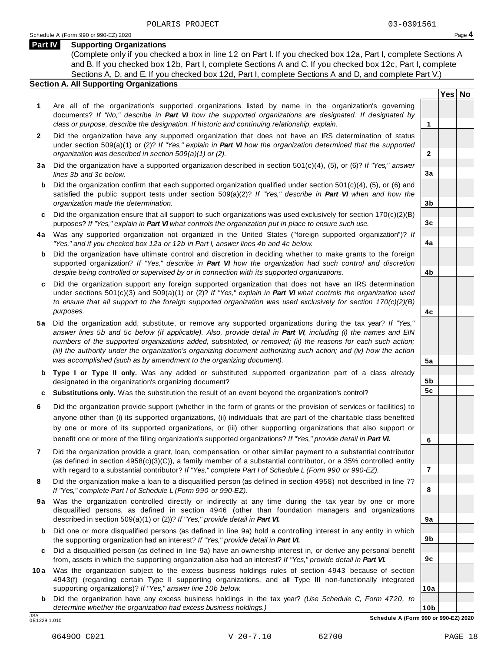**2**

**3a**

**3b**

**3c**

**4a**

**4b**

**4c**

**5a**

**5b 5c**

**6**

**7**

**8**

**9a**

**9b**

**9c**

**10a**

**Yes No**

#### **Part IV Supporting Organizations**

(Complete only if you checked a box in line 12 on Part I. If you checked box 12a, Part I, complete Sections A and B. If you checked box 12b, Part I, complete Sections A and C. If you checked box 12c, Part I, complete Sections A, D, and E. If you checked box 12d, Part I, complete Sections A and D, and complete Part V.)

#### **Section A. All Supporting Organizations**

- **1** Are all of the organization's supported organizations listed by name in the organization's governing documents? *If "No," describe in Part VI how the supported organizations are designated. If designated by class or purpose, describe the designation. If historic and continuing relationship, explain.* **1**
- **2** Did the organization have any supported organization that does not have an IRS determination of status under section 509(a)(1) or (2)? *If"Yes," explain in Part VI how the organization determined that the supported organization was described in section 509(a)(1) or (2).*
- **3 a** Did the organization have a supported organization described in section 501(c)(4), (5), or (6)? *If "Yes," answer lines 3b and 3c below.*
- **b** Did the organization confirm that each supported organization qualified under section 501(c)(4), (5), or (6) and | satisfied the public support tests under section 509(a)(2)? *If "Yes," describe in Part VI when and how the organization made the determination.*
- **c** Did the organization ensure that all support to such organizations was used exclusively for section 170(c)(2)(B) purposes? *If"Yes," explain in Part VI what controls the organization put in place to ensure such use.*
- **4 a** Was any supported organization not organized in the United States ("foreign supported organization")? *If "Yes," and if you checked box 12a or 12b in Part I, answer lines 4b and 4c below.*
- **b** Did the organization have ultimate control and discretion in deciding whether to make grants to the foreign | supported organization? *If "Yes," describe in Part VI how the organization had such control and discretion despite being controlled or supervised by or in connection with its supported organizations.*
- **c** Did the organization support any foreign supported organization that does not have an IRS determination | under sections 501(c)(3) and 509(a)(1) or (2)? *If "Yes," explain in Part VI what controls the organization used to ensure that all support to the foreign supported organization was used exclusively for section 170(c)(2)(B) purposes.*
- **5 a** Did the organization add, substitute, or remove any supported organizations during the tax year? *If "Yes,"* answer lines 5b and 5c below (if applicable). Also, provide detail in Part VI, including (i) the names and EIN *numbers of the supported organizations added, substituted, or removed; (ii) the reasons for each such action;* (iii) the authority under the organization's organizing document authorizing such action; and (iv) how the action *was accomplished (such as by amendment to the organizing document).*
- **b Type I or Type II only.** Was any added or substituted supported organization part of a class already designated in the organization's organizing document?
- **c Substitutions only.** Was the substitution the result of an event beyond the organization's control?
- **6** Did the organization provide support (whether in the form of grants or the provision of services or facilities) to anyone other than (i) its supported organizations, (ii) individuals that are part of the charitable class benefited by one or more of its supported organizations, or (iii) other supporting organizations that also support or benefit one or more of the filing organization's supported organizations? *If"Yes," provide detail in Part VI.*
- **7** Did the organization provide a grant, loan, compensation, or other similar payment to a substantial contributor (as defined in section 4958(c)(3)(C)), a family member of a substantial contributor, or a 35% controlled entity with regard to a substantial contributor? *If"Yes," complete Part I of Schedule L (Form 990 or 990-EZ).*
- **8** Did the organization make a loan to a disqualified person (as defined in section 4958) not described in line 7? *If "Yes," complete Part I of Schedule L (Form 990 or 990-EZ).*
- **9a** Was the organization controlled directly or indirectly at any time during the tax year by one or more | disqualified persons, as defined in section 4946 (other than foundation managers and organizations described in section 509(a)(1) or (2))? *If"Yes," provide detail in Part VI.*
- **b** Did one or more disqualified persons (as defined in line 9a) hold a controlling interest in any entity in which | the supporting organization had an interest? *If"Yes," provide detail in Part VI.*
- **c** Did a disqualified person (as defined in line 9a) have an ownership interest in, or derive any personal benefit from, assets in which the supporting organization also had an interest? *If"Yes," provide detail in Part VI.*
- **10a** Was the organization subject to the excess business holdings rules of section 4943 because of section | 4943(f) (regarding certain Type II supporting organizations, and all Type III non-functionally integrated supporting organizations)? *If"Yes," answer line 10b below.*
	- **b** Did the organization have any excess business holdings in the tax year? *(Use Schedule C, Form 4720, to determine whether the organization had excess business holdings.)*

0E1229 1.010

**10b** JSA **Schedule A (Form 990 or 990-EZ) 2020**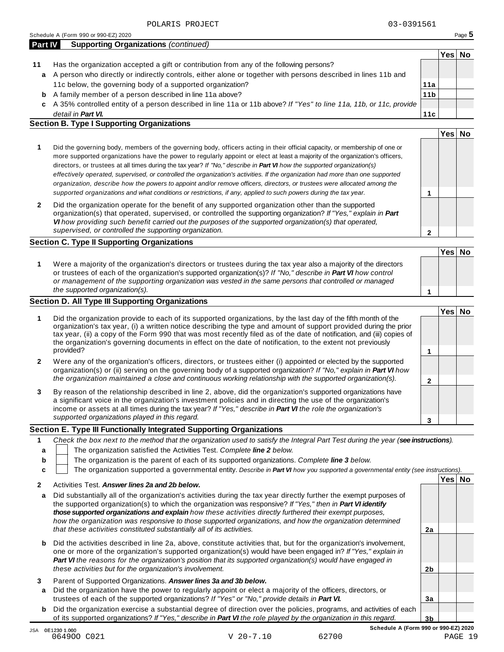|    |                                                                                                                      |                 | res ( | Nο |
|----|----------------------------------------------------------------------------------------------------------------------|-----------------|-------|----|
| 11 | Has the organization accepted a gift or contribution from any of the following persons?                              |                 |       |    |
| a  | A person who directly or indirectly controls, either alone or together with persons described in lines 11b and       |                 |       |    |
|    | 11c below, the governing body of a supported organization?                                                           | 11a             |       |    |
|    | <b>b</b> A family member of a person described in line 11a above?                                                    | 11 <sub>b</sub> |       |    |
|    | c A 35% controlled entity of a person described in line 11a or 11b above? If "Yes" to line 11a, 11b, or 11c, provide |                 |       |    |
|    | detail in <b>Part VI.</b>                                                                                            | 11c             |       |    |

#### **Section B. Type I Supporting Organizations**

|                                                                                                                                                                                                                                                                                                                                                                                                                                                                                                                                                                                                                                                                                                                                                                          |   | Yes∣ |  |
|--------------------------------------------------------------------------------------------------------------------------------------------------------------------------------------------------------------------------------------------------------------------------------------------------------------------------------------------------------------------------------------------------------------------------------------------------------------------------------------------------------------------------------------------------------------------------------------------------------------------------------------------------------------------------------------------------------------------------------------------------------------------------|---|------|--|
| Did the governing body, members of the governing body, officers acting in their official capacity, or membership of one or<br>more supported organizations have the power to regularly appoint or elect at least a majority of the organization's officers,<br>directors, or trustees at all times during the tax year? If "No," describe in Part VI how the supported organization(s)<br>effectively operated, supervised, or controlled the organization's activities. If the organization had more than one supported<br>organization, describe how the powers to appoint and/or remove officers, directors, or trustees were allocated among the<br>supported organizations and what conditions or restrictions, if any, applied to such powers during the tax year. |   |      |  |
| Did the organization operate for the benefit of any supported organization other than the supported<br>organization(s) that operated, supervised, or controlled the supporting organization? If "Yes," explain in Part<br>VI how providing such benefit carried out the purposes of the supported organization(s) that operated,<br>supervised, or controlled the supporting organization.                                                                                                                                                                                                                                                                                                                                                                               | າ |      |  |

## **Section C. Type II Supporting Organizations**

|  |                                                                                                                                                                                                                                                                                                                                                                               |  | Yesl | <b>No</b> |  |  |  |  |
|--|-------------------------------------------------------------------------------------------------------------------------------------------------------------------------------------------------------------------------------------------------------------------------------------------------------------------------------------------------------------------------------|--|------|-----------|--|--|--|--|
|  | Were a majority of the organization's directors or trustees during the tax year also a majority of the directors<br>or trustees of each of the organization's supported organization(s)? If "No," describe in Part VI how control<br>or management of the supporting organization was vested in the same persons that controlled or managed<br>the supported organization(s). |  |      |           |  |  |  |  |

## **Section D. All Type III Supporting Organizations**

|   |                                                                                                                                                                                                                                                                                                                                                                                                                                                                                          | Yes⊺ |  |
|---|------------------------------------------------------------------------------------------------------------------------------------------------------------------------------------------------------------------------------------------------------------------------------------------------------------------------------------------------------------------------------------------------------------------------------------------------------------------------------------------|------|--|
|   | Did the organization provide to each of its supported organizations, by the last day of the fifth month of the<br>organization's tax year, (i) a written notice describing the type and amount of support provided during the prior<br>tax year, (ii) a copy of the Form 990 that was most recently filed as of the date of notification, and (iii) copies of<br>the organization's governing documents in effect on the date of notification, to the extent not previously<br>provided? |      |  |
|   |                                                                                                                                                                                                                                                                                                                                                                                                                                                                                          |      |  |
| 2 | Were any of the organization's officers, directors, or trustees either (i) appointed or elected by the supported<br>organization(s) or (ii) serving on the governing body of a supported organization? If "No," explain in <b>Part VI</b> how                                                                                                                                                                                                                                            |      |  |
|   | the organization maintained a close and continuous working relationship with the supported organization(s).                                                                                                                                                                                                                                                                                                                                                                              |      |  |
| 3 | By reason of the relationship described in line 2, above, did the organization's supported organizations have<br>a significant voice in the organization's investment policies and in directing the use of the organization's<br>income or assets at all times during the tax year? If "Yes," describe in Part VI the role the organization's                                                                                                                                            |      |  |
|   | supported organizations played in this regard.                                                                                                                                                                                                                                                                                                                                                                                                                                           |      |  |

## **Section E. Type III Functionally Integrated Supporting Organizations**

|   | Check the box next to the method that the organization used to satisfy the Integral Part Test during the year (see instructions). |     |    |
|---|-----------------------------------------------------------------------------------------------------------------------------------|-----|----|
|   | The organization satisfied the Activities Test. Complete line 2 below.                                                            |     |    |
| b | The organization is the parent of each of its supported organizations. Complete line 3 below.                                     |     |    |
|   | The organization supported a governmental entity. Describe in Part VI how you supported a governmental entity (see instructions). |     |    |
|   |                                                                                                                                   | Yes | No |
|   | Activities Test Answer lines 2a and 2b below.                                                                                     |     |    |

|        | , why not read the contract of the contract when the state of the contract of the contract of the contract of                                                                                                                                                                                                                                                                                                                                                                                                                              |                |  |
|--------|--------------------------------------------------------------------------------------------------------------------------------------------------------------------------------------------------------------------------------------------------------------------------------------------------------------------------------------------------------------------------------------------------------------------------------------------------------------------------------------------------------------------------------------------|----------------|--|
| a      | Did substantially all of the organization's activities during the tax year directly further the exempt purposes of<br>the supported organization(s) to which the organization was responsive? If "Yes," then in <b>Part VI identify</b><br>those supported organizations and explain how these activities directly furthered their exempt purposes.<br>how the organization was responsive to those supported organizations, and how the organization determined<br>that these activities constituted substantially all of its activities. | 2a             |  |
| b      | Did the activities described in line 2a, above, constitute activities that, but for the organization's involvement,<br>one or more of the organization's supported organization(s) would have been engaged in? If "Yes," explain in<br><b>Part VI</b> the reasons for the organization's position that its supported organization(s) would have engaged in<br>these activities but for the organization's involvement.                                                                                                                     | 2 <sub>b</sub> |  |
| 3<br>a | Parent of Supported Organizations. Answer lines 3a and 3b below.<br>Did the organization have the power to regularly appoint or elect a majority of the officers, directors, or<br>trustees of each of the supported organizations? If "Yes" or "No," provide details in Part VI.                                                                                                                                                                                                                                                          | 3a             |  |
| b      | Did the organization exercise a substantial degree of direction over the policies, programs, and activities of each<br>of its supported organizations? If "Yes," describe in Part VI the role played by the organization in this regard.                                                                                                                                                                                                                                                                                                   | 3 <sub>b</sub> |  |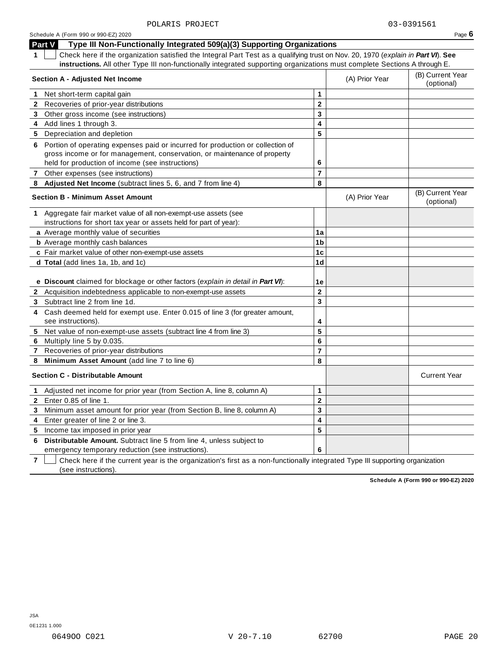|              | <b>Part V</b><br>Type III Non-Functionally Integrated 509(a)(3) Supporting Organizations                                                                                                                       |                |                | ı uyu v                        |
|--------------|----------------------------------------------------------------------------------------------------------------------------------------------------------------------------------------------------------------|----------------|----------------|--------------------------------|
| 1.           | Check here if the organization satisfied the Integral Part Test as a qualifying trust on Nov. 20, 1970 (explain in Part VI). See                                                                               |                |                |                                |
|              | instructions. All other Type III non-functionally integrated supporting organizations must complete Sections A through E.                                                                                      |                |                |                                |
|              | <b>Section A - Adjusted Net Income</b>                                                                                                                                                                         |                | (A) Prior Year | (B) Current Year<br>(optional) |
| 1.           | Net short-term capital gain                                                                                                                                                                                    | 1              |                |                                |
| $\mathbf{2}$ | Recoveries of prior-year distributions                                                                                                                                                                         | $\mathbf 2$    |                |                                |
| 3            | Other gross income (see instructions)                                                                                                                                                                          | 3              |                |                                |
| 4            | Add lines 1 through 3.                                                                                                                                                                                         | 4              |                |                                |
| 5            | Depreciation and depletion                                                                                                                                                                                     | 5              |                |                                |
| 6            | Portion of operating expenses paid or incurred for production or collection of<br>gross income or for management, conservation, or maintenance of property<br>held for production of income (see instructions) | 6              |                |                                |
|              | 7 Other expenses (see instructions)                                                                                                                                                                            | $\overline{7}$ |                |                                |
|              | 8 Adjusted Net Income (subtract lines 5, 6, and 7 from line 4)                                                                                                                                                 | 8              |                |                                |
|              | <b>Section B - Minimum Asset Amount</b>                                                                                                                                                                        |                | (A) Prior Year | (B) Current Year<br>(optional) |
| 1.           | Aggregate fair market value of all non-exempt-use assets (see<br>instructions for short tax year or assets held for part of year):                                                                             |                |                |                                |
|              | a Average monthly value of securities                                                                                                                                                                          | 1a             |                |                                |
|              | <b>b</b> Average monthly cash balances                                                                                                                                                                         | 1 <sub>b</sub> |                |                                |
|              | c Fair market value of other non-exempt-use assets                                                                                                                                                             | 1 <sub>c</sub> |                |                                |
|              | d Total (add lines 1a, 1b, and 1c)                                                                                                                                                                             | 1 <sub>d</sub> |                |                                |
|              | e Discount claimed for blockage or other factors (explain in detail in Part VI):                                                                                                                               | 1e             |                |                                |
|              | 2 Acquisition indebtedness applicable to non-exempt-use assets                                                                                                                                                 | $\mathbf{2}$   |                |                                |
| 3            | Subtract line 2 from line 1d.                                                                                                                                                                                  | 3              |                |                                |
| 4            | Cash deemed held for exempt use. Enter 0.015 of line 3 (for greater amount,                                                                                                                                    |                |                |                                |
|              | see instructions).                                                                                                                                                                                             | 4              |                |                                |
| 5.           | Net value of non-exempt-use assets (subtract line 4 from line 3)                                                                                                                                               | 5              |                |                                |
| 6            | Multiply line 5 by 0.035.                                                                                                                                                                                      | 6              |                |                                |
|              | 7 Recoveries of prior-year distributions                                                                                                                                                                       | $\overline{7}$ |                |                                |
| 8            | Minimum Asset Amount (add line 7 to line 6)                                                                                                                                                                    | 8              |                |                                |
|              | <b>Section C - Distributable Amount</b>                                                                                                                                                                        |                |                | <b>Current Year</b>            |
| 1.           | Adjusted net income for prior year (from Section A, line 8, column A)                                                                                                                                          | 1              |                |                                |
| $\mathbf{2}$ | Enter 0.85 of line 1.                                                                                                                                                                                          | $\mathbf 2$    |                |                                |
| 3            | Minimum asset amount for prior year (from Section B, line 8, column A)                                                                                                                                         | 3              |                |                                |
|              | 4 Enter greater of line 2 or line 3.                                                                                                                                                                           | 4              |                |                                |
| 5            | Income tax imposed in prior year                                                                                                                                                                               | 5              |                |                                |
| 6            | Distributable Amount. Subtract line 5 from line 4, unless subject to                                                                                                                                           |                |                |                                |
|              | emergency temporary reduction (see instructions).                                                                                                                                                              | 6              |                |                                |

**7** Check here if the current year is the organization's first as a non-functionally integrated Type III supporting organization (see instructions).

**Schedule A (Form 990 or 990-EZ) 2020**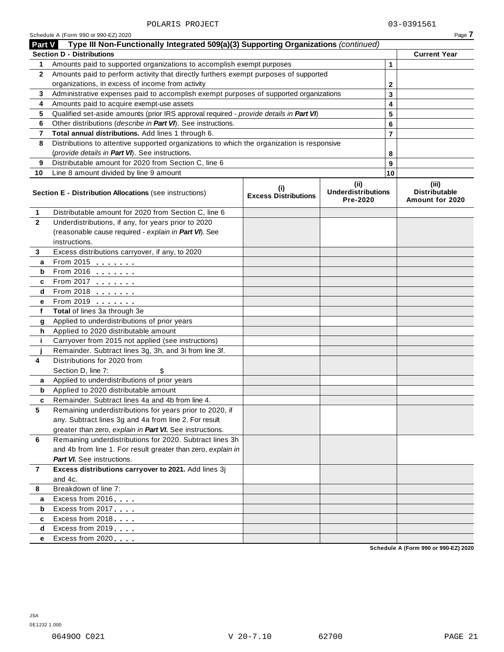|                | Schedule A (Form 990 or 990-EZ) 2020                                                                                 |                                    |                                                |                | Page 7                                    |
|----------------|----------------------------------------------------------------------------------------------------------------------|------------------------------------|------------------------------------------------|----------------|-------------------------------------------|
| Part V         | Type III Non-Functionally Integrated 509(a)(3) Supporting Organizations (continued)                                  |                                    |                                                |                |                                           |
|                | <b>Section D - Distributions</b>                                                                                     |                                    |                                                |                | <b>Current Year</b>                       |
| 1              | Amounts paid to supported organizations to accomplish exempt purposes                                                |                                    |                                                | 1              |                                           |
| $\mathbf{2}$   | Amounts paid to perform activity that directly furthers exempt purposes of supported                                 |                                    |                                                |                |                                           |
|                | organizations, in excess of income from activity                                                                     |                                    |                                                | 2              |                                           |
| 3              | Administrative expenses paid to accomplish exempt purposes of supported organizations                                |                                    |                                                | 3              |                                           |
| 4              | Amounts paid to acquire exempt-use assets                                                                            |                                    |                                                | 4              |                                           |
| 5              | Qualified set-aside amounts (prior IRS approval required - provide details in Part VI)                               |                                    |                                                | 5              |                                           |
| 6              | Other distributions (describe in Part VI). See instructions.                                                         |                                    |                                                | 6              |                                           |
| 7              | Total annual distributions. Add lines 1 through 6.                                                                   |                                    |                                                | $\overline{7}$ |                                           |
| 8              | Distributions to attentive supported organizations to which the organization is responsive                           |                                    |                                                |                |                                           |
|                | (provide details in Part VI). See instructions.                                                                      |                                    |                                                | 8              |                                           |
| 9              | Distributable amount for 2020 from Section C, line 6                                                                 |                                    |                                                | 9              |                                           |
| 10             | Line 8 amount divided by line 9 amount                                                                               |                                    |                                                | 10             |                                           |
|                | Section E - Distribution Allocations (see instructions)                                                              | (i)<br><b>Excess Distributions</b> | (iii)<br><b>Underdistributions</b><br>Pre-2020 |                | (iii)<br>Distributable<br>Amount for 2020 |
| 1              | Distributable amount for 2020 from Section C, line 6                                                                 |                                    |                                                |                |                                           |
| $\mathbf{2}$   | Underdistributions, if any, for years prior to 2020                                                                  |                                    |                                                |                |                                           |
|                | (reasonable cause required - explain in Part VI). See                                                                |                                    |                                                |                |                                           |
|                | instructions.                                                                                                        |                                    |                                                |                |                                           |
| 3              | Excess distributions carryover, if any, to 2020                                                                      |                                    |                                                |                |                                           |
| a              | From 2015                                                                                                            |                                    |                                                |                |                                           |
| b              | $From 2016$                                                                                                          |                                    |                                                |                |                                           |
| c              | From 2017 $\frac{1}{2}$                                                                                              |                                    |                                                |                |                                           |
| d              | From 2018 <b></b>                                                                                                    |                                    |                                                |                |                                           |
| е              |                                                                                                                      |                                    |                                                |                |                                           |
| $\mathbf f$    | Total of lines 3a through 3e                                                                                         |                                    |                                                |                |                                           |
| g              | Applied to underdistributions of prior years                                                                         |                                    |                                                |                |                                           |
| h              | Applied to 2020 distributable amount                                                                                 |                                    |                                                |                |                                           |
| j.             | Carryover from 2015 not applied (see instructions)                                                                   |                                    |                                                |                |                                           |
| j              | Remainder. Subtract lines 3g, 3h, and 3i from line 3f.                                                               |                                    |                                                |                |                                           |
| 4              | Distributions for 2020 from                                                                                          |                                    |                                                |                |                                           |
|                | Section D, line 7:<br>\$                                                                                             |                                    |                                                |                |                                           |
| a              | Applied to underdistributions of prior years                                                                         |                                    |                                                |                |                                           |
| b              | Applied to 2020 distributable amount                                                                                 |                                    |                                                |                |                                           |
|                | Remainder. Subtract lines 4a and 4b from line 4.                                                                     |                                    |                                                |                |                                           |
| 5              | Remaining underdistributions for years prior to 2020, if                                                             |                                    |                                                |                |                                           |
|                | any. Subtract lines 3g and 4a from line 2. For result                                                                |                                    |                                                |                |                                           |
|                | greater than zero, explain in Part VI. See instructions.<br>Remaining underdistributions for 2020. Subtract lines 3h |                                    |                                                |                |                                           |
| 6              |                                                                                                                      |                                    |                                                |                |                                           |
|                | and 4b from line 1. For result greater than zero, explain in<br><b>Part VI.</b> See instructions.                    |                                    |                                                |                |                                           |
|                | Excess distributions carryover to 2021. Add lines 3j                                                                 |                                    |                                                |                |                                           |
| $\overline{7}$ | and 4c.                                                                                                              |                                    |                                                |                |                                           |
| 8              | Breakdown of line 7:                                                                                                 |                                    |                                                |                |                                           |
|                | Excess from 2016                                                                                                     |                                    |                                                |                |                                           |
| a              | Excess from 2017                                                                                                     |                                    |                                                |                |                                           |
| b              | Excess from 2018                                                                                                     |                                    |                                                |                |                                           |
| c              | Excess from 2019                                                                                                     |                                    |                                                |                |                                           |
| d              | Excess from 2020                                                                                                     |                                    |                                                |                |                                           |
| е              |                                                                                                                      |                                    |                                                |                |                                           |

**Schedule A (Form 990 or 990-EZ) 2020**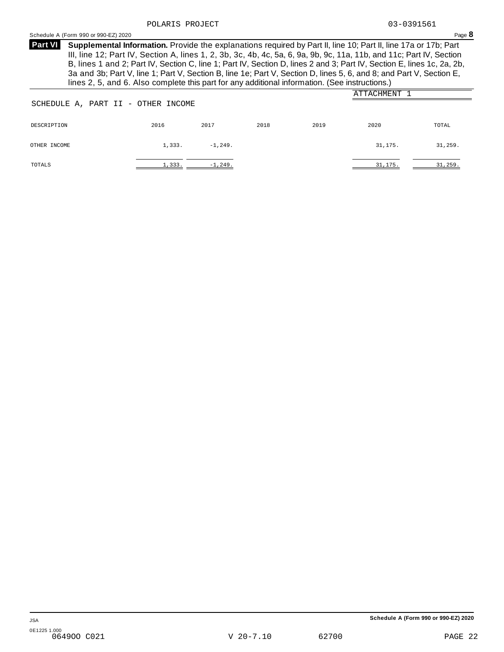<span id="page-19-0"></span>Schedule <sup>A</sup> (Form <sup>990</sup> or 990-EZ) <sup>2020</sup> Page **8**

**Supplemental Information.** Provide the explanations required by Part II, line 10; Part II, line 17a or 17b; Part **Part VI** III, line 12; Part IV, Section A, lines 1, 2, 3b, 3c, 4b, 4c, 5a, 6, 9a, 9b, 9c, 11a, 11b, and 11c; Part IV, Section B, lines 1 and 2; Part IV, Section C, line 1; Part IV, Section D, lines 2 and 3; Part IV, Section E, lines 1c, 2a, 2b, 3a and 3b; Part V, line 1; Part V, Section B, line 1e; Part V, Section D, lines 5, 6, and 8; and Part V, Section E, lines 2, 5, and 6. Also complete this part for any additional information. (See instructions.)

| SCHEDULE A, PART II - OTHER INCOME |        |            |      |      | ATTACHMENT 1 |          |
|------------------------------------|--------|------------|------|------|--------------|----------|
| DESCRIPTION                        | 2016   | 2017       | 2018 | 2019 | 2020         | TOTAL    |
| OTHER INCOME                       | 1,333. | $-1, 249.$ |      |      | 31,175.      | 31,259.  |
| TOTALS                             | 1,333. | $-1, 249.$ |      |      | 31, 175.     | 31, 259. |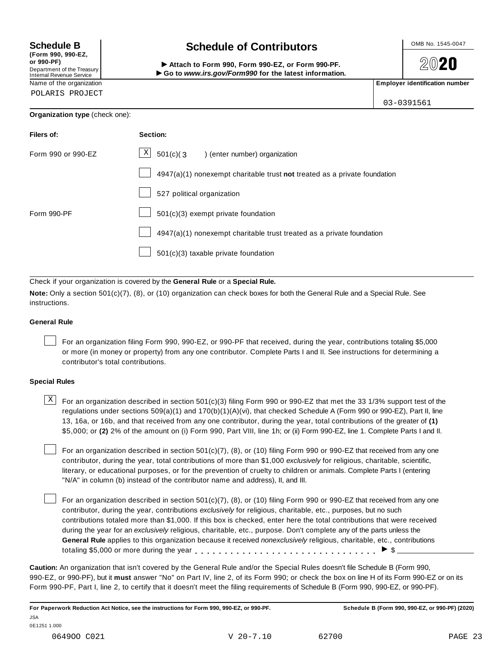# **(Form 990, 990-EZ,**

| († VIIII JJV, JJV-LL,<br>or 990-PF)                    |  |
|--------------------------------------------------------|--|
| Department of the Treasury<br>Internal Revenue Service |  |
|                                                        |  |

POLARIS PROJECT

# **Schedule B chedule of Contributors**

(Form 990, 990-EZ,<br>
or 990-PF,<br>
Department of the Treasury **COLOCY**<br>
Internal Revenue Service **COLOCY**<br>
Name of the organization<br>
Name of the organization

**2020** 

03-0391561

| Organization type (check one): |  |
|--------------------------------|--|
|--------------------------------|--|

| Filers of:         | Section:                                                                  |
|--------------------|---------------------------------------------------------------------------|
| Form 990 or 990-EZ | $\mathbb{X}$ 501(c)(3<br>) (enter number) organization                    |
|                    | 4947(a)(1) nonexempt charitable trust not treated as a private foundation |
|                    | 527 political organization                                                |
| Form 990-PF        | 501(c)(3) exempt private foundation                                       |
|                    | 4947(a)(1) nonexempt charitable trust treated as a private foundation     |
|                    | $501(c)(3)$ taxable private foundation                                    |

Check if your organization is covered by the **General Rule** or a **Special Rule.**

**Note:** Only a section 501(c)(7), (8), or (10) organization can check boxes for both the General Rule and a Special Rule. See instructions.

#### **General Rule**

For an organization filing Form 990, 990-EZ, or 990-PF that received, during the year, contributions totaling \$5,000 or more (in money or property) from any one contributor. Complete Parts I and II. See instructions for determining a contributor's total contributions.

#### **Special Rules**

 $\text{X}$  For an organization described in section 501(c)(3) filing Form 990 or 990-EZ that met the 33 1/3% support test of the regulations under sections 509(a)(1) and 170(b)(1)(A)(vi), that checked Schedule A (Form 990 or 990-EZ), Part II, line 13, 16a, or 16b, and that received from any one contributor, during the year, total contributions of the greater of **(1)** \$5,000; or **(2)** 2% of the amount on (i) Form 990, Part VIII, line 1h; or (ii) Form 990-EZ, line 1. Complete Parts I and II.

For an organization described in section 501(c)(7), (8), or (10) filing Form 990 or 990-EZ that received from any one contributor, during the year, total contributions of more than \$1,000 *exclusively* for religious, charitable, scientific, literary, or educational purposes, or for the prevention of cruelty to children or animals. Complete Parts I (entering "N/A" in column (b) instead of the contributor name and address), II, and III.

For an organization described in section 501(c)(7), (8), or (10) filing Form 990 or 990-EZ that received from any one contributor, during the year, contributions *exclusively* for religious, charitable, etc., purposes, but no such contributions totaled more than \$1,000. If this box is checked, enter here the total contributions that were received during the year for an *exclusively* religious, charitable, etc., purpose. Don't complete any of the parts unless the **General Rule** applies to this organization because it received *nonexclusively* religious, charitable, etc., contributions totaling \$5,000 or more during the year  $\ldots \ldots \ldots \ldots \ldots \ldots \ldots \ldots \ldots \vdots$ 

**Caution:** An organization that isn't covered by the General Rule and/or the Special Rules doesn't file Schedule B (Form 990, 990-EZ, or 990-PF), but it **must** answer "No" on Part IV, line 2, of its Form 990; or check the box on line H of its Form 990-EZ or on its Form 990-PF, Part I, line 2, to certify that it doesn't meet the filing requirements of Schedule B (Form 990, 990-EZ, or 990-PF).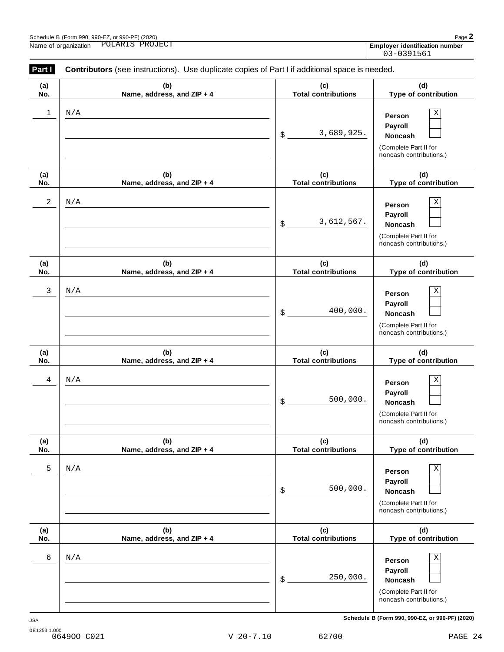**(a) No.**

**(a) No.**

**(a) No.**

**(a) No.**

**(a) No.**

**(a) No.**

| <b>JSA</b> | Schedule B (Form 990, 990-EZ, or 990-PF) (2020) |
|------------|-------------------------------------------------|
|            |                                                 |

03-0391561

|    | (b)                        | (c)                         | (d)                                                                                             |
|----|----------------------------|-----------------------------|-------------------------------------------------------------------------------------------------|
|    | Name, address, and ZIP + 4 | <b>Total contributions</b>  | Type of contribution                                                                            |
| 1  | N/A                        | 3,689,925.<br>$\frac{1}{2}$ | Χ<br>Person<br>Payroll<br>Noncash<br>(Complete Part II for<br>noncash contributions.)           |
|    | (b)                        | (c)                         | (d)                                                                                             |
|    | Name, address, and ZIP + 4 | <b>Total contributions</b>  | Type of contribution                                                                            |
| 2  | N/A                        | 3,612,567.<br>\$            | Χ<br>Person<br>Payroll<br>Noncash<br>(Complete Part II for<br>noncash contributions.)           |
|    | (b)                        | (c)                         | (d)                                                                                             |
|    | Name, address, and ZIP + 4 | <b>Total contributions</b>  | Type of contribution                                                                            |
| 3  | N/A                        | 400,000.<br>\$              | Χ<br>Person<br>Payroll<br><b>Noncash</b><br>(Complete Part II for<br>noncash contributions.)    |
|    | (b)                        | (c)                         | (d)                                                                                             |
|    | Name, address, and ZIP + 4 | <b>Total contributions</b>  | Type of contribution                                                                            |
| 4  | N/A                        | 500,000.<br>\$              | Χ<br>Person<br>Payroll<br><b>Noncash</b><br>(Complete Part II for<br>noncash contributions.)    |
| ι. | (b)                        | (c)                         | (d)                                                                                             |
|    | Name, address, and ZIP + 4 | <b>Total contributions</b>  | Type of contribution                                                                            |
| 5  | N/A                        | 500,000.<br>\$              | $\mathbf X$<br>Person<br>Payroll<br>Noncash<br>(Complete Part II for<br>noncash contributions.) |
|    | (b)                        | (c)                         | (d)                                                                                             |
|    | Name, address, and ZIP + 4 | <b>Total contributions</b>  | Type of contribution                                                                            |
| 6  | N/A                        | 250,000.<br>\$              | $\mathbf X$<br>Person<br>Payroll<br>Noncash                                                     |

**Part <b>I** Contributors (see instructions). Use duplicate copies of Part I if additional space is needed.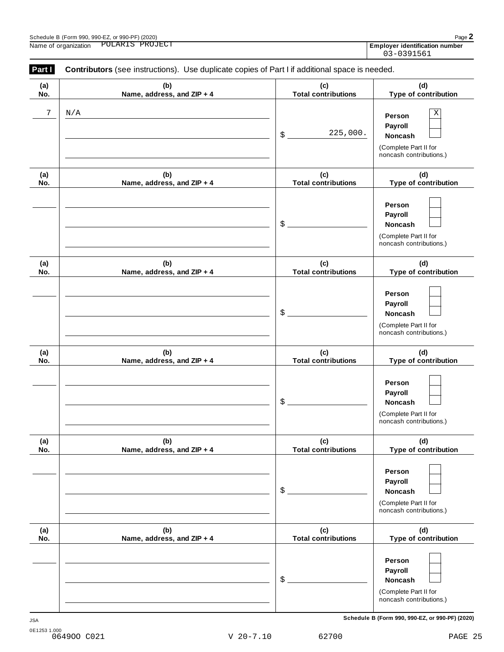|                         | Schedule B (Form 990, 990-EZ.<br>. or 990-PF) (2020) |  | $Page$ .                                   |
|-------------------------|------------------------------------------------------|--|--------------------------------------------|
| Name of<br>organization | ÆC"<br>POLART<br>، ہر ب                              |  | .<br>identification number :<br>. Emplover |

| (a)        | (b)                               | (c)                               | (d)                                              |
|------------|-----------------------------------|-----------------------------------|--------------------------------------------------|
| No.        | Name, address, and ZIP + 4        | <b>Total contributions</b>        | Type of contribution                             |
| 7          | N/A                               |                                   | Χ                                                |
|            |                                   |                                   | Person                                           |
|            |                                   |                                   | Payroll                                          |
|            |                                   | 225,000.<br>\$                    | Noncash                                          |
|            |                                   |                                   | (Complete Part II for<br>noncash contributions.) |
| (a)        | (b)                               | (c)                               | (d)                                              |
| No.        | Name, address, and ZIP + 4        | <b>Total contributions</b>        | Type of contribution                             |
|            |                                   |                                   | Person                                           |
|            |                                   |                                   | Payroll                                          |
|            |                                   | \$                                | Noncash                                          |
|            |                                   |                                   | (Complete Part II for<br>noncash contributions.) |
| (a)        | (b)                               | (c)                               | (d)                                              |
| No.        | Name, address, and ZIP + 4        | <b>Total contributions</b>        | Type of contribution                             |
|            |                                   |                                   |                                                  |
|            |                                   |                                   | Person                                           |
|            |                                   |                                   | Payroll                                          |
|            |                                   | \$                                | Noncash                                          |
|            |                                   |                                   | (Complete Part II for<br>noncash contributions.) |
| (a)<br>No. | (b)<br>Name, address, and ZIP + 4 | (c)<br><b>Total contributions</b> | (d)<br>Type of contribution                      |
|            |                                   |                                   |                                                  |
|            |                                   |                                   | Person                                           |
|            |                                   |                                   | Payroll                                          |
|            |                                   | \$                                | Noncash                                          |
|            |                                   |                                   | (Complete Part II for                            |
|            |                                   |                                   | noncash contributions.)                          |
| (a)        | (b)                               | (c)                               | (d)                                              |
| No.        | Name, address, and ZIP + 4        | <b>Total contributions</b>        | Type of contribution                             |
|            |                                   |                                   |                                                  |
|            |                                   |                                   | Person                                           |
|            |                                   | \$                                | Payroll                                          |
|            |                                   |                                   | Noncash                                          |
|            |                                   |                                   | (Complete Part II for<br>noncash contributions.) |
| (a)        | (b)                               | (c)                               | (d)                                              |
| No.        | Name, address, and ZIP + 4        | <b>Total contributions</b>        | Type of contribution                             |
|            |                                   |                                   | Person                                           |
|            |                                   |                                   | Payroll                                          |
|            |                                   | \$                                | Noncash                                          |
|            |                                   |                                   | (Complete Part II for                            |
|            |                                   |                                   | noncash contributions.)                          |
|            |                                   |                                   |                                                  |

**Schedule B (Form 990, 990-EZ, or 990-PF) (2020)** JSA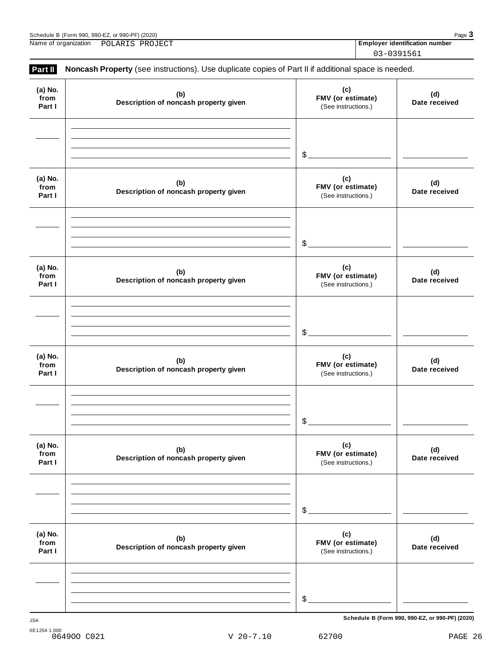Name of organization **Employer identification number** POLARIS PROJECT 03-0391561

| Part II                   | Noncash Property (see instructions). Use duplicate copies of Part II if additional space is needed. |                                                 |                      |
|---------------------------|-----------------------------------------------------------------------------------------------------|-------------------------------------------------|----------------------|
| (a) No.<br>from<br>Part I | (b)<br>Description of noncash property given                                                        | (c)<br>FMV (or estimate)<br>(See instructions.) | (d)<br>Date received |
|                           |                                                                                                     | $\frac{1}{2}$                                   |                      |
| (a) No.<br>from<br>Part I | (b)<br>Description of noncash property given                                                        | (c)<br>FMV (or estimate)<br>(See instructions.) | (d)<br>Date received |
|                           |                                                                                                     | $\mathcal{L}_{-}$                               |                      |
| (a) No.<br>from<br>Part I | (b)<br>Description of noncash property given                                                        | (c)<br>FMV (or estimate)<br>(See instructions.) | (d)<br>Date received |
|                           |                                                                                                     | $\frac{1}{2}$                                   |                      |
| (a) No.<br>from<br>Part I | (b)<br>Description of noncash property given                                                        | (c)<br>FMV (or estimate)<br>(See instructions.) | (d)<br>Date received |
|                           |                                                                                                     | \$                                              |                      |
| (a) No.<br>from<br>Part I | (b)<br>Description of noncash property given                                                        | (c)<br>FMV (or estimate)<br>(See instructions.) | (d)<br>Date received |
|                           |                                                                                                     | \$                                              |                      |
| (a) No.<br>from<br>Part I | (b)<br>Description of noncash property given                                                        | (c)<br>FMV (or estimate)<br>(See instructions.) | (d)<br>Date received |
|                           |                                                                                                     | $\mathcal{L}_{-}$                               |                      |

**Schedule B (Form 990, 990-EZ, or 990-PF) (2020)** JSA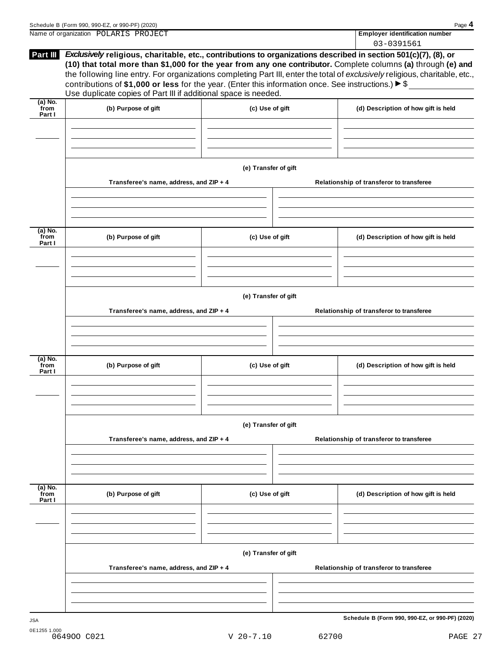|                             | Schedule B (Form 990, 990-EZ, or 990-PF) (2020)                                                                                                                                                                                                                                                                                                                                                                                                                                                                                                            |                      |                                          | Page 4                                          |  |  |
|-----------------------------|------------------------------------------------------------------------------------------------------------------------------------------------------------------------------------------------------------------------------------------------------------------------------------------------------------------------------------------------------------------------------------------------------------------------------------------------------------------------------------------------------------------------------------------------------------|----------------------|------------------------------------------|-------------------------------------------------|--|--|
|                             | Name of organization POLARIS PROJECT                                                                                                                                                                                                                                                                                                                                                                                                                                                                                                                       |                      |                                          | <b>Employer identification number</b>           |  |  |
| Part III                    | Exclusively religious, charitable, etc., contributions to organizations described in section 501(c)(7), (8), or<br>(10) that total more than \$1,000 for the year from any one contributor. Complete columns (a) through (e) and<br>the following line entry. For organizations completing Part III, enter the total of exclusively religious, charitable, etc.,<br>contributions of \$1,000 or less for the year. (Enter this information once. See instructions.) $\triangleright$ \$<br>Use duplicate copies of Part III if additional space is needed. |                      |                                          | 03-0391561                                      |  |  |
| $(a)$ No.<br>from<br>Part I | (b) Purpose of gift                                                                                                                                                                                                                                                                                                                                                                                                                                                                                                                                        | (c) Use of gift      |                                          | (d) Description of how gift is held             |  |  |
|                             |                                                                                                                                                                                                                                                                                                                                                                                                                                                                                                                                                            |                      |                                          |                                                 |  |  |
|                             | Transferee's name, address, and ZIP + 4                                                                                                                                                                                                                                                                                                                                                                                                                                                                                                                    | (e) Transfer of gift |                                          | Relationship of transferor to transferee        |  |  |
| $(a)$ No.                   |                                                                                                                                                                                                                                                                                                                                                                                                                                                                                                                                                            |                      |                                          |                                                 |  |  |
| from<br>Part I              | (b) Purpose of gift                                                                                                                                                                                                                                                                                                                                                                                                                                                                                                                                        | (c) Use of gift      |                                          | (d) Description of how gift is held             |  |  |
|                             |                                                                                                                                                                                                                                                                                                                                                                                                                                                                                                                                                            |                      |                                          |                                                 |  |  |
|                             | Transferee's name, address, and ZIP + 4                                                                                                                                                                                                                                                                                                                                                                                                                                                                                                                    | (e) Transfer of gift |                                          | Relationship of transferor to transferee        |  |  |
|                             |                                                                                                                                                                                                                                                                                                                                                                                                                                                                                                                                                            |                      |                                          |                                                 |  |  |
| (a) No.<br>from<br>Part I   | (b) Purpose of gift                                                                                                                                                                                                                                                                                                                                                                                                                                                                                                                                        | (c) Use of gift      |                                          | (d) Description of how gift is held             |  |  |
|                             |                                                                                                                                                                                                                                                                                                                                                                                                                                                                                                                                                            |                      |                                          |                                                 |  |  |
|                             | Transferee's name, address, and ZIP + 4                                                                                                                                                                                                                                                                                                                                                                                                                                                                                                                    | (e) Transfer of gift | Relationship of transferor to transferee |                                                 |  |  |
|                             |                                                                                                                                                                                                                                                                                                                                                                                                                                                                                                                                                            |                      |                                          |                                                 |  |  |
| $(a)$ No.<br>from<br>Part I | (b) Purpose of gift                                                                                                                                                                                                                                                                                                                                                                                                                                                                                                                                        | (c) Use of gift      |                                          | (d) Description of how gift is held             |  |  |
|                             |                                                                                                                                                                                                                                                                                                                                                                                                                                                                                                                                                            |                      |                                          |                                                 |  |  |
|                             |                                                                                                                                                                                                                                                                                                                                                                                                                                                                                                                                                            | (e) Transfer of gift |                                          |                                                 |  |  |
|                             | Transferee's name, address, and ZIP + 4                                                                                                                                                                                                                                                                                                                                                                                                                                                                                                                    |                      |                                          | Relationship of transferor to transferee        |  |  |
|                             |                                                                                                                                                                                                                                                                                                                                                                                                                                                                                                                                                            |                      |                                          |                                                 |  |  |
|                             |                                                                                                                                                                                                                                                                                                                                                                                                                                                                                                                                                            |                      |                                          | Schedule B (Form 990, 990-EZ, or 990-PF) (2020) |  |  |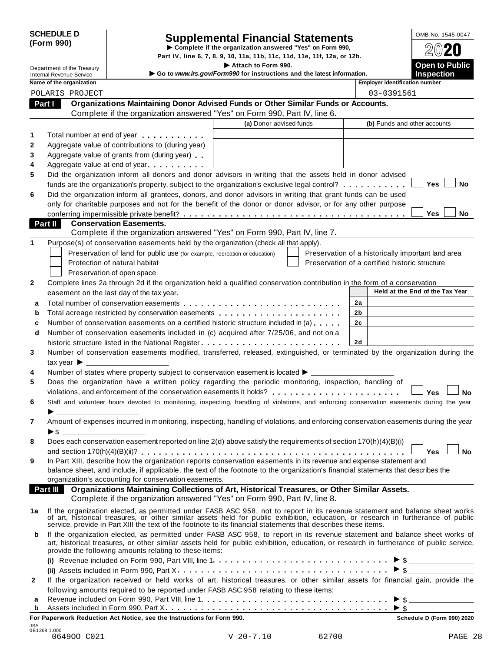| <b>SCHEDULE D</b> |  |
|-------------------|--|
| (Form 990)        |  |

# SCHEDULE D<br>
(Form 990) Supplemental Financial Statements<br>  $\epsilon$  Complete if the organization answered "Yes" on Form 990,<br>
Part IV line 6, 7, 8, 9, 10, 11a, 11b, 11c, 11d, 11e, 11f, 12a, or 12b

|              |                                 |                                     |                                                                            | Part IV, line 6, 7, 8, 9, 10, 11a, 11b, 11c, 11d, 11e, 11f, 12a, or 12b.                                                                                                                                                          |    |                                                     | BWZU                                               |
|--------------|---------------------------------|-------------------------------------|----------------------------------------------------------------------------|-----------------------------------------------------------------------------------------------------------------------------------------------------------------------------------------------------------------------------------|----|-----------------------------------------------------|----------------------------------------------------|
|              |                                 | Department of the Treasury          |                                                                            | Attach to Form 990.                                                                                                                                                                                                               |    |                                                     | <b>Open to Public</b>                              |
|              | <b>Internal Revenue Service</b> |                                     |                                                                            | Go to www.irs.gov/Form990 for instructions and the latest information.                                                                                                                                                            |    |                                                     | <b>Inspection</b>                                  |
|              | Name of the organization        | POLARIS PROJECT                     |                                                                            |                                                                                                                                                                                                                                   |    | <b>Employer identification number</b><br>03-0391561 |                                                    |
|              |                                 |                                     |                                                                            | Organizations Maintaining Donor Advised Funds or Other Similar Funds or Accounts.                                                                                                                                                 |    |                                                     |                                                    |
| Part I       |                                 |                                     |                                                                            | Complete if the organization answered "Yes" on Form 990, Part IV, line 6.                                                                                                                                                         |    |                                                     |                                                    |
|              |                                 |                                     |                                                                            | (a) Donor advised funds                                                                                                                                                                                                           |    | (b) Funds and other accounts                        |                                                    |
|              |                                 |                                     |                                                                            |                                                                                                                                                                                                                                   |    |                                                     |                                                    |
| 1            |                                 |                                     | Total number at end of year entitled as a set of year                      |                                                                                                                                                                                                                                   |    |                                                     |                                                    |
| $\mathbf{2}$ |                                 |                                     | Aggregate value of contributions to (during year)                          |                                                                                                                                                                                                                                   |    |                                                     |                                                    |
| 3            |                                 |                                     | Aggregate value of grants from (during year)                               |                                                                                                                                                                                                                                   |    |                                                     |                                                    |
| 4            |                                 |                                     | Aggregate value at end of year                                             |                                                                                                                                                                                                                                   |    |                                                     |                                                    |
| 5            |                                 |                                     |                                                                            | Did the organization inform all donors and donor advisors in writing that the assets held in donor advised                                                                                                                        |    |                                                     | <b>Yes</b><br>No                                   |
|              |                                 |                                     |                                                                            | funds are the organization's property, subject to the organization's exclusive legal control?                                                                                                                                     |    |                                                     |                                                    |
| 6            |                                 |                                     |                                                                            | Did the organization inform all grantees, donors, and donor advisors in writing that grant funds can be used                                                                                                                      |    |                                                     |                                                    |
|              |                                 |                                     |                                                                            | only for charitable purposes and not for the benefit of the donor or donor advisor, or for any other purpose                                                                                                                      |    |                                                     | <b>Yes</b><br>No                                   |
|              | Part II                         |                                     | <b>Conservation Easements.</b>                                             |                                                                                                                                                                                                                                   |    |                                                     |                                                    |
|              |                                 |                                     |                                                                            | Complete if the organization answered "Yes" on Form 990, Part IV, line 7.                                                                                                                                                         |    |                                                     |                                                    |
| 1            |                                 |                                     |                                                                            | Purpose(s) of conservation easements held by the organization (check all that apply).                                                                                                                                             |    |                                                     |                                                    |
|              |                                 |                                     | Preservation of land for public use (for example, recreation or education) |                                                                                                                                                                                                                                   |    |                                                     | Preservation of a historically important land area |
|              |                                 |                                     | Protection of natural habitat                                              |                                                                                                                                                                                                                                   |    | Preservation of a certified historic structure      |                                                    |
|              |                                 |                                     | Preservation of open space                                                 |                                                                                                                                                                                                                                   |    |                                                     |                                                    |
| $\mathbf{2}$ |                                 |                                     |                                                                            | Complete lines 2a through 2d if the organization held a qualified conservation contribution in the form of a conservation                                                                                                         |    |                                                     |                                                    |
|              |                                 |                                     | easement on the last day of the tax year.                                  |                                                                                                                                                                                                                                   |    |                                                     | Held at the End of the Tax Year                    |
| a            |                                 |                                     |                                                                            |                                                                                                                                                                                                                                   | 2a |                                                     |                                                    |
| b            |                                 |                                     |                                                                            | Total acreage restricted by conservation easements                                                                                                                                                                                | 2b |                                                     |                                                    |
| c            |                                 |                                     |                                                                            | Number of conservation easements on a certified historic structure included in (a)                                                                                                                                                | 2c |                                                     |                                                    |
| d            |                                 |                                     |                                                                            | Number of conservation easements included in (c) acquired after 7/25/06, and not on a                                                                                                                                             |    |                                                     |                                                    |
|              |                                 |                                     |                                                                            | historic structure listed in the National Register                                                                                                                                                                                | 2d |                                                     |                                                    |
| 3            |                                 |                                     |                                                                            | Number of conservation easements modified, transferred, released, extinguished, or terminated by the organization during the                                                                                                      |    |                                                     |                                                    |
|              |                                 | tax year $\blacktriangleright$ ____ |                                                                            |                                                                                                                                                                                                                                   |    |                                                     |                                                    |
| 4            |                                 |                                     |                                                                            | Number of states where property subject to conservation easement is located ▶ _____                                                                                                                                               |    |                                                     |                                                    |
| 5            |                                 |                                     |                                                                            | Does the organization have a written policy regarding the periodic monitoring, inspection, handling of                                                                                                                            |    |                                                     |                                                    |
|              |                                 |                                     |                                                                            |                                                                                                                                                                                                                                   |    |                                                     | <b>Yes</b><br>No                                   |
| 6            |                                 |                                     |                                                                            | Staff and volunteer hours devoted to monitoring, inspecting, handling of violations, and enforcing conservation easements during the year                                                                                         |    |                                                     |                                                    |
|              |                                 |                                     |                                                                            |                                                                                                                                                                                                                                   |    |                                                     |                                                    |
| 7            |                                 |                                     |                                                                            | Amount of expenses incurred in monitoring, inspecting, handling of violations, and enforcing conservation easements during the year                                                                                               |    |                                                     |                                                    |
|              |                                 |                                     | $\triangleright$ \$                                                        |                                                                                                                                                                                                                                   |    |                                                     |                                                    |
| 8            |                                 |                                     |                                                                            | Does each conservation easement reported on line 2(d) above satisfy the requirements of section 170(h)(4)(B)(i)                                                                                                                   |    |                                                     |                                                    |
|              |                                 |                                     |                                                                            |                                                                                                                                                                                                                                   |    |                                                     | Yes<br><b>No</b>                                   |
| 9            |                                 |                                     |                                                                            | In Part XIII, describe how the organization reports conservation easements in its revenue and expense statement and                                                                                                               |    |                                                     |                                                    |
|              |                                 |                                     |                                                                            | balance sheet, and include, if applicable, the text of the footnote to the organization's financial statements that describes the                                                                                                 |    |                                                     |                                                    |
|              |                                 |                                     | organization's accounting for conservation easements.                      |                                                                                                                                                                                                                                   |    |                                                     |                                                    |
|              | Part III                        |                                     |                                                                            | Organizations Maintaining Collections of Art, Historical Treasures, or Other Similar Assets.                                                                                                                                      |    |                                                     |                                                    |
|              |                                 |                                     |                                                                            | Complete if the organization answered "Yes" on Form 990, Part IV, line 8.                                                                                                                                                         |    |                                                     |                                                    |
| 1a           |                                 |                                     |                                                                            |                                                                                                                                                                                                                                   |    |                                                     |                                                    |
|              |                                 |                                     |                                                                            | If the organization elected, as permitted under FASB ASC 958, not to report in its revenue statement and balance sheet works<br>of art, historical treasures, or other similar assets held for public exhibition, education, or r |    |                                                     |                                                    |
| b            |                                 |                                     |                                                                            | If the organization elected, as permitted under FASB ASC 958, to report in its revenue statement and balance sheet works of                                                                                                       |    |                                                     |                                                    |
|              |                                 |                                     |                                                                            | art, historical treasures, or other similar assets held for public exhibition, education, or research in furtherance of public service,                                                                                           |    |                                                     |                                                    |
|              |                                 |                                     | provide the following amounts relating to these items:                     |                                                                                                                                                                                                                                   |    |                                                     |                                                    |
|              |                                 |                                     |                                                                            |                                                                                                                                                                                                                                   |    |                                                     |                                                    |
|              |                                 |                                     |                                                                            |                                                                                                                                                                                                                                   |    |                                                     | $\triangleright$ \$                                |
| $\mathbf{2}$ |                                 |                                     |                                                                            | If the organization received or held works of art, historical treasures, or other similar assets for financial gain, provide the                                                                                                  |    |                                                     |                                                    |
|              |                                 |                                     |                                                                            | following amounts required to be reported under FASB ASC 958 relating to these items:                                                                                                                                             |    |                                                     |                                                    |
| а            |                                 |                                     |                                                                            |                                                                                                                                                                                                                                   |    |                                                     |                                                    |
| b            |                                 |                                     |                                                                            |                                                                                                                                                                                                                                   |    |                                                     |                                                    |

**For Paperwork Reduction Act Notice, see the Instructions for Form 990. Schedule D (Form 990) 2020**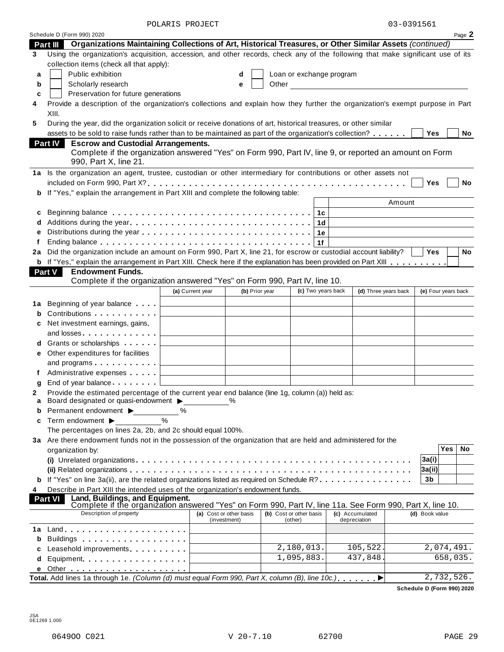|              | Schedule D (Form 990) 2020                                                                                                                                                                                                          |                         |                |       |                         |                          |                                    |                     |            | Page 2 |
|--------------|-------------------------------------------------------------------------------------------------------------------------------------------------------------------------------------------------------------------------------------|-------------------------|----------------|-------|-------------------------|--------------------------|------------------------------------|---------------------|------------|--------|
|              | Organizations Maintaining Collections of Art, Historical Treasures, or Other Similar Assets (continued)<br><b>Part III</b>                                                                                                          |                         |                |       |                         |                          |                                    |                     |            |        |
| 3            | Using the organization's acquisition, accession, and other records, check any of the following that make significant use of its                                                                                                     |                         |                |       |                         |                          |                                    |                     |            |        |
|              | collection items (check all that apply):                                                                                                                                                                                            |                         |                |       |                         |                          |                                    |                     |            |        |
| a            | Public exhibition                                                                                                                                                                                                                   |                         | d              |       |                         | Loan or exchange program |                                    |                     |            |        |
| b            | Scholarly research                                                                                                                                                                                                                  |                         | е              | Other |                         |                          | <u> 1980 - Jan Barat, martin a</u> |                     |            |        |
| c            | Preservation for future generations                                                                                                                                                                                                 |                         |                |       |                         |                          |                                    |                     |            |        |
| 4            | Provide a description of the organization's collections and explain how they further the organization's exempt purpose in Part                                                                                                      |                         |                |       |                         |                          |                                    |                     |            |        |
|              | XIII.                                                                                                                                                                                                                               |                         |                |       |                         |                          |                                    |                     |            |        |
| 5            | During the year, did the organization solicit or receive donations of art, historical treasures, or other similar                                                                                                                   |                         |                |       |                         |                          |                                    |                     |            |        |
|              | assets to be sold to raise funds rather than to be maintained as part of the organization's collection?                                                                                                                             |                         |                |       |                         |                          |                                    | Yes                 |            | No     |
|              | Part IV<br><b>Escrow and Custodial Arrangements.</b>                                                                                                                                                                                |                         |                |       |                         |                          |                                    |                     |            |        |
|              | Complete if the organization answered "Yes" on Form 990, Part IV, line 9, or reported an amount on Form                                                                                                                             |                         |                |       |                         |                          |                                    |                     |            |        |
|              | 990, Part X, line 21.                                                                                                                                                                                                               |                         |                |       |                         |                          |                                    |                     |            |        |
|              | 1a Is the organization an agent, trustee, custodian or other intermediary for contributions or other assets not                                                                                                                     |                         |                |       |                         |                          |                                    |                     |            |        |
|              |                                                                                                                                                                                                                                     |                         |                |       |                         |                          |                                    | Yes                 |            | No     |
|              | If "Yes," explain the arrangement in Part XIII and complete the following table:                                                                                                                                                    |                         |                |       |                         |                          |                                    |                     |            |        |
|              |                                                                                                                                                                                                                                     |                         |                |       |                         |                          | Amount                             |                     |            |        |
| c            | Beginning balance $\dots\dots\dots\dots\dots\dots\dots\dots\dots\dots\dots\dots$                                                                                                                                                    |                         |                |       |                         |                          |                                    |                     |            |        |
|              |                                                                                                                                                                                                                                     |                         |                |       |                         |                          |                                    |                     |            |        |
| е            |                                                                                                                                                                                                                                     |                         |                |       |                         | 1e                       |                                    |                     |            |        |
| f            |                                                                                                                                                                                                                                     |                         |                |       |                         |                          |                                    |                     |            |        |
| 2a           | Did the organization include an amount on Form 990, Part X, line 21, for escrow or custodial account liability?                                                                                                                     |                         |                |       |                         |                          |                                    | <b>Yes</b>          |            | No     |
|              | <b>b</b> If "Yes," explain the arrangement in Part XIII. Check here if the explanation has been provided on Part XIII                                                                                                               |                         |                |       |                         |                          |                                    |                     |            |        |
|              | Part V<br><b>Endowment Funds.</b>                                                                                                                                                                                                   |                         |                |       |                         |                          |                                    |                     |            |        |
|              | Complete if the organization answered "Yes" on Form 990, Part IV, line 10.                                                                                                                                                          |                         |                |       |                         |                          |                                    |                     |            |        |
|              |                                                                                                                                                                                                                                     | (a) Current year        | (b) Prior year |       |                         | (c) Two years back       | (d) Three years back               | (e) Four years back |            |        |
|              |                                                                                                                                                                                                                                     |                         |                |       |                         |                          |                                    |                     |            |        |
| 1а           | Beginning of year balance $\qquad \qquad \downarrow$                                                                                                                                                                                |                         |                |       |                         |                          |                                    |                     |            |        |
|              | Contributions                                                                                                                                                                                                                       |                         |                |       |                         |                          |                                    |                     |            |        |
| c            | Net investment earnings, gains,                                                                                                                                                                                                     |                         |                |       |                         |                          |                                    |                     |            |        |
|              | and losses                                                                                                                                                                                                                          |                         |                |       |                         |                          |                                    |                     |            |        |
|              | Grants or scholarships                                                                                                                                                                                                              |                         |                |       |                         |                          |                                    |                     |            |        |
| е            | Other expenditures for facilities                                                                                                                                                                                                   |                         |                |       |                         |                          |                                    |                     |            |        |
|              | and programs $\ldots \ldots \ldots \ldots$                                                                                                                                                                                          |                         |                |       |                         |                          |                                    |                     |            |        |
|              |                                                                                                                                                                                                                                     |                         |                |       |                         |                          |                                    |                     |            |        |
| g            | End of year balance $\Box$                                                                                                                                                                                                          |                         |                |       |                         |                          |                                    |                     |            |        |
| $\mathbf{2}$ | Provide the estimated percentage of the current year end balance (line 1g, column (a)) held as:                                                                                                                                     |                         |                |       |                         |                          |                                    |                     |            |        |
|              | Board designated or quasi-endowment $\blacktriangleright$                                                                                                                                                                           | $\%$                    |                |       |                         |                          |                                    |                     |            |        |
| b            | Permanent endowment ▶                                                                                                                                                                                                               | ℅                       |                |       |                         |                          |                                    |                     |            |        |
| C            | Term endowment ▶                                                                                                                                                                                                                    |                         |                |       |                         |                          |                                    |                     |            |        |
|              | The percentages on lines 2a, 2b, and 2c should equal 100%.                                                                                                                                                                          |                         |                |       |                         |                          |                                    |                     |            |        |
|              | 3a Are there endowment funds not in the possession of the organization that are held and administered for the                                                                                                                       |                         |                |       |                         |                          |                                    |                     | Yes        |        |
|              | organization by:                                                                                                                                                                                                                    |                         |                |       |                         |                          |                                    |                     |            | No     |
|              |                                                                                                                                                                                                                                     |                         |                |       |                         |                          |                                    | 3a(i)               |            |        |
|              |                                                                                                                                                                                                                                     |                         |                |       |                         |                          |                                    | 3a(ii)              |            |        |
|              | <b>b</b> If "Yes" on line 3a(ii), are the related organizations listed as required on Schedule R?                                                                                                                                   |                         |                |       |                         |                          |                                    | 3 <sub>b</sub>      |            |        |
| 4            | Describe in Part XIII the intended uses of the organization's endowment funds.                                                                                                                                                      |                         |                |       |                         |                          |                                    |                     |            |        |
|              | Land, Buildings, and Equipment.<br><b>Part VI</b><br>Complete if the organization answered "Yes" on Form 990, Part IV, line 11a. See Form 990, Part X, line 10.                                                                     |                         |                |       |                         |                          |                                    |                     |            |        |
|              | Description of property                                                                                                                                                                                                             | (a) Cost or other basis |                |       | (b) Cost or other basis |                          | (c) Accumulated                    | (d) Book value      |            |        |
|              |                                                                                                                                                                                                                                     | (investment)            |                |       | (other)                 |                          | depreciation                       |                     |            |        |
| 1a           |                                                                                                                                                                                                                                     |                         |                |       |                         |                          |                                    |                     |            |        |
| b            | Buildings <b>Example 20</b> Suite 1 and 20 Suite 1 and 20 Suite 20 Suite 20 Suite 20 Suite 20 Suite 20 Suite 20 Suite 20 Suite 20 Suite 20 Suite 20 Suite 20 Suite 20 Suite 20 Suite 20 Suite 20 Suite 20 Suite 20 Suite 20 Suite 2 |                         |                |       |                         |                          |                                    |                     |            |        |
| C            | Leasehold improvements entitled and the set of the set of the set of the set of the set of the set of the set of the set of the set of the set of the set of the set of the set of the set of the set of the set of the set of      |                         |                |       | 2,180,013.              |                          | 105,522.                           |                     | 2,074,491. |        |
| d            | Equipment                                                                                                                                                                                                                           |                         |                |       | 1,095,883.              |                          | 437,848                            |                     | 658,035.   |        |
|              |                                                                                                                                                                                                                                     |                         |                |       |                         |                          |                                    |                     |            |        |
|              | Total. Add lines 1a through 1e. (Column (d) must equal Form 990, Part X, column (B), line 10c.).                                                                                                                                    |                         |                |       |                         |                          | $\blacktriangleright$              |                     | 2,732,526. |        |

**Schedule D (Form 990) 2020**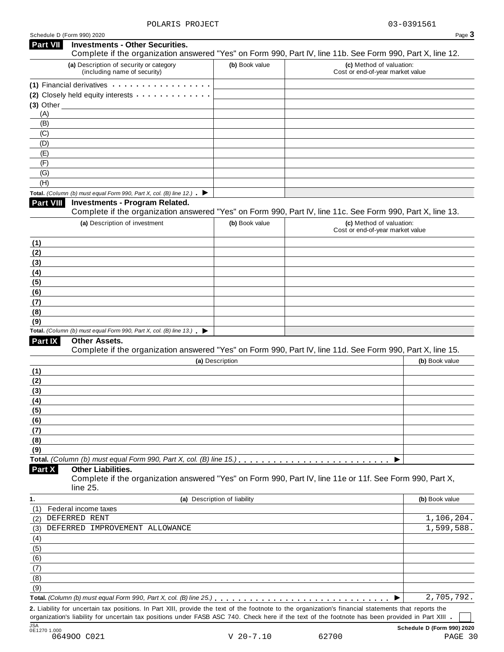|                | Schedule D (Form 990) 2020                                                                                                                                                                                                                                                                             |                              |                                                              | Page $3$       |
|----------------|--------------------------------------------------------------------------------------------------------------------------------------------------------------------------------------------------------------------------------------------------------------------------------------------------------|------------------------------|--------------------------------------------------------------|----------------|
| Part VII       | <b>Investments - Other Securities.</b><br>Complete if the organization answered "Yes" on Form 990, Part IV, line 11b. See Form 990, Part X, line 12.                                                                                                                                                   |                              |                                                              |                |
|                | (a) Description of security or category<br>(including name of security)                                                                                                                                                                                                                                | (b) Book value               | (c) Method of valuation:<br>Cost or end-of-year market value |                |
|                | (1) Financial derivatives                                                                                                                                                                                                                                                                              |                              |                                                              |                |
|                | (2) Closely held equity interests                                                                                                                                                                                                                                                                      |                              |                                                              |                |
|                | $(3)$ Other                                                                                                                                                                                                                                                                                            |                              |                                                              |                |
| (A)            |                                                                                                                                                                                                                                                                                                        |                              |                                                              |                |
| (B)            |                                                                                                                                                                                                                                                                                                        |                              |                                                              |                |
| (C)<br>(D)     |                                                                                                                                                                                                                                                                                                        |                              |                                                              |                |
| (E)            |                                                                                                                                                                                                                                                                                                        |                              |                                                              |                |
| (F)            |                                                                                                                                                                                                                                                                                                        |                              |                                                              |                |
| (G)            |                                                                                                                                                                                                                                                                                                        |                              |                                                              |                |
| (H)            |                                                                                                                                                                                                                                                                                                        |                              |                                                              |                |
|                | Total. (Column (b) must equal Form 990, Part X, col. (B) line 12.) $\blacktriangleright$                                                                                                                                                                                                               |                              |                                                              |                |
| Part VIII      | <b>Investments - Program Related.</b><br>Complete if the organization answered "Yes" on Form 990, Part IV, line 11c. See Form 990, Part X, line 13.                                                                                                                                                    |                              |                                                              |                |
|                | (a) Description of investment                                                                                                                                                                                                                                                                          | (b) Book value               | (c) Method of valuation:                                     |                |
|                |                                                                                                                                                                                                                                                                                                        |                              | Cost or end-of-year market value                             |                |
| (1)            |                                                                                                                                                                                                                                                                                                        |                              |                                                              |                |
| (2)            |                                                                                                                                                                                                                                                                                                        |                              |                                                              |                |
| (3)<br>(4)     |                                                                                                                                                                                                                                                                                                        |                              |                                                              |                |
| (5)            |                                                                                                                                                                                                                                                                                                        |                              |                                                              |                |
| (6)            |                                                                                                                                                                                                                                                                                                        |                              |                                                              |                |
| (7)            |                                                                                                                                                                                                                                                                                                        |                              |                                                              |                |
| (8)            |                                                                                                                                                                                                                                                                                                        |                              |                                                              |                |
| (9)            |                                                                                                                                                                                                                                                                                                        |                              |                                                              |                |
|                | Total. (Column (b) must equal Form 990, Part X, col. (B) line $13$ .)                                                                                                                                                                                                                                  |                              |                                                              |                |
| <b>Part IX</b> | Other Assets.                                                                                                                                                                                                                                                                                          |                              |                                                              |                |
|                | Complete if the organization answered "Yes" on Form 990, Part IV, line 11d. See Form 990, Part X, line 15.                                                                                                                                                                                             |                              |                                                              |                |
|                |                                                                                                                                                                                                                                                                                                        | (a) Description              |                                                              | (b) Book value |
| (1)<br>(2)     |                                                                                                                                                                                                                                                                                                        |                              |                                                              |                |
| (3)            |                                                                                                                                                                                                                                                                                                        |                              |                                                              |                |
| (4)            |                                                                                                                                                                                                                                                                                                        |                              |                                                              |                |
| (5)            |                                                                                                                                                                                                                                                                                                        |                              |                                                              |                |
| (6)            |                                                                                                                                                                                                                                                                                                        |                              |                                                              |                |
| (7)            |                                                                                                                                                                                                                                                                                                        |                              |                                                              |                |
| (8)            |                                                                                                                                                                                                                                                                                                        |                              |                                                              |                |
| (9)            |                                                                                                                                                                                                                                                                                                        |                              |                                                              |                |
|                |                                                                                                                                                                                                                                                                                                        |                              |                                                              |                |
| Part X         | <b>Other Liabilities.</b><br>Complete if the organization answered "Yes" on Form 990, Part IV, line 11e or 11f. See Form 990, Part X,<br>line 25.                                                                                                                                                      |                              |                                                              |                |
| 1.             |                                                                                                                                                                                                                                                                                                        | (a) Description of liability |                                                              | (b) Book value |
| (1)            | Federal income taxes                                                                                                                                                                                                                                                                                   |                              |                                                              |                |
| (2)            | DEFERRED RENT                                                                                                                                                                                                                                                                                          |                              |                                                              | 1,106,204.     |
| (3)            | DEFERRED IMPROVEMENT ALLOWANCE                                                                                                                                                                                                                                                                         |                              |                                                              | 1,599,588.     |
| (4)            |                                                                                                                                                                                                                                                                                                        |                              |                                                              |                |
| (5)            |                                                                                                                                                                                                                                                                                                        |                              |                                                              |                |
| (6)            |                                                                                                                                                                                                                                                                                                        |                              |                                                              |                |
| (7)            |                                                                                                                                                                                                                                                                                                        |                              |                                                              |                |
| (8)            |                                                                                                                                                                                                                                                                                                        |                              |                                                              |                |
| (9)            |                                                                                                                                                                                                                                                                                                        |                              |                                                              |                |
|                |                                                                                                                                                                                                                                                                                                        |                              |                                                              | 2,705,792.     |
|                | 2. Liability for uncertain tax positions. In Part XIII, provide the text of the footnote to the organization's financial statements that reports the<br>organization's liability for uncertain tax positions under FASB ASC 740. Check here if the text of the footnote has been provided in Part XIII |                              |                                                              |                |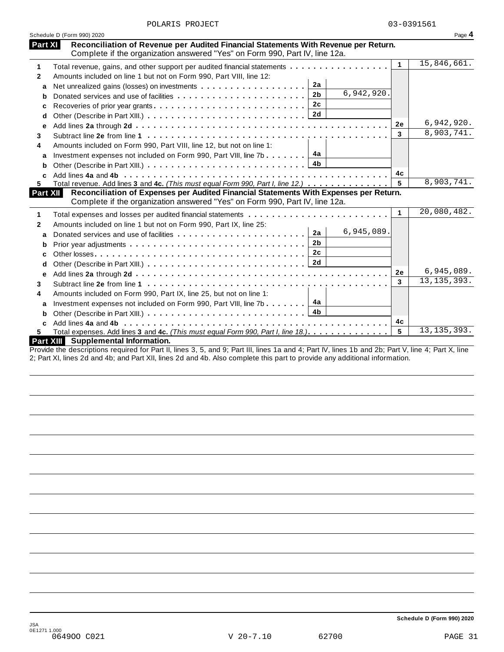| POLARIS PROJECT |
|-----------------|
|                 |

|                | Schedule D (Form 990) 2020                                                                                                                                         |              | Page 4        |
|----------------|--------------------------------------------------------------------------------------------------------------------------------------------------------------------|--------------|---------------|
| <b>Part XI</b> | Reconciliation of Revenue per Audited Financial Statements With Revenue per Return.<br>Complete if the organization answered "Yes" on Form 990, Part IV, line 12a. |              |               |
| 1              | Total revenue, gains, and other support per audited financial statements                                                                                           | $\mathbf{1}$ | 15,846,661.   |
| 2              | Amounts included on line 1 but not on Form 990, Part VIII, line 12:                                                                                                |              |               |
| a              | 2a<br>Net unrealized gains (losses) on investments                                                                                                                 |              |               |
| b              | 6,942,920.<br>2 <sub>b</sub>                                                                                                                                       |              |               |
| c              | 2c<br>Recoveries of prior year grants                                                                                                                              |              |               |
| d              |                                                                                                                                                                    |              |               |
| e              |                                                                                                                                                                    | 2e           | 6,942,920.    |
| 3              |                                                                                                                                                                    | 3            | 8,903,741.    |
| 4              | Amounts included on Form 990, Part VIII, line 12, but not on line 1:                                                                                               |              |               |
| a              | 4а<br>Investment expenses not included on Form 990, Part VIII, line 7b $\ldots$                                                                                    |              |               |
| b              |                                                                                                                                                                    |              |               |
| C              |                                                                                                                                                                    | 4c           |               |
| 5.             | Total revenue. Add lines 3 and 4c. (This must equal Form 990, Part I, line 12.)                                                                                    | 5            | 8,903,741.    |
| Part XII       | Reconciliation of Expenses per Audited Financial Statements With Expenses per Return.                                                                              |              |               |
|                | Complete if the organization answered "Yes" on Form 990, Part IV, line 12a.                                                                                        |              |               |
| 1              |                                                                                                                                                                    | 1            | 20,080,482.   |
| $\mathbf{2}$   | Amounts included on line 1 but not on Form 990, Part IX, line 25:                                                                                                  |              |               |
| a              | 6,945,089.<br>2a<br>Donated services and use of facilities                                                                                                         |              |               |
| b              | 2 <sub>b</sub>                                                                                                                                                     |              |               |
| C              | 2c                                                                                                                                                                 |              |               |
| d              |                                                                                                                                                                    |              |               |
| e              |                                                                                                                                                                    | 2e           | 6,945,089.    |
| 3              |                                                                                                                                                                    | 3            | 13, 135, 393. |
| 4              | Amounts included on Form 990, Part IX, line 25, but not on line 1:                                                                                                 |              |               |
| a              | 4a<br>Investment expenses not included on Form 990, Part VIII, line 7b                                                                                             |              |               |
| b              | 4b                                                                                                                                                                 |              |               |
| C              |                                                                                                                                                                    | 4с           |               |
| 5.             | Total expenses. Add lines 3 and 4c. (This must equal Form 990, Part I, line 18.).                                                                                  | 5            | 13, 135, 393. |
|                | Part XIII Supplemental Information.                                                                                                                                |              |               |

Provide the descriptions required for Part II, lines 3, 5, and 9; Part III, lines 1a and 4; Part IV, lines 1b and 2b; Part V, line 4; Part X, line 2; Part XI, lines 2d and 4b; and Part XII, lines 2d and 4b. Also complete this part to provide any additional information.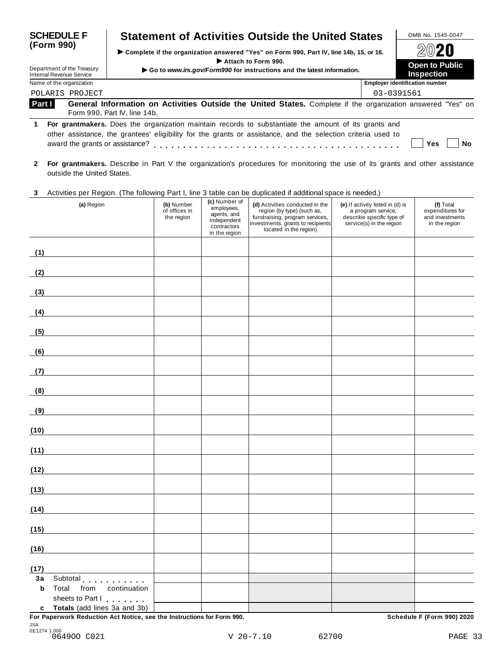| <b>SCHEDULE F</b>                                                                           |                 | <b>Statement of Activities Outside the United States</b>                                                                                                                                                                                                |                               |                                       |  |
|---------------------------------------------------------------------------------------------|-----------------|---------------------------------------------------------------------------------------------------------------------------------------------------------------------------------------------------------------------------------------------------------|-------------------------------|---------------------------------------|--|
| (Form 990)<br>Attach to Form 990.<br>Department of the Treasury<br>Internal Revenue Service |                 | ▶ Complete if the organization answered "Yes" on Form 990, Part IV, line 14b, 15, or 16.                                                                                                                                                                | 2020<br><b>Open to Public</b> |                                       |  |
|                                                                                             |                 | Go to www.irs.gov/Form990 for instructions and the latest information.                                                                                                                                                                                  |                               | <b>Inspection</b>                     |  |
| Name of the organization                                                                    |                 |                                                                                                                                                                                                                                                         |                               | <b>Employer identification number</b> |  |
|                                                                                             | POLARIS PROJECT |                                                                                                                                                                                                                                                         |                               | 03-0391561                            |  |
| Part I                                                                                      |                 | General Information on Activities Outside the United States. Complete if the organization answered "Yes" on<br>Form 990, Part IV, line 14b.                                                                                                             |                               |                                       |  |
|                                                                                             |                 | For grantmakers. Does the organization maintain records to substantiate the amount of its grants and<br>other assistance, the grantees' eligibility for the grants or assistance, and the selection criteria used to<br>award the grants or assistance? |                               | Yes<br>Nο                             |  |

**2 For grantmakers.** Describe in Part V the organization's procedures for monitoring the use of its grants and other assistance outside the United States.

#### **3** Activities per Region. (The following Part I, line 3 table can be duplicated if additional space is needed.)

| (a) Region                                                                                                                                                                                                                                                                                     | (b) Number<br>of offices in<br>the region | (c) Number of<br>employees,<br>agents, and<br>independent<br>contractors<br>in the region | (d) Activities conducted in the<br>region (by type) (such as,<br>fundraising, program services,<br>investments, grants to recipients<br>located in the region) | (e) If activity listed in (d) is<br>a program service,<br>describe specific type of<br>service(s) in the region | (f) Total<br>expenditures for<br>and investments<br>in the region |
|------------------------------------------------------------------------------------------------------------------------------------------------------------------------------------------------------------------------------------------------------------------------------------------------|-------------------------------------------|-------------------------------------------------------------------------------------------|----------------------------------------------------------------------------------------------------------------------------------------------------------------|-----------------------------------------------------------------------------------------------------------------|-------------------------------------------------------------------|
| (1)                                                                                                                                                                                                                                                                                            |                                           |                                                                                           |                                                                                                                                                                |                                                                                                                 |                                                                   |
| (2)                                                                                                                                                                                                                                                                                            |                                           |                                                                                           |                                                                                                                                                                |                                                                                                                 |                                                                   |
| (3)                                                                                                                                                                                                                                                                                            |                                           |                                                                                           |                                                                                                                                                                |                                                                                                                 |                                                                   |
| (4)                                                                                                                                                                                                                                                                                            |                                           |                                                                                           |                                                                                                                                                                |                                                                                                                 |                                                                   |
|                                                                                                                                                                                                                                                                                                |                                           |                                                                                           |                                                                                                                                                                |                                                                                                                 |                                                                   |
| (5)                                                                                                                                                                                                                                                                                            |                                           |                                                                                           |                                                                                                                                                                |                                                                                                                 |                                                                   |
| (6)                                                                                                                                                                                                                                                                                            |                                           |                                                                                           |                                                                                                                                                                |                                                                                                                 |                                                                   |
| (7)                                                                                                                                                                                                                                                                                            |                                           |                                                                                           |                                                                                                                                                                |                                                                                                                 |                                                                   |
| (8)                                                                                                                                                                                                                                                                                            |                                           |                                                                                           |                                                                                                                                                                |                                                                                                                 |                                                                   |
| (9)                                                                                                                                                                                                                                                                                            |                                           |                                                                                           |                                                                                                                                                                |                                                                                                                 |                                                                   |
| (10)                                                                                                                                                                                                                                                                                           |                                           |                                                                                           |                                                                                                                                                                |                                                                                                                 |                                                                   |
| (11)                                                                                                                                                                                                                                                                                           |                                           |                                                                                           |                                                                                                                                                                |                                                                                                                 |                                                                   |
| (12)                                                                                                                                                                                                                                                                                           |                                           |                                                                                           |                                                                                                                                                                |                                                                                                                 |                                                                   |
| (13)                                                                                                                                                                                                                                                                                           |                                           |                                                                                           |                                                                                                                                                                |                                                                                                                 |                                                                   |
| (14)                                                                                                                                                                                                                                                                                           |                                           |                                                                                           |                                                                                                                                                                |                                                                                                                 |                                                                   |
| (15)                                                                                                                                                                                                                                                                                           |                                           |                                                                                           |                                                                                                                                                                |                                                                                                                 |                                                                   |
| (16)                                                                                                                                                                                                                                                                                           |                                           |                                                                                           |                                                                                                                                                                |                                                                                                                 |                                                                   |
| (17)<br>$\sim$ $\sim$ $\sim$ $\sim$                                                                                                                                                                                                                                                            |                                           |                                                                                           |                                                                                                                                                                |                                                                                                                 |                                                                   |
| 3a<br>Subtotal expressions and the set of the set of the set of the set of the set of the set of the set of the set of the set of the set of the set of the set of the set of the set of the set of the set of the set of the set of<br>b<br>Total<br>from<br>continuation<br>sheets to Part I |                                           |                                                                                           |                                                                                                                                                                |                                                                                                                 |                                                                   |
| c Totals (add lines 3a and 3b)<br>For Paperwork Reduction Act Notice, see the Instructions for Form 990.                                                                                                                                                                                       |                                           |                                                                                           |                                                                                                                                                                |                                                                                                                 | Schedule F (Form 990) 2020                                        |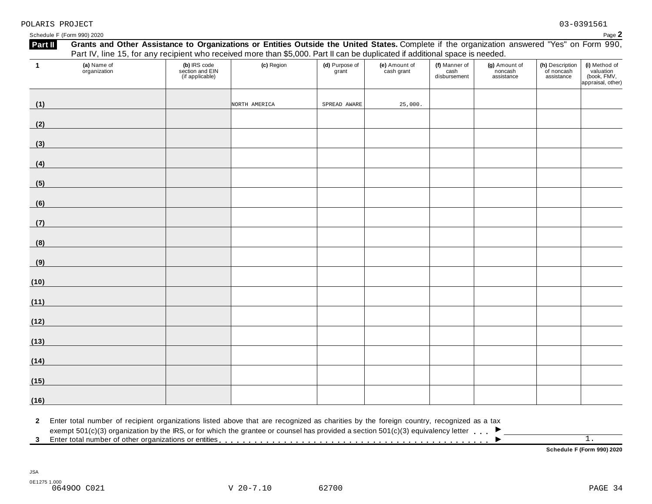| $\overline{1}$ | (a) Name of<br>organization | (b) IRS code<br>section and EIN<br>(if applicable) | (c) Region    | (d) Purpose of<br>grant | (e) Amount of<br>cash grant | (f) Manner of<br>cash<br>disbursement | (g) Amount of<br>noncash<br>assistance | (h) Description<br>of noncash<br>assistance | (i) Method of<br>valuation<br>(book, FMV,<br>appraisal, other) |
|----------------|-----------------------------|----------------------------------------------------|---------------|-------------------------|-----------------------------|---------------------------------------|----------------------------------------|---------------------------------------------|----------------------------------------------------------------|
| (1)            |                             |                                                    | NORTH AMERICA | SPREAD AWARE            | 25,000.                     |                                       |                                        |                                             |                                                                |
|                |                             |                                                    |               |                         |                             |                                       |                                        |                                             |                                                                |
| (2)            |                             |                                                    |               |                         |                             |                                       |                                        |                                             |                                                                |
| (3)            |                             |                                                    |               |                         |                             |                                       |                                        |                                             |                                                                |
| (4)            |                             |                                                    |               |                         |                             |                                       |                                        |                                             |                                                                |
| (5)            |                             |                                                    |               |                         |                             |                                       |                                        |                                             |                                                                |
| (6)            |                             |                                                    |               |                         |                             |                                       |                                        |                                             |                                                                |
| (7)            |                             |                                                    |               |                         |                             |                                       |                                        |                                             |                                                                |
| (8)            |                             |                                                    |               |                         |                             |                                       |                                        |                                             |                                                                |
| (9)            |                             |                                                    |               |                         |                             |                                       |                                        |                                             |                                                                |
| (10)           |                             |                                                    |               |                         |                             |                                       |                                        |                                             |                                                                |
| (11)           |                             |                                                    |               |                         |                             |                                       |                                        |                                             |                                                                |
| (12)           |                             |                                                    |               |                         |                             |                                       |                                        |                                             |                                                                |
| (13)           |                             |                                                    |               |                         |                             |                                       |                                        |                                             |                                                                |
| (14)           |                             |                                                    |               |                         |                             |                                       |                                        |                                             |                                                                |
| (15)           |                             |                                                    |               |                         |                             |                                       |                                        |                                             |                                                                |
| (16)           |                             |                                                    |               |                         |                             |                                       |                                        |                                             |                                                                |

**2** Enter total number of recipient organizations listed above that are recognized as charities by the foreign country, recognized as a tax 2 Enter total number of recipient organizations listed above that are recognized as charities by the foreign country, recognized as a tax<br>exempt 501(c)(3) organization by the IRS, or for which the grantee or counsel has p  $\overline{\phantom{a}}$ 

**Schedule F (Form 990) 2020**

1.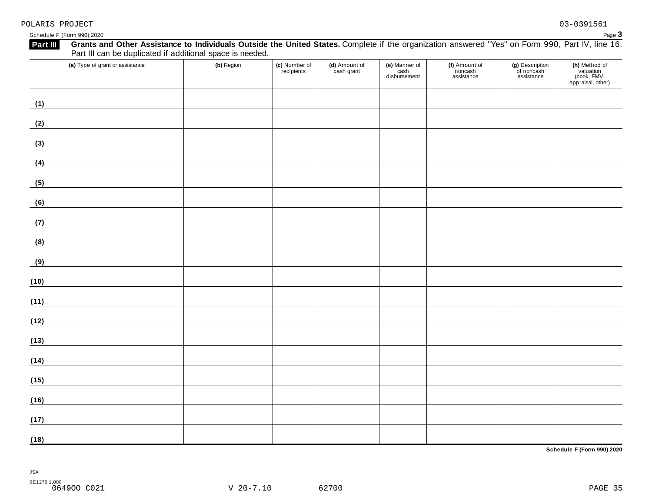| (a) Type of grant or assistance | (b) Region | (c) Number of<br>recipients | (d) Amount of<br>cash grant | (e) Manner of<br>cash<br>disbursement | (f) Amount of<br>noncash<br>assistance | (g) Description<br>of noncash<br>assistance | (h) Method of<br>valuation<br>(book, FMV,<br>appraisal, other) |
|---------------------------------|------------|-----------------------------|-----------------------------|---------------------------------------|----------------------------------------|---------------------------------------------|----------------------------------------------------------------|
| (1)                             |            |                             |                             |                                       |                                        |                                             |                                                                |
| (2)                             |            |                             |                             |                                       |                                        |                                             |                                                                |
| (3)                             |            |                             |                             |                                       |                                        |                                             |                                                                |
| (4)                             |            |                             |                             |                                       |                                        |                                             |                                                                |
|                                 |            |                             |                             |                                       |                                        |                                             |                                                                |
|                                 |            |                             |                             |                                       |                                        |                                             |                                                                |
|                                 |            |                             |                             |                                       |                                        |                                             |                                                                |
|                                 |            |                             |                             |                                       |                                        |                                             |                                                                |
| (9)                             |            |                             |                             |                                       |                                        |                                             |                                                                |
|                                 |            |                             |                             |                                       |                                        |                                             |                                                                |
| (11)                            |            |                             |                             |                                       |                                        |                                             |                                                                |
|                                 |            |                             |                             |                                       |                                        |                                             |                                                                |
|                                 |            |                             |                             |                                       |                                        |                                             |                                                                |
|                                 |            |                             |                             |                                       |                                        |                                             |                                                                |
|                                 |            |                             |                             |                                       |                                        |                                             |                                                                |
|                                 |            |                             |                             |                                       |                                        |                                             |                                                                |
|                                 |            |                             |                             |                                       |                                        |                                             |                                                                |
| (17)<br>(18)                    |            |                             |                             |                                       |                                        |                                             |                                                                |

**Schedule F (Form 990) 2020**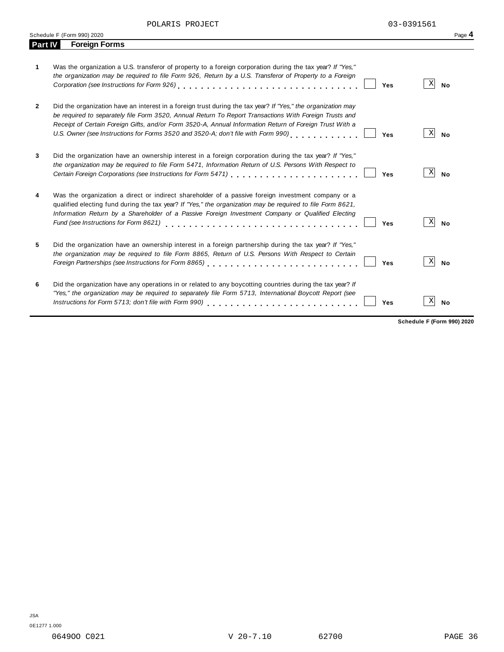|                | Schedule F (Form 990) 2020                                                                                                                                                                                                                                                                                                                                                                                                                          |     | Page 4         |
|----------------|-----------------------------------------------------------------------------------------------------------------------------------------------------------------------------------------------------------------------------------------------------------------------------------------------------------------------------------------------------------------------------------------------------------------------------------------------------|-----|----------------|
| <b>Part IV</b> | <b>Foreign Forms</b>                                                                                                                                                                                                                                                                                                                                                                                                                                |     |                |
| 1              | Was the organization a U.S. transferor of property to a foreign corporation during the tax year? If "Yes,"<br>the organization may be required to file Form 926, Return by a U.S. Transferor of Property to a Foreign                                                                                                                                                                                                                               | Yes | Χ<br><b>No</b> |
| $\mathbf{2}$   | Did the organization have an interest in a foreign trust during the tax year? If "Yes," the organization may<br>be required to separately file Form 3520, Annual Return To Report Transactions With Foreign Trusts and<br>Receipt of Certain Foreign Gifts, and/or Form 3520-A, Annual Information Return of Foreign Trust With a<br>U.S. Owner (see Instructions for Forms 3520 and 3520-A; don't file with Form 990) entitled as a set of the set | Yes | X<br><b>No</b> |
| 3              | Did the organization have an ownership interest in a foreign corporation during the tax year? If "Yes,"<br>the organization may be required to file Form 5471, Information Return of U.S. Persons With Respect to                                                                                                                                                                                                                                   | Yes | Χ<br><b>No</b> |
| 4              | Was the organization a direct or indirect shareholder of a passive foreign investment company or a<br>qualified electing fund during the tax year? If "Yes," the organization may be required to file Form 8621,<br>Information Return by a Shareholder of a Passive Foreign Investment Company or Qualified Electing<br>Fund (see Instructions for Form 8621)                                                                                      | Yes | X<br>No        |
| 5              | Did the organization have an ownership interest in a foreign partnership during the tax year? If "Yes,"<br>the organization may be required to file Form 8865, Return of U.S. Persons With Respect to Certain<br>Foreign Partnerships (see Instructions for Form 8865)                                                                                                                                                                              | Yes | X<br><b>No</b> |
| 6              | Did the organization have any operations in or related to any boycotting countries during the tax year? If<br>"Yes," the organization may be required to separately file Form 5713, International Boycott Report (see<br>Instructions for Form 5713; don't file with Form 990)                                                                                                                                                                      | Yes | Χ<br><b>No</b> |

**Schedule F (Form 990) 2020**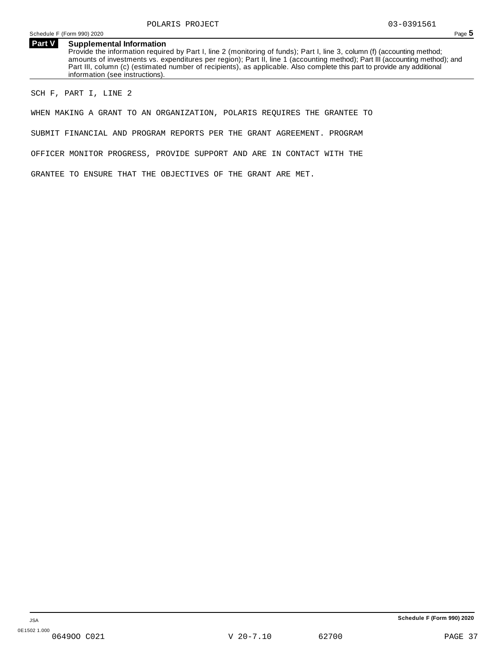#### **Part V Supplemental Information**

Provide the information required by Part I, line 2 (monitoring of funds); Part I, line 3, column (f) (accounting method; amounts of investments vs. expenditures per region); Part II, line 1 (accounting method); Part III (accounting method); and Part III, column (c) (estimated number of recipients), as applicable. Also complete this part to provide any additional information (see instructions).

SCH F, PART I, LINE 2

WHEN MAKING A GRANT TO AN ORGANIZATION, POLARIS REQUIRES THE GRANTEE TO

SUBMIT FINANCIAL AND PROGRAM REPORTS PER THE GRANT AGREEMENT. PROGRAM

OFFICER MONITOR PROGRESS, PROVIDE SUPPORT AND ARE IN CONTACT WITH THE

GRANTEE TO ENSURE THAT THE OBJECTIVES OF THE GRANT ARE MET.

**Schedule F (Form 990) 2020**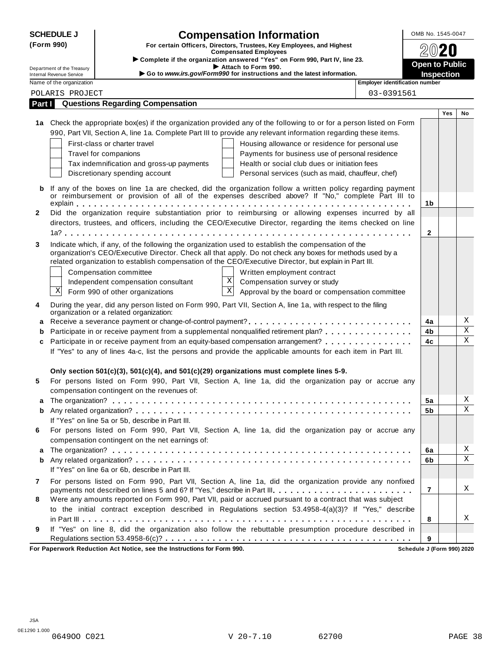|        | <b>SCHEDULE J</b>                                      | <b>Compensation Information</b>                                                                                                                                                                                     |                                                                                                  | OMB No. 1545-0047                          |     |             |
|--------|--------------------------------------------------------|---------------------------------------------------------------------------------------------------------------------------------------------------------------------------------------------------------------------|--------------------------------------------------------------------------------------------------|--------------------------------------------|-----|-------------|
|        | (Form 990)                                             | For certain Officers, Directors, Trustees, Key Employees, and Highest<br><b>Compensated Employees</b>                                                                                                               |                                                                                                  |                                            |     |             |
|        |                                                        | Complete if the organization answered "Yes" on Form 990, Part IV, line 23.                                                                                                                                          |                                                                                                  |                                            |     |             |
|        | Department of the Treasury<br>Internal Revenue Service | Attach to Form 990.<br>Go to www.irs.gov/Form990 for instructions and the latest information.                                                                                                                       |                                                                                                  | <b>Open to Public</b><br><b>Inspection</b> |     |             |
|        | Name of the organization                               |                                                                                                                                                                                                                     | <b>Employer identification number</b>                                                            |                                            |     |             |
|        | POLARIS PROJECT                                        |                                                                                                                                                                                                                     | 03-0391561                                                                                       |                                            |     |             |
| Part I |                                                        | <b>Questions Regarding Compensation</b>                                                                                                                                                                             |                                                                                                  |                                            |     |             |
|        |                                                        |                                                                                                                                                                                                                     |                                                                                                  |                                            | Yes | No          |
|        |                                                        | 1a Check the appropriate box(es) if the organization provided any of the following to or for a person listed on Form                                                                                                |                                                                                                  |                                            |     |             |
|        |                                                        | 990, Part VII, Section A, line 1a. Complete Part III to provide any relevant information regarding these items.                                                                                                     |                                                                                                  |                                            |     |             |
|        |                                                        | First-class or charter travel                                                                                                                                                                                       | Housing allowance or residence for personal use                                                  |                                            |     |             |
|        |                                                        | Travel for companions<br>Tax indemnification and gross-up payments                                                                                                                                                  | Payments for business use of personal residence<br>Health or social club dues or initiation fees |                                            |     |             |
|        |                                                        | Discretionary spending account                                                                                                                                                                                      | Personal services (such as maid, chauffeur, chef)                                                |                                            |     |             |
|        |                                                        |                                                                                                                                                                                                                     |                                                                                                  |                                            |     |             |
| b      |                                                        | If any of the boxes on line 1a are checked, did the organization follow a written policy regarding payment<br>or reimbursement or provision of all of the expenses described above? If "No," complete Part III to   |                                                                                                  |                                            |     |             |
|        |                                                        | Did the organization require substantiation prior to reimbursing or allowing expenses incurred by all                                                                                                               |                                                                                                  | 1b                                         |     |             |
| 2      |                                                        | directors, trustees, and officers, including the CEO/Executive Director, regarding the items checked on line                                                                                                        |                                                                                                  |                                            |     |             |
|        |                                                        |                                                                                                                                                                                                                     |                                                                                                  | $\mathbf{2}$                               |     |             |
| 3      |                                                        | Indicate which, if any, of the following the organization used to establish the compensation of the                                                                                                                 |                                                                                                  |                                            |     |             |
|        |                                                        | organization's CEO/Executive Director. Check all that apply. Do not check any boxes for methods used by a<br>related organization to establish compensation of the CEO/Executive Director, but explain in Part III. |                                                                                                  |                                            |     |             |
|        |                                                        | Compensation committee                                                                                                                                                                                              | Written employment contract                                                                      |                                            |     |             |
|        |                                                        | $\mathbf X$<br>Independent compensation consultant                                                                                                                                                                  | Compensation survey or study                                                                     |                                            |     |             |
|        | Χ                                                      | $\mathbf X$<br>Form 990 of other organizations                                                                                                                                                                      | Approval by the board or compensation committee                                                  |                                            |     |             |
| 4      |                                                        | During the year, did any person listed on Form 990, Part VII, Section A, line 1a, with respect to the filing<br>organization or a related organization:                                                             |                                                                                                  |                                            |     |             |
|        |                                                        |                                                                                                                                                                                                                     |                                                                                                  | 4a                                         |     | Χ           |
|        |                                                        | Participate in or receive payment from a supplemental nonqualified retirement plan?                                                                                                                                 |                                                                                                  | 4b                                         |     | $\mathbf X$ |
| c      |                                                        | Participate in or receive payment from an equity-based compensation arrangement?                                                                                                                                    |                                                                                                  | 4c                                         |     | $\mathbf X$ |
|        |                                                        | If "Yes" to any of lines 4a-c, list the persons and provide the applicable amounts for each item in Part III.                                                                                                       |                                                                                                  |                                            |     |             |
|        |                                                        | Only section $501(c)(3)$ , $501(c)(4)$ , and $501(c)(29)$ organizations must complete lines 5-9.                                                                                                                    |                                                                                                  |                                            |     |             |
| 5      |                                                        | For persons listed on Form 990, Part VII, Section A, line 1a, did the organization pay or accrue any<br>compensation contingent on the revenues of:                                                                 |                                                                                                  |                                            |     |             |
|        |                                                        |                                                                                                                                                                                                                     |                                                                                                  | 5a                                         |     | Χ           |
| b      |                                                        |                                                                                                                                                                                                                     |                                                                                                  | 5b                                         |     | X           |
|        |                                                        | If "Yes" on line 5a or 5b, describe in Part III.                                                                                                                                                                    |                                                                                                  |                                            |     |             |
| 6      |                                                        | For persons listed on Form 990, Part VII, Section A, line 1a, did the organization pay or accrue any<br>compensation contingent on the net earnings of:                                                             |                                                                                                  |                                            |     |             |
| a      |                                                        |                                                                                                                                                                                                                     |                                                                                                  | 6a                                         |     | Χ           |
| b      |                                                        |                                                                                                                                                                                                                     |                                                                                                  | 6b                                         |     | X           |
|        |                                                        | If "Yes" on line 6a or 6b, describe in Part III.                                                                                                                                                                    |                                                                                                  |                                            |     |             |
| 7      |                                                        | For persons listed on Form 990, Part VII, Section A, line 1a, did the organization provide any nonfixed<br>payments not described on lines 5 and 6? If "Yes," describe in Part III.                                 |                                                                                                  | $\overline{7}$                             |     | Χ           |
| 8      |                                                        | Were any amounts reported on Form 990, Part VII, paid or accrued pursuant to a contract that was subject                                                                                                            |                                                                                                  |                                            |     |             |
|        |                                                        | to the initial contract exception described in Regulations section 53.4958-4(a)(3)? If "Yes," describe                                                                                                              |                                                                                                  |                                            |     |             |
|        |                                                        |                                                                                                                                                                                                                     |                                                                                                  | 8                                          |     | Χ           |
| 9      |                                                        | If "Yes" on line 8, did the organization also follow the rebuttable presumption procedure described in                                                                                                              |                                                                                                  |                                            |     |             |
|        |                                                        |                                                                                                                                                                                                                     |                                                                                                  | 9                                          |     |             |

**For Paperwork Reduction Act Notice, see the Instructions for Form 990. Schedule J (Form 990) 2020**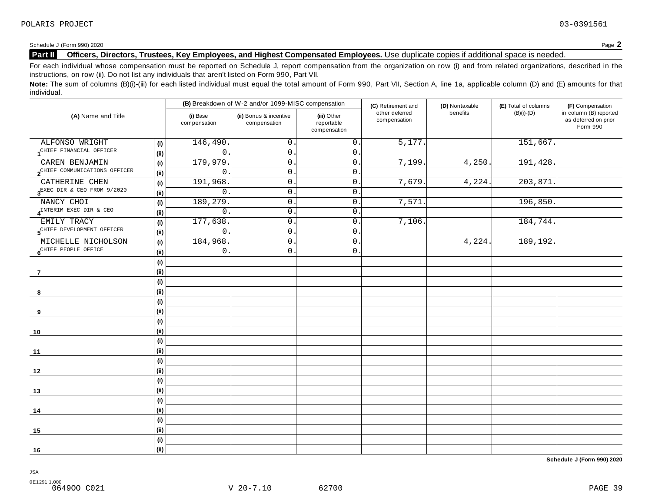Schedule <sup>J</sup> (Form 990) <sup>2020</sup> Page **2**

#### **Part II Officers, Directors, Trustees, Key Employees, and Highest Compensated Employees.** Use duplicate copies ifadditional space is needed.

For each individual whose compensation must be reported on Schedule J, report compensation from the organization on row (i) and from related organizations, described in the instructions, on row (ii). Do not list any individuals that aren't listed on Form 990, Part VII.

Note: The sum of columns (B)(i)-(iii) for each listed individual must equal the total amount of Form 990, Part VII, Section A, line 1a, applicable column (D) and (E) amounts for that individual.

|                                           |      |                          | (B) Breakdown of W-2 and/or 1099-MISC compensation |                                           | (C) Retirement and             | (D) Nontaxable | (E) Total of columns | (F) Compensation                                           |
|-------------------------------------------|------|--------------------------|----------------------------------------------------|-------------------------------------------|--------------------------------|----------------|----------------------|------------------------------------------------------------|
| (A) Name and Title                        |      | (i) Base<br>compensation | (ii) Bonus & incentive<br>compensation             | (iii) Other<br>reportable<br>compensation | other deferred<br>compensation | benefits       | $(B)(i)-(D)$         | in column (B) reported<br>as deferred on prior<br>Form 990 |
| ALFONSO WRIGHT                            | (i)  | 146,490                  | $0\,$ .                                            | $0$ .                                     | 5,177.                         |                | 151,667.             |                                                            |
| 1 <sup>CHIEF</sup> FINANCIAL OFFICER      | (ii) | $\mathbf 0$              | $\mathsf{0}$ .                                     | $0$ .                                     |                                |                |                      |                                                            |
| CAREN BENJAMIN                            | (i)  | 179,979                  | 0.                                                 | $\mathsf{0}$ .                            | 7,199                          | 4,250.         | 191,428              |                                                            |
| 2 <sup>CHIEF</sup> COMMUNICATIONS OFFICER | (ii) | $\mathbf 0$              | 0.                                                 | $\mathsf{0}$ .                            |                                |                |                      |                                                            |
| CATHERINE CHEN                            | (i)  | 191,968.                 | 0.                                                 | 0.                                        | 7,679                          | 4,224.         | 203,871              |                                                            |
| 3EXEC DIR & CEO FROM 9/2020               | (ii) | $\mathbf 0$              | $0$ .                                              | $0-$                                      |                                |                |                      |                                                            |
| NANCY CHOI                                | (i)  | 189,279                  | 0.                                                 | 0.                                        | 7,571                          |                | 196,850.             |                                                            |
| 4 <sup>INTERIM</sup> EXEC DIR & CEO       | (i)  | $\mathsf{O}$             | $0\,$ .                                            | 0.                                        |                                |                |                      |                                                            |
| EMILY TRACY                               | (i)  | 177,638.                 | $\mathsf{0}$ .                                     | $\boldsymbol{0}$ .                        | 7,106                          |                | 184,744.             |                                                            |
| 5 <sup>CHIEF</sup> DEVELOPMENT OFFICER    | (ii) | $\mathsf{O}$             | $\mathsf{0}$ .                                     | $0$ .                                     |                                |                |                      |                                                            |
| MICHELLE NICHOLSON                        | (i)  | 184,968                  | $\mathsf{0}$ .                                     | $0$ .                                     |                                | 4,224.         | 189,192.             |                                                            |
| 6 <sup>CHIEF</sup> PEOPLE OFFICE          | (ii) | $\mathbf 0$              | $0$ .                                              | $0$ .                                     |                                |                |                      |                                                            |
|                                           | (i)  |                          |                                                    |                                           |                                |                |                      |                                                            |
| $\overline{7}$                            | (ii) |                          |                                                    |                                           |                                |                |                      |                                                            |
|                                           | (i)  |                          |                                                    |                                           |                                |                |                      |                                                            |
| 8                                         | (ii) |                          |                                                    |                                           |                                |                |                      |                                                            |
|                                           | (i)  |                          |                                                    |                                           |                                |                |                      |                                                            |
| 9                                         | (ii) |                          |                                                    |                                           |                                |                |                      |                                                            |
|                                           | (i)  |                          |                                                    |                                           |                                |                |                      |                                                            |
| 10                                        | (ii) |                          |                                                    |                                           |                                |                |                      |                                                            |
|                                           | (i)  |                          |                                                    |                                           |                                |                |                      |                                                            |
| 11                                        | (ii) |                          |                                                    |                                           |                                |                |                      |                                                            |
|                                           | (i)  |                          |                                                    |                                           |                                |                |                      |                                                            |
| 12                                        | (i)  |                          |                                                    |                                           |                                |                |                      |                                                            |
|                                           | (i)  |                          |                                                    |                                           |                                |                |                      |                                                            |
| 13                                        | (ii) |                          |                                                    |                                           |                                |                |                      |                                                            |
|                                           | (i)  |                          |                                                    |                                           |                                |                |                      |                                                            |
| 14                                        | (i)  |                          |                                                    |                                           |                                |                |                      |                                                            |
|                                           | (i)  |                          |                                                    |                                           |                                |                |                      |                                                            |
| 15                                        | (i)  |                          |                                                    |                                           |                                |                |                      |                                                            |
|                                           | (i)  |                          |                                                    |                                           |                                |                |                      |                                                            |
| 16                                        | (i)  |                          |                                                    |                                           |                                |                |                      |                                                            |

**Schedule J (Form 990) 2020**

JSA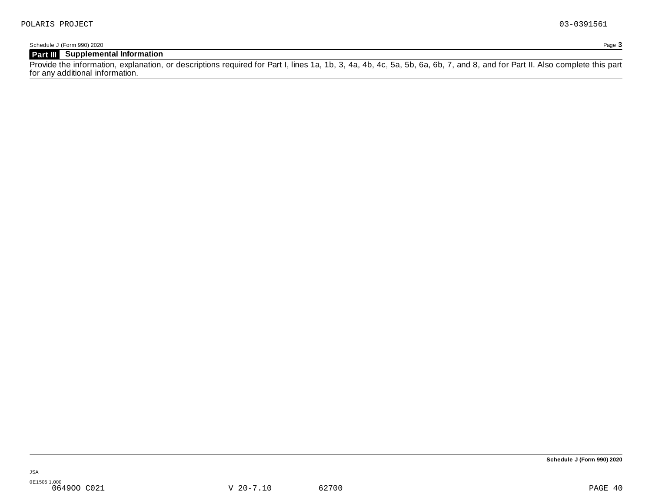Schedule J (Form 990) 2020 Page **3**

## **Part III Supplemental Information**

Provide the information, explanation, or descriptions required for Part I, lines 1a, 1b, 3, 4a, 4b, 4c, 5a, 5b, 6a, 6b, 7, and 8, and for Part II. Also complete this part for any additional information.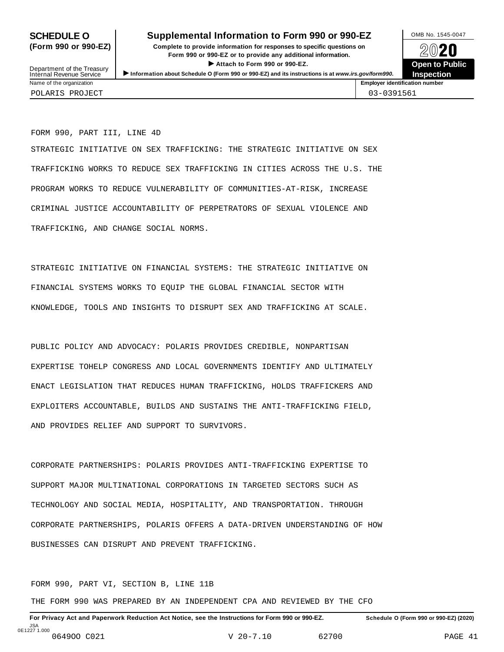## **SCHEDULE O** Supplemental Information to Form 990 or 990-EZ DMB No. 1545-0047

**(Form 990 or 990-EZ) Complete to provide information for responses to specific questions on** plete to provide information for responses to specific questions on  $\bigotimes_{\mathbb{Z}}\mathbb{Q}$  20 **EVECT**<br>
Attach to Form 990 or 990-EZ.<br>
and the Communication of the Communication of the Communication of the Communication of the Communication of the Communication of the Communication of the Communication of the Commu Department of the Treasury <br>Depen to Public<br>Name of the organization<br>Name of the organization<br>Name of the organization<br>Name of the organization



Department of the Treasury<br>Internal Revenue Service POLARIS PROJECT 03-0391561

FORM 990, PART III, LINE 4D

STRATEGIC INITIATIVE ON SEX TRAFFICKING: THE STRATEGIC INITIATIVE ON SEX TRAFFICKING WORKS TO REDUCE SEX TRAFFICKING IN CITIES ACROSS THE U.S. THE PROGRAM WORKS TO REDUCE VULNERABILITY OF COMMUNITIES-AT-RISK, INCREASE CRIMINAL JUSTICE ACCOUNTABILITY OF PERPETRATORS OF SEXUAL VIOLENCE AND TRAFFICKING, AND CHANGE SOCIAL NORMS.

STRATEGIC INITIATIVE ON FINANCIAL SYSTEMS: THE STRATEGIC INITIATIVE ON FINANCIAL SYSTEMS WORKS TO EQUIP THE GLOBAL FINANCIAL SECTOR WITH KNOWLEDGE, TOOLS AND INSIGHTS TO DISRUPT SEX AND TRAFFICKING AT SCALE.

PUBLIC POLICY AND ADVOCACY: POLARIS PROVIDES CREDIBLE, NONPARTISAN EXPERTISE TOHELP CONGRESS AND LOCAL GOVERNMENTS IDENTIFY AND ULTIMATELY ENACT LEGISLATION THAT REDUCES HUMAN TRAFFICKING, HOLDS TRAFFICKERS AND EXPLOITERS ACCOUNTABLE, BUILDS AND SUSTAINS THE ANTI-TRAFFICKING FIELD, AND PROVIDES RELIEF AND SUPPORT TO SURVIVORS.

CORPORATE PARTNERSHIPS: POLARIS PROVIDES ANTI-TRAFFICKING EXPERTISE TO SUPPORT MAJOR MULTINATIONAL CORPORATIONS IN TARGETED SECTORS SUCH AS TECHNOLOGY AND SOCIAL MEDIA, HOSPITALITY, AND TRANSPORTATION. THROUGH CORPORATE PARTNERSHIPS, POLARIS OFFERS A DATA-DRIVEN UNDERSTANDING OF HOW BUSINESSES CAN DISRUPT AND PREVENT TRAFFICKING.

#### FORM 990, PART VI, SECTION B, LINE 11B

THE FORM 990 WAS PREPARED BY AN INDEPENDENT CPA AND REVIEWED BY THE CFO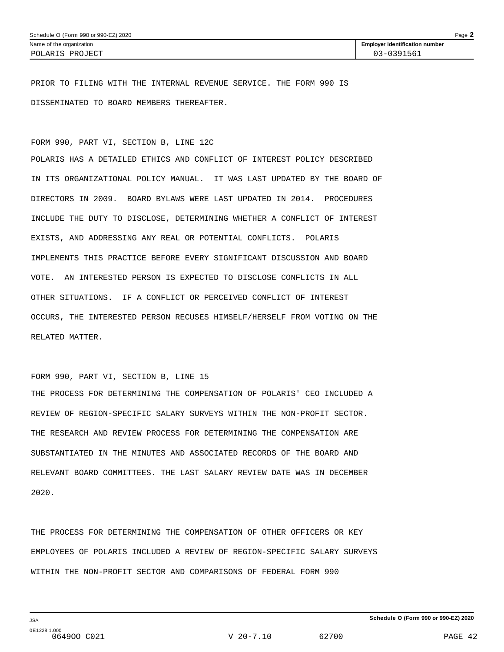PRIOR TO FILING WITH THE INTERNAL REVENUE SERVICE. THE FORM 990 IS DISSEMINATED TO BOARD MEMBERS THEREAFTER.

#### FORM 990, PART VI, SECTION B, LINE 12C

POLARIS HAS A DETAILED ETHICS AND CONFLICT OF INTEREST POLICY DESCRIBED IN ITS ORGANIZATIONAL POLICY MANUAL. IT WAS LAST UPDATED BY THE BOARD OF DIRECTORS IN 2009. BOARD BYLAWS WERE LAST UPDATED IN 2014. PROCEDURES INCLUDE THE DUTY TO DISCLOSE, DETERMINING WHETHER A CONFLICT OF INTEREST EXISTS, AND ADDRESSING ANY REAL OR POTENTIAL CONFLICTS. POLARIS IMPLEMENTS THIS PRACTICE BEFORE EVERY SIGNIFICANT DISCUSSION AND BOARD VOTE. AN INTERESTED PERSON IS EXPECTED TO DISCLOSE CONFLICTS IN ALL OTHER SITUATIONS. IF A CONFLICT OR PERCEIVED CONFLICT OF INTEREST OCCURS, THE INTERESTED PERSON RECUSES HIMSELF/HERSELF FROM VOTING ON THE RELATED MATTER.

#### FORM 990, PART VI, SECTION B, LINE 15

THE PROCESS FOR DETERMINING THE COMPENSATION OF POLARIS' CEO INCLUDED A REVIEW OF REGION-SPECIFIC SALARY SURVEYS WITHIN THE NON-PROFIT SECTOR. THE RESEARCH AND REVIEW PROCESS FOR DETERMINING THE COMPENSATION ARE SUBSTANTIATED IN THE MINUTES AND ASSOCIATED RECORDS OF THE BOARD AND RELEVANT BOARD COMMITTEES. THE LAST SALARY REVIEW DATE WAS IN DECEMBER 2020.

THE PROCESS FOR DETERMINING THE COMPENSATION OF OTHER OFFICERS OR KEY EMPLOYEES OF POLARIS INCLUDED A REVIEW OF REGION-SPECIFIC SALARY SURVEYS WITHIN THE NON-PROFIT SECTOR AND COMPARISONS OF FEDERAL FORM 990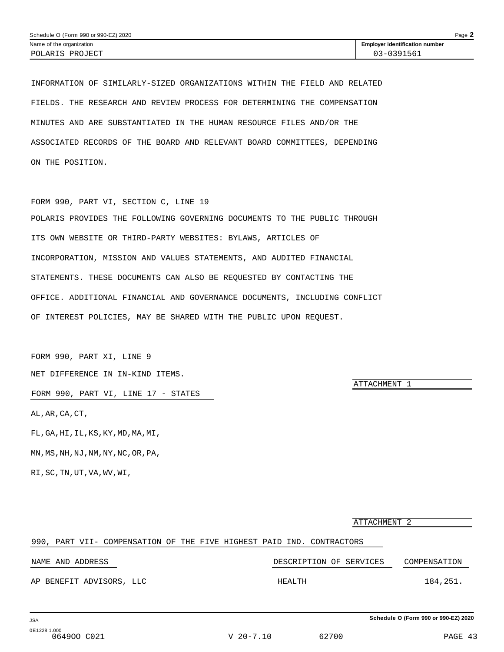<span id="page-40-0"></span>INFORMATION OF SIMILARLY-SIZED ORGANIZATIONS WITHIN THE FIELD AND RELATED FIELDS. THE RESEARCH AND REVIEW PROCESS FOR DETERMINING THE COMPENSATION MINUTES AND ARE SUBSTANTIATED IN THE HUMAN RESOURCE FILES AND/OR THE ASSOCIATED RECORDS OF THE BOARD AND RELEVANT BOARD COMMITTEES, DEPENDING ON THE POSITION.

FORM 990, PART VI, SECTION C, LINE 19 POLARIS PROVIDES THE FOLLOWING GOVERNING DOCUMENTS TO THE PUBLIC THROUGH ITS OWN WEBSITE OR THIRD-PARTY WEBSITES: BYLAWS, ARTICLES OF INCORPORATION, MISSION AND VALUES STATEMENTS, AND AUDITED FINANCIAL STATEMENTS. THESE DOCUMENTS CAN ALSO BE REQUESTED BY CONTACTING THE OFFICE. ADDITIONAL FINANCIAL AND GOVERNANCE DOCUMENTS, INCLUDING CONFLICT OF INTEREST POLICIES, MAY BE SHARED WITH THE PUBLIC UPON REQUEST.

FORM 990, PART XI, LINE 9

NET DIFFERENCE IN IN-KIND ITEMS.

FORM 990, PART VI, LINE 17 - STATES

AL,AR,CA,CT,

FL,GA,HI,IL,KS,KY,MD,MA,MI,

MN,MS,NH,NJ,NM,NY,NC,OR,PA,

RI,SC,TN,UT,VA,WV,WI,

**Schedule O (Form 990 or 990-EZ) 2020** ATTACHMENT 2 990, PART VII- COMPENSATION OF THE FIVE HIGHEST PAID IND. CONTRACTORS NAME AND ADDRESS DESCRIPTION OF SERVICES COMPENSATION AP BENEFIT ADVISORS, LLC HEALTH 184,251.

ATTACHMENT 1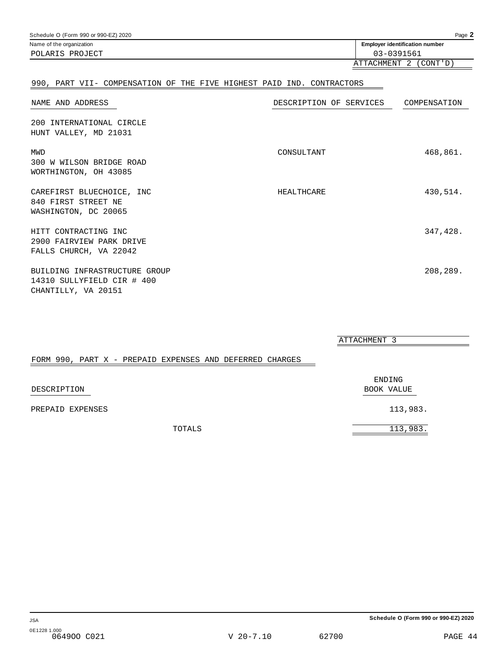<span id="page-41-0"></span>

| Page $\blacktriangle$                 |          |
|---------------------------------------|----------|
| <b>Employer identification number</b> |          |
| 03-0391561                            |          |
|                                       | -------- |

## ATTACHMENT 2 (CONT'D)

## 990, PART VII- COMPENSATION OF THE FIVE HIGHEST PAID IND. CONTRACTORS

| NAME AND ADDRESS                                                                   | DESCRIPTION OF SERVICES | COMPENSATION |
|------------------------------------------------------------------------------------|-------------------------|--------------|
| 200 INTERNATIONAL CIRCLE<br>HUNT VALLEY, MD 21031                                  |                         |              |
| <b>MWD</b><br>300 W WILSON BRIDGE ROAD<br>WORTHINGTON, OH 43085                    | CONSULTANT              | 468,861.     |
| CAREFIRST BLUECHOICE, INC<br>840 FIRST STREET NE<br>WASHINGTON, DC 20065           | HEALTHCARE              | 430,514.     |
| HITT CONTRACTING INC<br>2900 FAIRVIEW PARK DRIVE<br>FALLS CHURCH, VA 22042         |                         | 347,428.     |
| BUILDING INFRASTRUCTURE GROUP<br>14310 SULLYFIELD CIR # 400<br>CHANTILLY, VA 20151 |                         | 208,289.     |

|                                                          | ATTACHMENT 3         |
|----------------------------------------------------------|----------------------|
| FORM 990, PART X - PREPAID EXPENSES AND DEFERRED CHARGES |                      |
| DESCRIPTION                                              | ENDING<br>BOOK VALUE |
| PREPAID EXPENSES                                         | 113,983.             |

TOTALS 113,983.